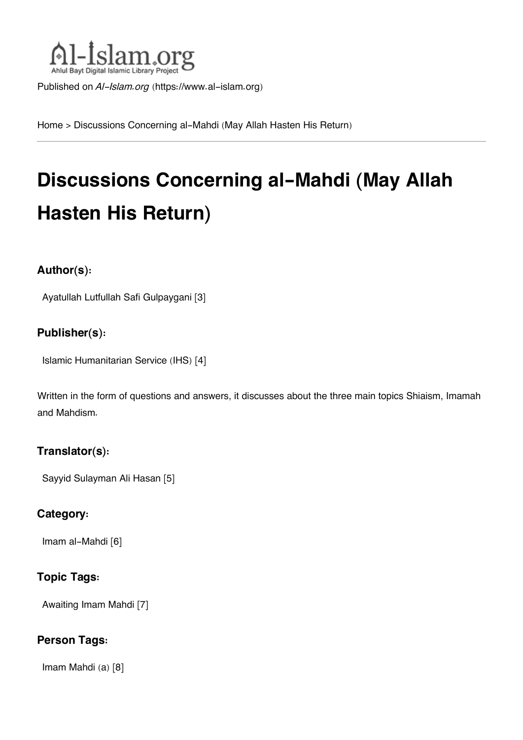

Published on *Al-Islam.org* ([https://www.al-islam.org\)](https://www.al-islam.org)

[Home](https://www.al-islam.org/) > Discussions Concerning al-Mahdi (May Allah Hasten His Return)

# **Discussions Concerning al-Mahdi (May Allah Hasten His Return)**

#### **Author(s):**

[Ayatullah Lutfullah Safi Gulpaygani](https://www.al-islam.org/person/ayatullah-lutfullah-safi-gulpaygani) [3]

#### **Publisher(s):**

[Islamic Humanitarian Service \(IHS\)](https://www.al-islam.org/organization/islamic-humanitarian-service-ihs) [4]

Written in the form of questions and answers, it discusses about the three main topics Shiaism, Imamah and Mahdism.

#### **Translator(s):**

[Sayyid Sulayman Ali Hasan](https://www.al-islam.org/person/sayyid-sulayman-ali-hasan) [5]

#### **Category:**

[Imam al-Mahdi](https://www.al-islam.org/library/imam-al-mahdi) [6]

#### **Topic Tags:**

[Awaiting Imam Mahdi](https://www.al-islam.org/tags/awaiting-imam-mahdi) [7]

#### **Person Tags:**

[Imam Mahdi \(a\)](https://www.al-islam.org/person/imam-al-mahdi) [8]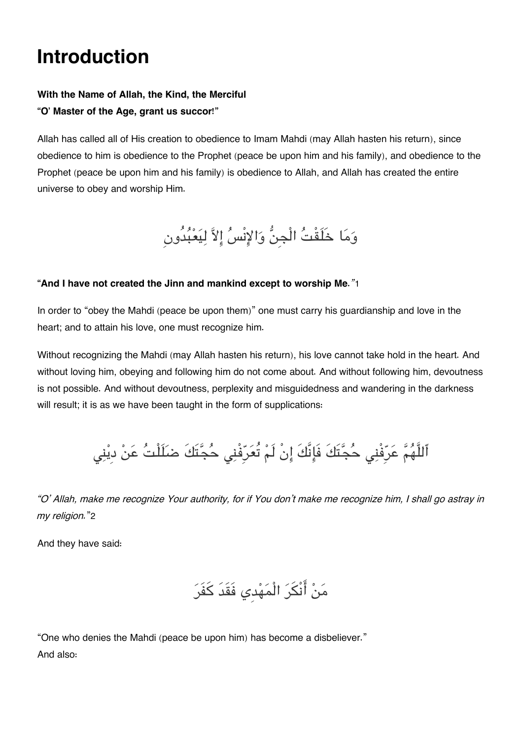# **Introduction**

#### **With the Name of Allah, the Kind, the Merciful "O' Master of the Age, grant us succor!"**

Allah has called all of His creation to obedience to Imam Mahdi (may Allah hasten his return), since obedience to him is obedience to the Prophet (peace be upon him and his family), and obedience to the Prophet (peace be upon him and his family) is obedience to Allah, and Allah has created the entire universe to obey and worship Him.

وَمَا خَلَقْتُ الْجِنُّ وَالإِنْسُ إِلاَّ لِيَعْبُدُونِ

#### **"And I have not created the Jinn and mankind except to worship Me.***"*[1](#page--1-0)

In order to "obey the Mahdi (peace be upon them)" one must carry his guardianship and love in the heart; and to attain his love, one must recognize him.

Without recognizing the Mahdi (may Allah hasten his return), his love cannot take hold in the heart. And without loving him, obeying and following him do not come about. And without following him, devoutness is not possible. And without devoutness, perplexity and misguidedness and wandering in the darkness will result; it is as we have been taught in the form of supplications:

ٱللَّهُمَّ عَرِّفْنِي حُجَّتَكَ فَإِنَّكَ إِنْ لَمْ تُعَرِّفْنِي حُجَّتَكَ ضَلَلْتُ عَنْ ديْنِي

*"O' Allah, make me recognize Your authority, for if You don't make me recognize him, I shall go astray in my religion.*"[2](#page--1-0)

And they have said:

مَنْ أَنْكَرَ الْمَهْدِي فَقَدَ كَفَرَ

"One who denies the Mahdi (peace be upon him) has become a disbeliever." And also: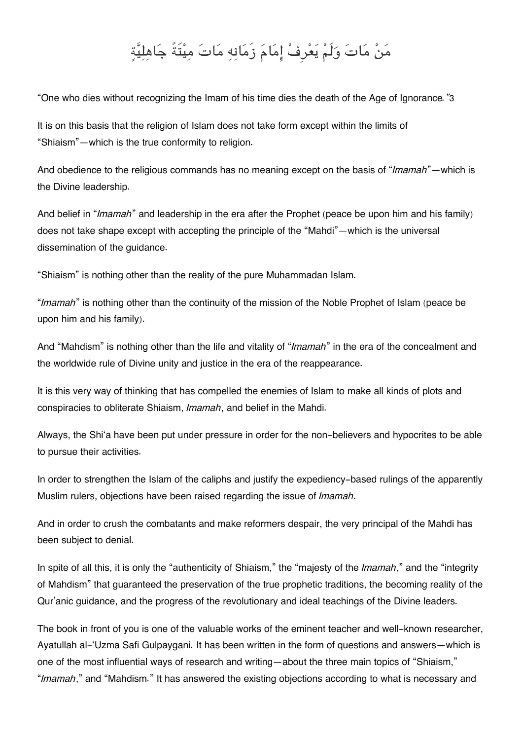# من مات ولَم يعرِف امام زَمانه مات ميتَةً جاهلية

"One who dies without recognizing the Imam of his time dies the death of the Age of Ignorance*."*[3](#page--1-0)

It is on this basis that the religion of Islam does not take form except within the limits of "Shiaism"—which is the true conformity to religion.

And obedience to the religious commands has no meaning except on the basis of "*Imamah*"—which is the Divine leadership.

And belief in "*Imamah*" and leadership in the era after the Prophet (peace be upon him and his family) does not take shape except with accepting the principle of the "Mahdi"—which is the universal dissemination of the guidance.

"Shiaism" is nothing other than the reality of the pure Muhammadan Islam.

"*Imamah*" is nothing other than the continuity of the mission of the Noble Prophet of Islam (peace be upon him and his family).

And "Mahdism" is nothing other than the life and vitality of "*Imamah*" in the era of the concealment and the worldwide rule of Divine unity and justice in the era of the reappearance.

It is this very way of thinking that has compelled the enemies of Islam to make all kinds of plots and conspiracies to obliterate Shiaism, *Imamah*, and belief in the Mahdi.

Always, the Shi'a have been put under pressure in order for the non-believers and hypocrites to be able to pursue their activities.

In order to strengthen the Islam of the caliphs and justify the expediency-based rulings of the apparently Muslim rulers, objections have been raised regarding the issue of *Imamah*.

And in order to crush the combatants and make reformers despair, the very principal of the Mahdi has been subject to denial.

In spite of all this, it is only the "authenticity of Shiaism," the "majesty of the *Imamah*," and the "integrity of Mahdism" that guaranteed the preservation of the true prophetic traditions, the becoming reality of the Qur'anic guidance, and the progress of the revolutionary and ideal teachings of the Divine leaders.

The book in front of you is one of the valuable works of the eminent teacher and well-known researcher, Ayatullah al-'Uzma Safi Gulpaygani. It has been written in the form of questions and answers—which is one of the most influential ways of research and writing—about the three main topics of "Shiaism," "*Imamah*," and "Mahdism." It has answered the existing objections according to what is necessary and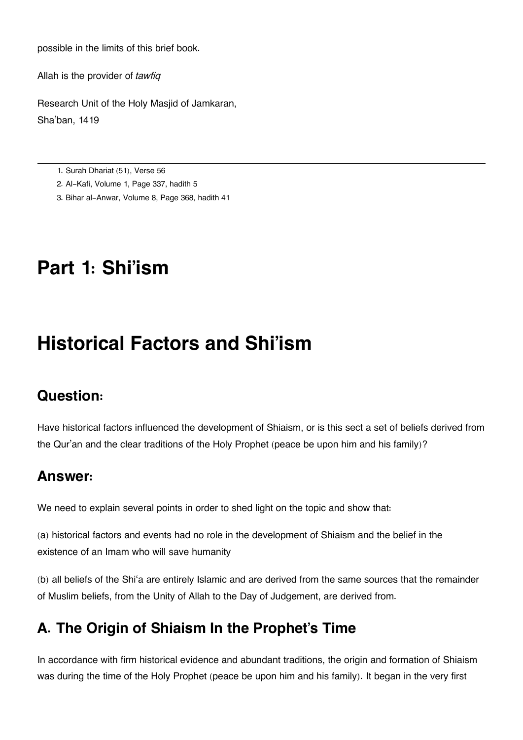possible in the limits of this brief book.

Allah is the provider of *tawfiq*

Research Unit of the Holy Masjid of Jamkaran, Sha'ban, 1419

[1.](#page--1-0) Surah Dhariat (51), Verse 56

- [2.](#page--1-0) Al-Kafi, Volume 1, Page 337, hadith 5
- [3.](#page--1-0) Bihar al-Anwar, Volume 8, Page 368, hadith 41

## **Part 1: Shi'ism**

## **Historical Factors and Shi'ism**

## **[Question:](#page--1-0)**

Have historical factors influenced the development of Shiaism, or is this sect a set of beliefs derived from the Qur'an and the clear traditions of the Holy Prophet (peace be upon him and his family)?

#### **[Answer:](#page--1-0)**

We need to explain several points in order to shed light on the topic and show that:

(a) historical factors and events had no role in the development of Shiaism and the belief in the existence of an Imam who will save humanity

(b) all beliefs of the Shi'a are entirely Islamic and are derived from the same sources that the remainder of Muslim beliefs, from the Unity of Allah to the Day of Judgement, are derived from.

## **[A. The Origin of Shiaism In the Prophet's Time](#page--1-0)**

In accordance with firm historical evidence and abundant traditions, the origin and formation of Shiaism was during the time of the Holy Prophet (peace be upon him and his family). It began in the very first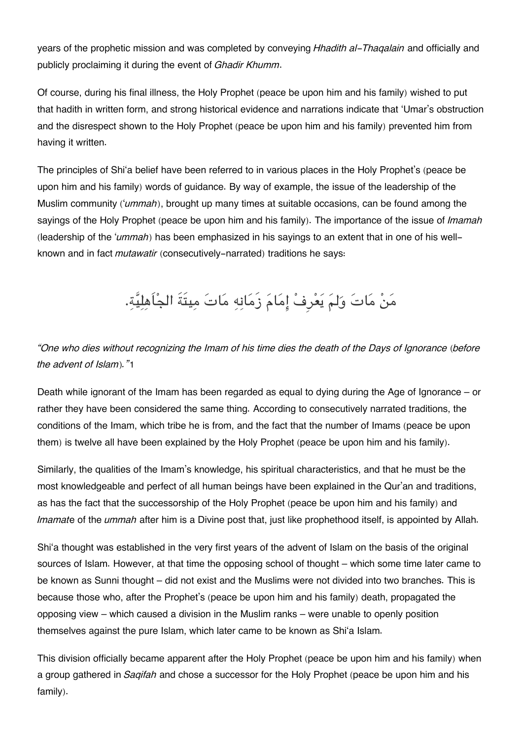years of the prophetic mission and was completed by conveying *Hhadith al-Thaqalain* and officially and publicly proclaiming it during the event of *Ghadir Khumm*.

Of course, during his final illness, the Holy Prophet (peace be upon him and his family) wished to put that hadith in written form, and strong historical evidence and narrations indicate that 'Umar's obstruction and the disrespect shown to the Holy Prophet (peace be upon him and his family) prevented him from having it written.

The principles of Shi'a belief have been referred to in various places in the Holy Prophet's (peace be upon him and his family) words of guidance. By way of example, the issue of the leadership of the Muslim community ('*ummah*), brought up many times at suitable occasions, can be found among the sayings of the Holy Prophet (peace be upon him and his family). The importance of the issue of *Imamah* (leadership of the '*ummah*) has been emphasized in his sayings to an extent that in one of his wellknown and in fact *mutawatir* (consecutively-narrated) traditions he says:

من مات ولم يعرِف امام زَمانه مات ميتَةَ الجاَهلية.

*"One who dies without recognizing the Imam of his time dies the death of the Days of Ignorance (before the advent of Islam)."*[1](#page--1-0)

Death while ignorant of the Imam has been regarded as equal to dying during the Age of Ignorance – or rather they have been considered the same thing. According to consecutively narrated traditions, the conditions of the Imam, which tribe he is from, and the fact that the number of Imams (peace be upon them) is twelve all have been explained by the Holy Prophet (peace be upon him and his family).

Similarly, the qualities of the Imam's knowledge, his spiritual characteristics, and that he must be the most knowledgeable and perfect of all human beings have been explained in the Qur'an and traditions, as has the fact that the successorship of the Holy Prophet (peace be upon him and his family) and *Imamat*e of the *ummah* after him is a Divine post that, just like prophethood itself, is appointed by Allah.

Shi'a thought was established in the very first years of the advent of Islam on the basis of the original sources of Islam. However, at that time the opposing school of thought – which some time later came to be known as Sunni thought – did not exist and the Muslims were not divided into two branches. This is because those who, after the Prophet's (peace be upon him and his family) death, propagated the opposing view – which caused a division in the Muslim ranks – were unable to openly position themselves against the pure Islam, which later came to be known as Shi'a Islam.

This division officially became apparent after the Holy Prophet (peace be upon him and his family) when a group gathered in *Saqifah* and chose a successor for the Holy Prophet (peace be upon him and his family).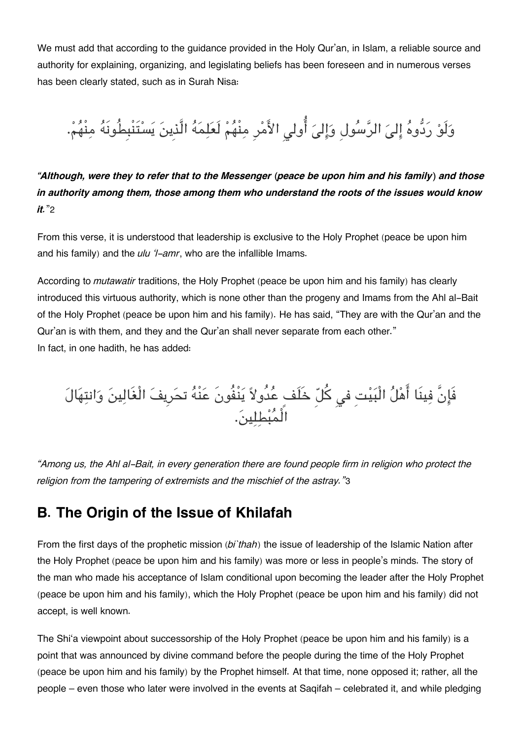We must add that according to the guidance provided in the Holy Qur'an, in Islam, a reliable source and authority for explaining, organizing, and legislating beliefs has been foreseen and in numerous verses has been clearly stated, such as in Surah Nisa:

وَلَوْ رَدُّوهُ إِلىَ الرَّسُولِ وَإِلىَ أُولى الأَمْرِ مِنْهُمْ لَعَلِمَهُ الَّذِينَ يَسْتَنْبِطُونَهُ مِنْهُمْ.

*"Although, were they to refer that to the Messenger (peace be upon him and his family) and those in authority among them, those among them who understand the roots of the issues would know it.*"[2](#page--1-0)

From this verse, it is understood that leadership is exclusive to the Holy Prophet (peace be upon him and his family) and the *ulu 'l-amr*, who are the infallible Imams.

According to *mutawatir* traditions, the Holy Prophet (peace be upon him and his family) has clearly introduced this virtuous authority, which is none other than the progeny and Imams from the Ahl al-Bait of the Holy Prophet (peace be upon him and his family). He has said, "They are with the Qur'an and the Qur'an is with them, and they and the Qur'an shall never separate from each other." In fact, in one hadith, he has added:

فَإِنَّ فِينَا اهْلَ الْبَيْتِ في كلِّ خَلَفٍ عَدُولاً يَنْفُونَ عَنْهُ تحَرِيفَ الْغَالِينَ وَانْتِهَالَ الْمبطلين.

*"Among us, the Ahl al-Bait, in every generation there are found people firm in religion who protect the religion from the tampering of extremists and the mischief of the astray."*[3](#page--1-0)

## **[B. The Origin of the Issue of Khilafah](#page--1-0)**

From the first days of the prophetic mission (*bi`thah*) the issue of leadership of the Islamic Nation after the Holy Prophet (peace be upon him and his family) was more or less in people's minds. The story of the man who made his acceptance of Islam conditional upon becoming the leader after the Holy Prophet (peace be upon him and his family), which the Holy Prophet (peace be upon him and his family) did not accept, is well known.

The Shi'a viewpoint about successorship of the Holy Prophet (peace be upon him and his family) is a point that was announced by divine command before the people during the time of the Holy Prophet (peace be upon him and his family) by the Prophet himself. At that time, none opposed it; rather, all the people – even those who later were involved in the events at Saqifah – celebrated it, and while pledging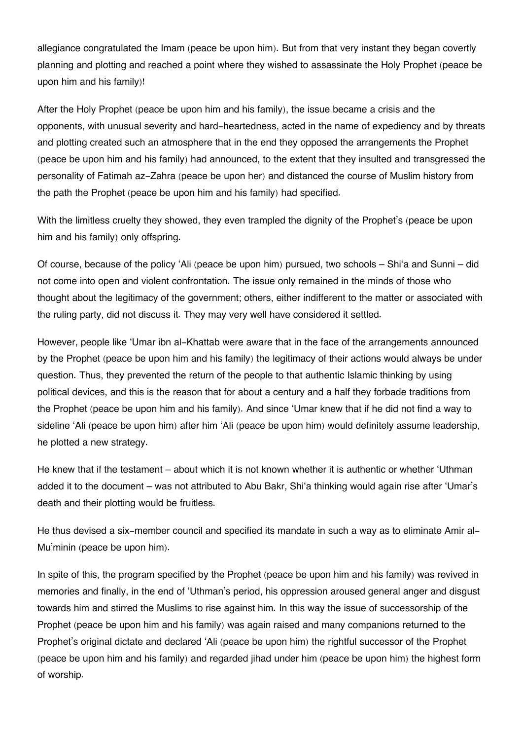allegiance congratulated the Imam (peace be upon him). But from that very instant they began covertly planning and plotting and reached a point where they wished to assassinate the Holy Prophet (peace be upon him and his family)!

After the Holy Prophet (peace be upon him and his family), the issue became a crisis and the opponents, with unusual severity and hard-heartedness, acted in the name of expediency and by threats and plotting created such an atmosphere that in the end they opposed the arrangements the Prophet (peace be upon him and his family) had announced, to the extent that they insulted and transgressed the personality of Fatimah az-Zahra (peace be upon her) and distanced the course of Muslim history from the path the Prophet (peace be upon him and his family) had specified.

With the limitless cruelty they showed, they even trampled the dignity of the Prophet's (peace be upon him and his family) only offspring.

Of course, because of the policy 'Ali (peace be upon him) pursued, two schools – Shi'a and Sunni – did not come into open and violent confrontation. The issue only remained in the minds of those who thought about the legitimacy of the government; others, either indifferent to the matter or associated with the ruling party, did not discuss it. They may very well have considered it settled.

However, people like 'Umar ibn al-Khattab were aware that in the face of the arrangements announced by the Prophet (peace be upon him and his family) the legitimacy of their actions would always be under question. Thus, they prevented the return of the people to that authentic Islamic thinking by using political devices, and this is the reason that for about a century and a half they forbade traditions from the Prophet (peace be upon him and his family). And since 'Umar knew that if he did not find a way to sideline 'Ali (peace be upon him) after him 'Ali (peace be upon him) would definitely assume leadership, he plotted a new strategy.

He knew that if the testament – about which it is not known whether it is authentic or whether 'Uthman added it to the document – was not attributed to Abu Bakr, Shi'a thinking would again rise after 'Umar's death and their plotting would be fruitless.

He thus devised a six-member council and specified its mandate in such a way as to eliminate Amir al-Mu'minin (peace be upon him).

In spite of this, the program specified by the Prophet (peace be upon him and his family) was revived in memories and finally, in the end of 'Uthman's period, his oppression aroused general anger and disgust towards him and stirred the Muslims to rise against him. In this way the issue of successorship of the Prophet (peace be upon him and his family) was again raised and many companions returned to the Prophet's original dictate and declared 'Ali (peace be upon him) the rightful successor of the Prophet (peace be upon him and his family) and regarded jihad under him (peace be upon him) the highest form of worship.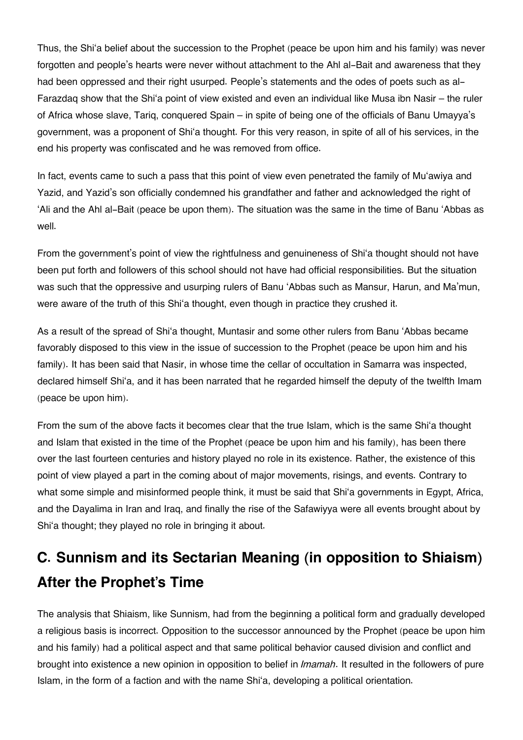Thus, the Shi'a belief about the succession to the Prophet (peace be upon him and his family) was never forgotten and people's hearts were never without attachment to the Ahl al-Bait and awareness that they had been oppressed and their right usurped. People's statements and the odes of poets such as al-Farazdaq show that the Shi'a point of view existed and even an individual like Musa ibn Nasir – the ruler of Africa whose slave, Tariq, conquered Spain – in spite of being one of the officials of Banu Umayya's government, was a proponent of Shi'a thought. For this very reason, in spite of all of his services, in the end his property was confiscated and he was removed from office.

In fact, events came to such a pass that this point of view even penetrated the family of Mu'awiya and Yazid, and Yazid's son officially condemned his grandfather and father and acknowledged the right of 'Ali and the Ahl al-Bait (peace be upon them). The situation was the same in the time of Banu 'Abbas as well.

From the government's point of view the rightfulness and genuineness of Shi'a thought should not have been put forth and followers of this school should not have had official responsibilities. But the situation was such that the oppressive and usurping rulers of Banu 'Abbas such as Mansur, Harun, and Ma'mun, were aware of the truth of this Shi'a thought, even though in practice they crushed it.

As a result of the spread of Shi'a thought, Muntasir and some other rulers from Banu 'Abbas became favorably disposed to this view in the issue of succession to the Prophet (peace be upon him and his family). It has been said that Nasir, in whose time the cellar of occultation in Samarra was inspected, declared himself Shi'a, and it has been narrated that he regarded himself the deputy of the twelfth Imam (peace be upon him).

From the sum of the above facts it becomes clear that the true Islam, which is the same Shi'a thought and Islam that existed in the time of the Prophet (peace be upon him and his family), has been there over the last fourteen centuries and history played no role in its existence. Rather, the existence of this point of view played a part in the coming about of major movements, risings, and events. Contrary to what some simple and misinformed people think, it must be said that Shi'a governments in Egypt, Africa, and the Dayalima in Iran and Iraq, and finally the rise of the Safawiyya were all events brought about by Shi'a thought; they played no role in bringing it about.

## **[C. Sunnism and its Sectarian Meaning \(in opposition to Shiaism\)](#page--1-0) [After the Prophet's Time](#page--1-0)**

The analysis that Shiaism, like Sunnism, had from the beginning a political form and gradually developed a religious basis is incorrect. Opposition to the successor announced by the Prophet (peace be upon him and his family) had a political aspect and that same political behavior caused division and conflict and brought into existence a new opinion in opposition to belief in *Imamah*. It resulted in the followers of pure Islam, in the form of a faction and with the name Shi'a, developing a political orientation.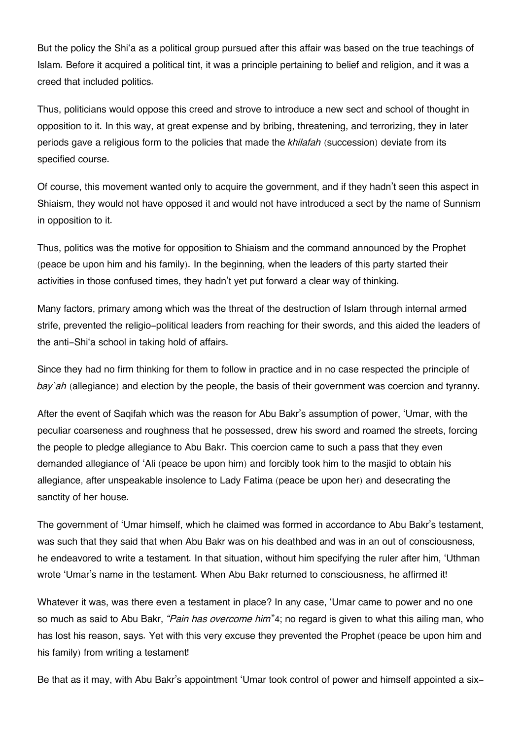But the policy the Shi'a as a political group pursued after this affair was based on the true teachings of Islam. Before it acquired a political tint, it was a principle pertaining to belief and religion, and it was a creed that included politics.

Thus, politicians would oppose this creed and strove to introduce a new sect and school of thought in opposition to it. In this way, at great expense and by bribing, threatening, and terrorizing, they in later periods gave a religious form to the policies that made the *khilafah* (succession) deviate from its specified course.

Of course, this movement wanted only to acquire the government, and if they hadn't seen this aspect in Shiaism, they would not have opposed it and would not have introduced a sect by the name of Sunnism in opposition to it.

Thus, politics was the motive for opposition to Shiaism and the command announced by the Prophet (peace be upon him and his family). In the beginning, when the leaders of this party started their activities in those confused times, they hadn't yet put forward a clear way of thinking.

Many factors, primary among which was the threat of the destruction of Islam through internal armed strife, prevented the religio-political leaders from reaching for their swords, and this aided the leaders of the anti-Shi'a school in taking hold of affairs.

Since they had no firm thinking for them to follow in practice and in no case respected the principle of *bay`ah* (allegiance) and election by the people, the basis of their government was coercion and tyranny.

After the event of Saqifah which was the reason for Abu Bakr's assumption of power, 'Umar, with the peculiar coarseness and roughness that he possessed, drew his sword and roamed the streets, forcing the people to pledge allegiance to Abu Bakr. This coercion came to such a pass that they even demanded allegiance of 'Ali (peace be upon him) and forcibly took him to the masjid to obtain his allegiance, after unspeakable insolence to Lady Fatima (peace be upon her) and desecrating the sanctity of her house.

The government of 'Umar himself, which he claimed was formed in accordance to Abu Bakr's testament, was such that they said that when Abu Bakr was on his deathbed and was in an out of consciousness, he endeavored to write a testament. In that situation, without him specifying the ruler after him, 'Uthman wrote 'Umar's name in the testament. When Abu Bakr returned to consciousness, he affirmed it!

Whatever it was, was there even a testament in place? In any case, 'Umar came to power and no one so much as said to Abu Bakr, *"Pain has overcome him*"[4](#page--1-0); no regard is given to what this ailing man, who has lost his reason, says. Yet with this very excuse they prevented the Prophet (peace be upon him and his family) from writing a testament!

Be that as it may, with Abu Bakr's appointment 'Umar took control of power and himself appointed a six-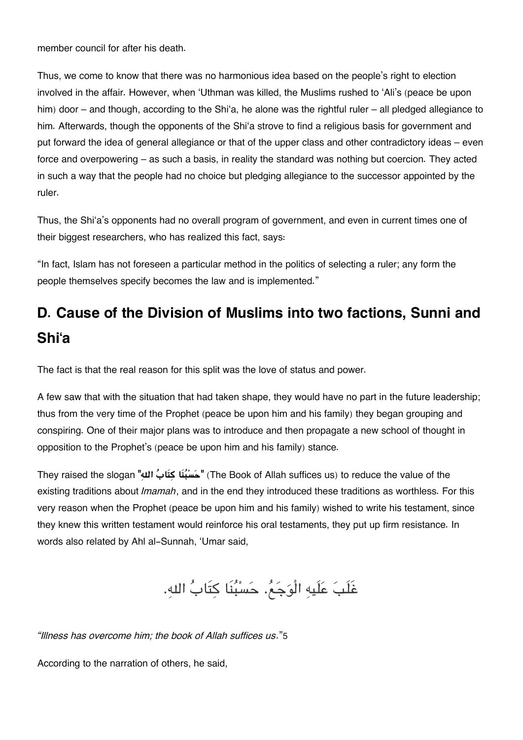member council for after his death.

Thus, we come to know that there was no harmonious idea based on the people's right to election involved in the affair. However, when 'Uthman was killed, the Muslims rushed to 'Ali's (peace be upon him) door – and though, according to the Shi'a, he alone was the rightful ruler – all pledged allegiance to him. Afterwards, though the opponents of the Shi'a strove to find a religious basis for government and put forward the idea of general allegiance or that of the upper class and other contradictory ideas – even force and overpowering – as such a basis, in reality the standard was nothing but coercion. They acted in such a way that the people had no choice but pledging allegiance to the successor appointed by the ruler.

Thus, the Shi'a's opponents had no overall program of government, and even in current times one of their biggest researchers, who has realized this fact, says:

"In fact, Islam has not foreseen a particular method in the politics of selecting a ruler; any form the people themselves specify becomes the law and is implemented."

## **[D. Cause of the Division of Muslims into two factions, Sunni and](#page--1-0) [Shi'a](#page--1-0)**

The fact is that the real reason for this split was the love of status and power.

A few saw that with the situation that had taken shape, they would have no part in the future leadership; thus from the very time of the Prophet (peace be upon him and his family) they began grouping and conspiring. One of their major plans was to introduce and then propagate a new school of thought in opposition to the Prophet's (peace be upon him and his family) stance.

They raised the slogan **"هال ابَتك اَنبسح**) **"**The Book of Allah suffices us) to reduce the value of the existing traditions about *Imamah*, and in the end they introduced these traditions as worthless. For this very reason when the Prophet (peace be upon him and his family) wished to write his testament, since they knew this written testament would reinforce his oral testaments, they put up firm resistance. In words also related by Ahl al-Sunnah, 'Umar said,

غَلَب علَيه الْوجع. حسبنَا كتَاب اله.

*"Illness has overcome him; the book of Allah suffices us*."[5](#page--1-0)

According to the narration of others, he said,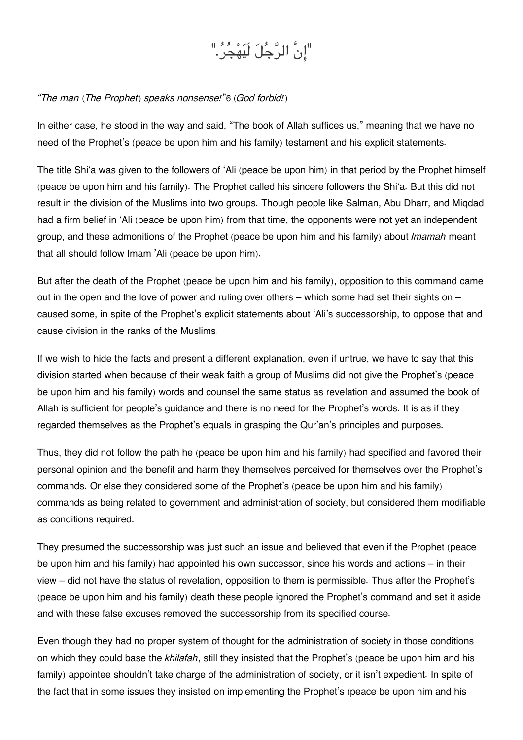# "انَّ الرجل لَيهجر."

#### *"The man (The Prophet) speaks nonsense!*"[6](#page--1-0) *(God forbid!)*

In either case, he stood in the way and said, "The book of Allah suffices us," meaning that we have no need of the Prophet's (peace be upon him and his family) testament and his explicit statements.

The title Shi'a was given to the followers of 'Ali (peace be upon him) in that period by the Prophet himself (peace be upon him and his family). The Prophet called his sincere followers the Shi'a. But this did not result in the division of the Muslims into two groups. Though people like Salman, Abu Dharr, and Miqdad had a firm belief in 'Ali (peace be upon him) from that time, the opponents were not yet an independent group, and these admonitions of the Prophet (peace be upon him and his family) about *Imamah* meant that all should follow Imam 'Ali (peace be upon him).

But after the death of the Prophet (peace be upon him and his family), opposition to this command came out in the open and the love of power and ruling over others – which some had set their sights on – caused some, in spite of the Prophet's explicit statements about 'Ali's successorship, to oppose that and cause division in the ranks of the Muslims.

If we wish to hide the facts and present a different explanation, even if untrue, we have to say that this division started when because of their weak faith a group of Muslims did not give the Prophet's (peace be upon him and his family) words and counsel the same status as revelation and assumed the book of Allah is sufficient for people's guidance and there is no need for the Prophet's words. It is as if they regarded themselves as the Prophet's equals in grasping the Qur'an's principles and purposes.

Thus, they did not follow the path he (peace be upon him and his family) had specified and favored their personal opinion and the benefit and harm they themselves perceived for themselves over the Prophet's commands. Or else they considered some of the Prophet's (peace be upon him and his family) commands as being related to government and administration of society, but considered them modifiable as conditions required.

They presumed the successorship was just such an issue and believed that even if the Prophet (peace be upon him and his family) had appointed his own successor, since his words and actions – in their view – did not have the status of revelation, opposition to them is permissible. Thus after the Prophet's (peace be upon him and his family) death these people ignored the Prophet's command and set it aside and with these false excuses removed the successorship from its specified course.

Even though they had no proper system of thought for the administration of society in those conditions on which they could base the *khilafah*, still they insisted that the Prophet's (peace be upon him and his family) appointee shouldn't take charge of the administration of society, or it isn't expedient. In spite of the fact that in some issues they insisted on implementing the Prophet's (peace be upon him and his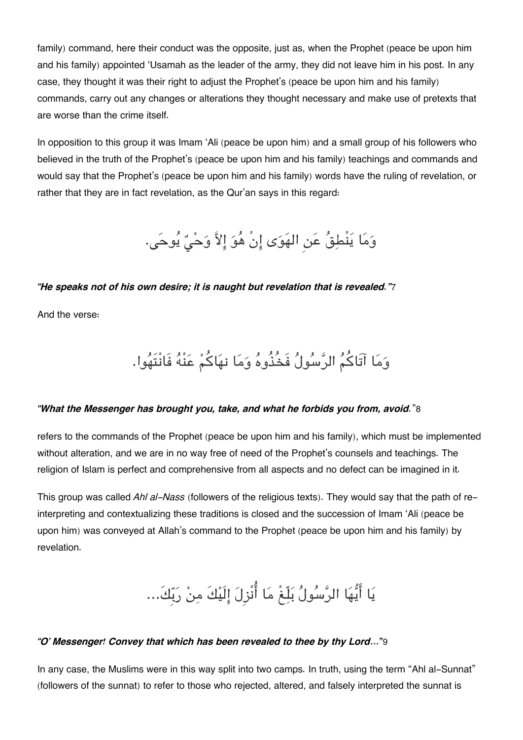family) command, here their conduct was the opposite, just as, when the Prophet (peace be upon him and his family) appointed 'Usamah as the leader of the army, they did not leave him in his post. In any case, they thought it was their right to adjust the Prophet's (peace be upon him and his family) commands, carry out any changes or alterations they thought necessary and make use of pretexts that are worse than the crime itself.

In opposition to this group it was Imam 'Ali (peace be upon him) and a small group of his followers who believed in the truth of the Prophet's (peace be upon him and his family) teachings and commands and would say that the Prophet's (peace be upon him and his family) words have the ruling of revelation, or rather that they are in fact revelation, as the Qur'an says in this regard:

وَمَا يَنْطِقُ عَنِ الهَوَى إِنْ هُوَ إِلاَّ وَحْيٌ يُوحَى.

#### *"He speaks not of his own desire; it is naught but revelation that is revealed."*[7](#page--1-0)

And the verse:

وما آتَاكم الرسول فَخُذُوه وما نهاكم عنْه فَانْتَهوا.

#### *"What the Messenger has brought you, take, and what he forbids you from, avoid.*"[8](#page--1-0)

refers to the commands of the Prophet (peace be upon him and his family), which must be implemented without alteration, and we are in no way free of need of the Prophet's counsels and teachings. The religion of Islam is perfect and comprehensive from all aspects and no defect can be imagined in it.

This group was called *Ahl al-Nass* (followers of the religious texts). They would say that the path of reinterpreting and contextualizing these traditions is closed and the succession of Imam 'Ali (peace be upon him) was conveyed at Allah's command to the Prophet (peace be upon him and his family) by revelation.



#### *"O' Messenger! Convey that which has been revealed to thee by thy Lord***…"**[9](#page--1-0)

In any case, the Muslims were in this way split into two camps. In truth, using the term "Ahl al-Sunnat" (followers of the sunnat) to refer to those who rejected, altered, and falsely interpreted the sunnat is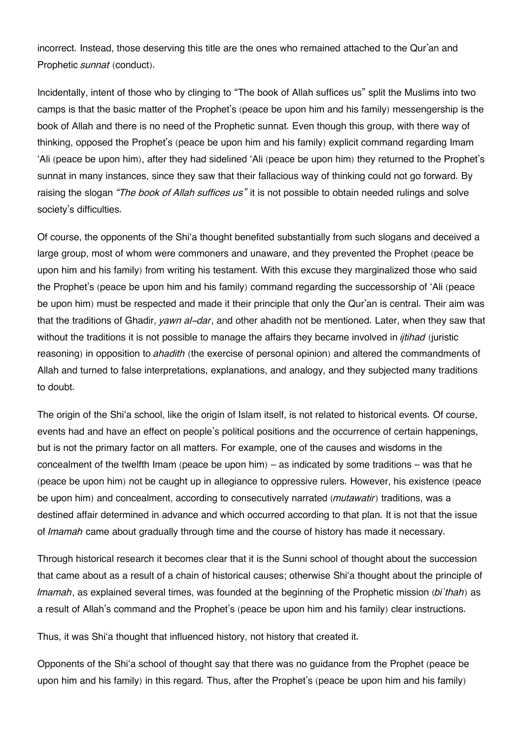incorrect. Instead, those deserving this title are the ones who remained attached to the Qur'an and Prophetic *sunnat* (conduct).

Incidentally, intent of those who by clinging to "The book of Allah suffices us" split the Muslims into two camps is that the basic matter of the Prophet's (peace be upon him and his family) messengership is the book of Allah and there is no need of the Prophetic sunnat. Even though this group, with there way of thinking, opposed the Prophet's (peace be upon him and his family) explicit command regarding Imam 'Ali (peace be upon him), after they had sidelined 'Ali (peace be upon him) they returned to the Prophet's sunnat in many instances, since they saw that their fallacious way of thinking could not go forward. By raising the slogan *"The book of Allah suffices us"* it is not possible to obtain needed rulings and solve society's difficulties.

Of course, the opponents of the Shi'a thought benefited substantially from such slogans and deceived a large group, most of whom were commoners and unaware, and they prevented the Prophet (peace be upon him and his family) from writing his testament. With this excuse they marginalized those who said the Prophet's (peace be upon him and his family) command regarding the successorship of 'Ali (peace be upon him) must be respected and made it their principle that only the Qur'an is central. Their aim was that the traditions of Ghadir, *yawn al-dar*, and other ahadith not be mentioned. Later, when they saw that without the traditions it is not possible to manage the affairs they became involved in *ijtihad* (juristic reasoning) in opposition to *ahadith* (the exercise of personal opinion) and altered the commandments of Allah and turned to false interpretations, explanations, and analogy, and they subjected many traditions to doubt.

The origin of the Shi'a school, like the origin of Islam itself, is not related to historical events. Of course, events had and have an effect on people's political positions and the occurrence of certain happenings, but is not the primary factor on all matters. For example, one of the causes and wisdoms in the concealment of the twelfth Imam (peace be upon him) – as indicated by some traditions – was that he (peace be upon him) not be caught up in allegiance to oppressive rulers. However, his existence (peace be upon him) and concealment, according to consecutively narrated (*mutawatir*) traditions, was a destined affair determined in advance and which occurred according to that plan. It is not that the issue of *Imamah* came about gradually through time and the course of history has made it necessary.

Through historical research it becomes clear that it is the Sunni school of thought about the succession that came about as a result of a chain of historical causes; otherwise Shi'a thought about the principle of *Imamah*, as explained several times, was founded at the beginning of the Prophetic mission (*bi`thah*) as a result of Allah's command and the Prophet's (peace be upon him and his family) clear instructions.

Thus, it was Shi'a thought that influenced history, not history that created it.

Opponents of the Shi'a school of thought say that there was no guidance from the Prophet (peace be upon him and his family) in this regard. Thus, after the Prophet's (peace be upon him and his family)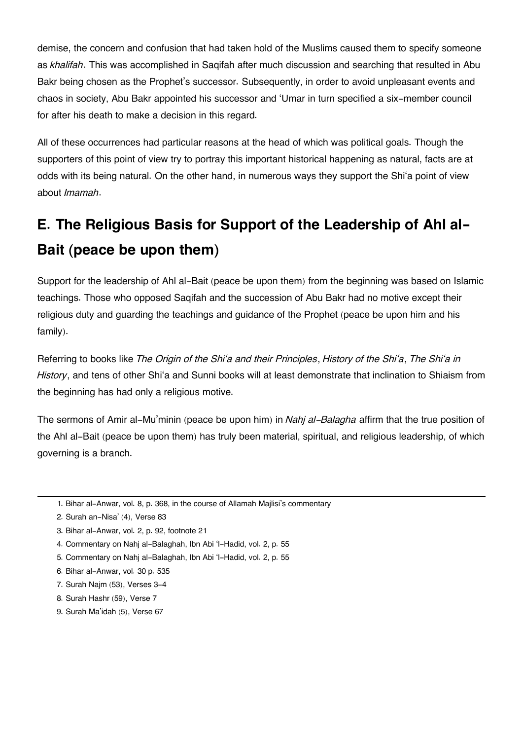demise, the concern and confusion that had taken hold of the Muslims caused them to specify someone as *khalifah*. This was accomplished in Saqifah after much discussion and searching that resulted in Abu Bakr being chosen as the Prophet's successor. Subsequently, in order to avoid unpleasant events and chaos in society, Abu Bakr appointed his successor and 'Umar in turn specified a six-member council for after his death to make a decision in this regard.

All of these occurrences had particular reasons at the head of which was political goals. Though the supporters of this point of view try to portray this important historical happening as natural, facts are at odds with its being natural. On the other hand, in numerous ways they support the Shi'a point of view about *Imamah*.

# **[E. The Religious Basis for Support of the Leadership of Ahl al-](#page--1-0)[Bait \(peace be upon them\)](#page--1-0)**

Support for the leadership of Ahl al-Bait (peace be upon them) from the beginning was based on Islamic teachings. Those who opposed Saqifah and the succession of Abu Bakr had no motive except their religious duty and guarding the teachings and guidance of the Prophet (peace be upon him and his family).

Referring to books like *The Origin of the Shi'a and their Principles*, *History of the Shi'a*, *The Shi'a in History*, and tens of other Shi'a and Sunni books will at least demonstrate that inclination to Shiaism from the beginning has had only a religious motive.

The sermons of Amir al-Mu'minin (peace be upon him) in *Nahj al-Balagha* affirm that the true position of the Ahl al-Bait (peace be upon them) has truly been material, spiritual, and religious leadership, of which governing is a branch.

- [4.](#page--1-0) Commentary on Nahj al-Balaghah, Ibn Abi 'l-Hadid, vol. 2, p. 55
- [5.](#page--1-0) Commentary on Nahj al-Balaghah, Ibn Abi 'l-Hadid, vol. 2, p. 55
- [6.](#page--1-0) Bihar al-Anwar, vol. 30 p. 535
- [7.](#page--1-0) Surah Najm (53), Verses 3-4
- [8.](#page--1-0) Surah Hashr (59), Verse 7
- [9.](#page--1-0) Surah Ma'idah (5), Verse 67

[<sup>1.</sup>](#page--1-0) Bihar al-Anwar, vol. 8, p. 368, in the course of Allamah Majlisi's commentary

[<sup>2.</sup>](#page--1-0) Surah an-Nisa' (4), Verse 83

[<sup>3.</sup>](#page--1-0) Bihar al-Anwar, vol. 2, p. 92, footnote 21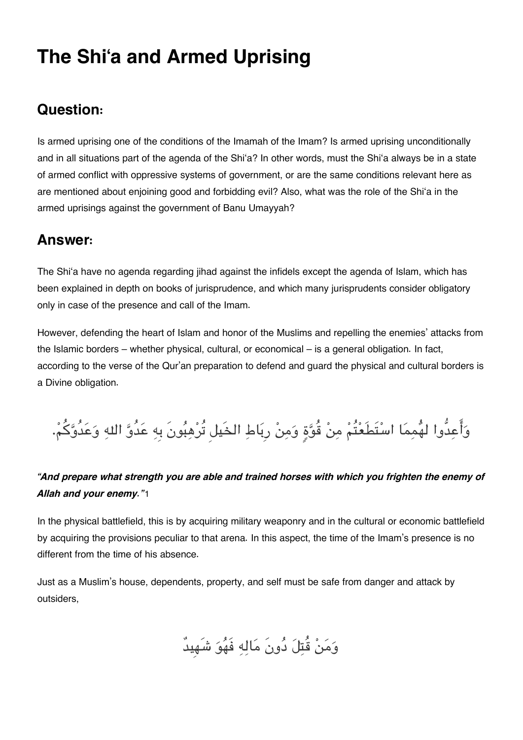# **The Shi'a and Armed Uprising**

## **[Question:](#page--1-0)**

Is armed uprising one of the conditions of the Imamah of the Imam? Is armed uprising unconditionally and in all situations part of the agenda of the Shi'a? In other words, must the Shi'a always be in a state of armed conflict with oppressive systems of government, or are the same conditions relevant here as are mentioned about enjoining good and forbidding evil? Also, what was the role of the Shi'a in the armed uprisings against the government of Banu Umayyah?

## **[Answer:](#page--1-0)**

The Shi'a have no agenda regarding jihad against the infidels except the agenda of Islam, which has been explained in depth on books of jurisprudence, and which many jurisprudents consider obligatory only in case of the presence and call of the Imam.

However, defending the heart of Islam and honor of the Muslims and repelling the enemies' attacks from the Islamic borders – whether physical, cultural, or economical – is a general obligation. In fact, according to the verse of the Qur'an preparation to defend and guard the physical and cultural borders is a Divine obligation.

وَأَعِدُّوا لهُممَا اسْتَطَعْتُمْ مِنْ قُوَّةٍ وَمِنْ رِبَاطِ الخَيل تُرْهِبُونَ بِهِ عَدُوَّ اللهِ وَعَدُوَّكُمْ.

#### *"And prepare what strength you are able and trained horses with which you frighten the enemy of Allah and your enemy."*[1](#page--1-0)

In the physical battlefield, this is by acquiring military weaponry and in the cultural or economic battlefield by acquiring the provisions peculiar to that arena. In this aspect, the time of the Imam's presence is no different from the time of his absence.

Just as a Muslim's house, dependents, property, and self must be safe from danger and attack by outsiders,

ومن قُتل دونَ ماله فَهو شَهِيدٌ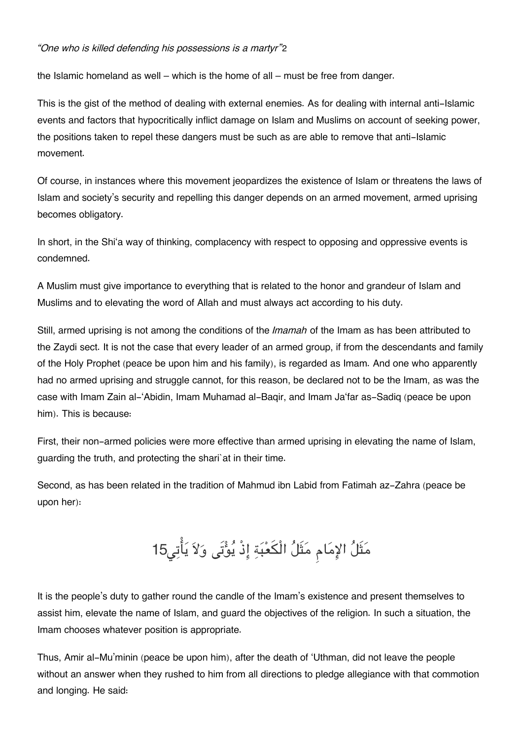#### *"One who is killed defending his possessions is a martyr"*[2](#page--1-0)

the Islamic homeland as well – which is the home of all – must be free from danger.

This is the gist of the method of dealing with external enemies. As for dealing with internal anti-Islamic events and factors that hypocritically inflict damage on Islam and Muslims on account of seeking power, the positions taken to repel these dangers must be such as are able to remove that anti-Islamic movement.

Of course, in instances where this movement jeopardizes the existence of Islam or threatens the laws of Islam and society's security and repelling this danger depends on an armed movement, armed uprising becomes obligatory.

In short, in the Shi'a way of thinking, complacency with respect to opposing and oppressive events is condemned.

A Muslim must give importance to everything that is related to the honor and grandeur of Islam and Muslims and to elevating the word of Allah and must always act according to his duty.

Still, armed uprising is not among the conditions of the *Imamah* of the Imam as has been attributed to the Zaydi sect. It is not the case that every leader of an armed group, if from the descendants and family of the Holy Prophet (peace be upon him and his family), is regarded as Imam. And one who apparently had no armed uprising and struggle cannot, for this reason, be declared not to be the Imam, as was the case with Imam Zain al-'Abidin, Imam Muhamad al-Baqir, and Imam Ja'far as-Sadiq (peace be upon him). This is because:

First, their non-armed policies were more effective than armed uprising in elevating the name of Islam, guarding the truth, and protecting the shari`at in their time.

Second, as has been related in the tradition of Mahmud ibn Labid from Fatimah az-Zahra (peace be upon her):

# مَثَلُ الإِمَامِ مَثَلُ الْكَعْبَةِ إِذْ يُؤْتَى وَلاَ يَأْتِي15

It is the people's duty to gather round the candle of the Imam's existence and present themselves to assist him, elevate the name of Islam, and guard the objectives of the religion. In such a situation, the Imam chooses whatever position is appropriate.

Thus, Amir al-Mu'minin (peace be upon him), after the death of 'Uthman, did not leave the people without an answer when they rushed to him from all directions to pledge allegiance with that commotion and longing. He said: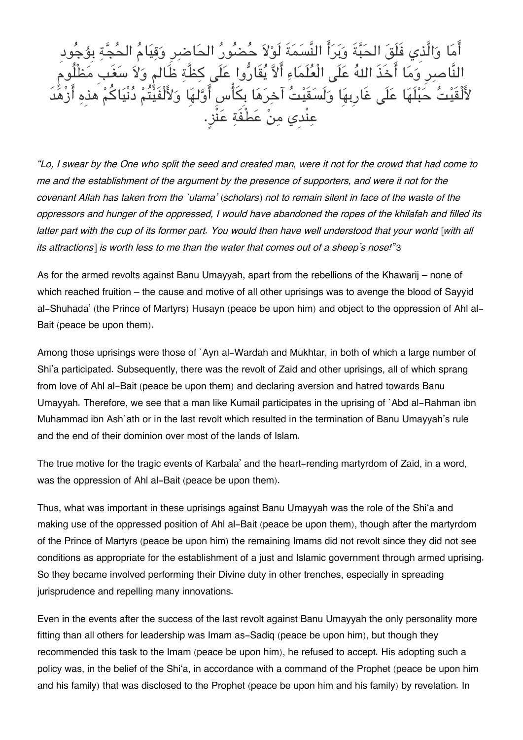اما والَّذِي فَلَق الحبةَ وبرا النَّسمةَ لَولا حضور الحاضرِ وقيام الحجة بِۇجودِ النَّاصِرِ وَمَا اخَذَ اللهَ عَلَى الْعَلَمَاءِ الاَّ يَقَارُوا عَلَى كِظَّةِ ظَالَمٍ وَلاَ سَغَبِ مَظْلُومٍ لأَلْقَيْتَ حَبْلُهَا عَلَى غَارِبِهَا وَلَسَقَيْتَ آخِرَهَا بِكَأْسِ أَوَّلُهَا وَلأَلْفَيْتُمْ دُنِيَاكُمْ هذهِ أَزْهَدَ عنْدِي من عطْفَة عنْز.ٍ

*"Lo, I swear by the One who split the seed and created man, were it not for the crowd that had come to me and the establishment of the argument by the presence of supporters, and were it not for the covenant Allah has taken from the `ulama' (scholars) not to remain silent in face of the waste of the oppressors and hunger of the oppressed, I would have abandoned the ropes of the khilafah and filled its latter part with the cup of its former part. You would then have well understood that your world [with all its attractions] is worth less to me than the water that comes out of a sheep's nose!*"[3](#page--1-0)

As for the armed revolts against Banu Umayyah, apart from the rebellions of the Khawarij – none of which reached fruition – the cause and motive of all other uprisings was to avenge the blood of Sayyid al-Shuhada' (the Prince of Martyrs) Husayn (peace be upon him) and object to the oppression of Ahl al-Bait (peace be upon them).

Among those uprisings were those of `Ayn al-Wardah and Mukhtar, in both of which a large number of Shi'a participated. Subsequently, there was the revolt of Zaid and other uprisings, all of which sprang from love of Ahl al-Bait (peace be upon them) and declaring aversion and hatred towards Banu Umayyah. Therefore, we see that a man like Kumail participates in the uprising of `Abd al-Rahman ibn Muhammad ibn Ash`ath or in the last revolt which resulted in the termination of Banu Umayyah's rule and the end of their dominion over most of the lands of Islam.

The true motive for the tragic events of Karbala' and the heart-rending martyrdom of Zaid, in a word, was the oppression of Ahl al-Bait (peace be upon them).

Thus, what was important in these uprisings against Banu Umayyah was the role of the Shi'a and making use of the oppressed position of Ahl al-Bait (peace be upon them), though after the martyrdom of the Prince of Martyrs (peace be upon him) the remaining Imams did not revolt since they did not see conditions as appropriate for the establishment of a just and Islamic government through armed uprising. So they became involved performing their Divine duty in other trenches, especially in spreading jurisprudence and repelling many innovations.

Even in the events after the success of the last revolt against Banu Umayyah the only personality more fitting than all others for leadership was Imam as-Sadiq (peace be upon him), but though they recommended this task to the Imam (peace be upon him), he refused to accept. His adopting such a policy was, in the belief of the Shi'a, in accordance with a command of the Prophet (peace be upon him and his family) that was disclosed to the Prophet (peace be upon him and his family) by revelation. In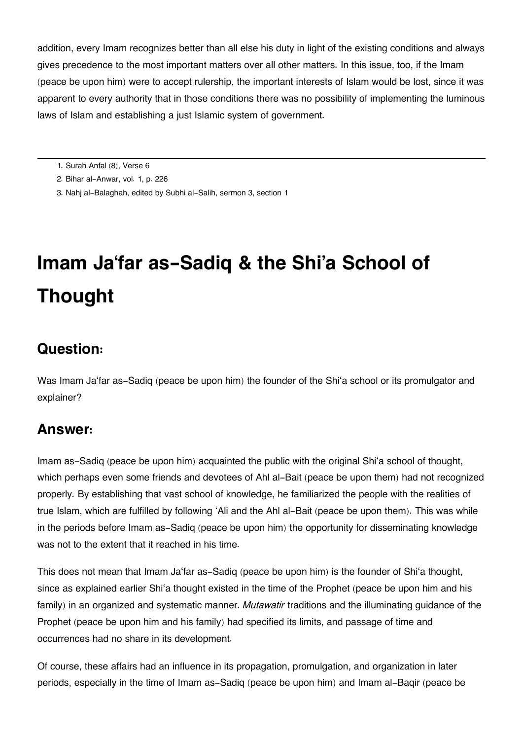addition, every Imam recognizes better than all else his duty in light of the existing conditions and always gives precedence to the most important matters over all other matters. In this issue, too, if the Imam (peace be upon him) were to accept rulership, the important interests of Islam would be lost, since it was apparent to every authority that in those conditions there was no possibility of implementing the luminous laws of Islam and establishing a just Islamic system of government.

- [1.](#page--1-0) Surah Anfal (8), Verse 6
- [2.](#page--1-0) Bihar al-Anwar, vol. 1, p. 226
- [3.](#page--1-0) Nahj al-Balaghah, edited by Subhi al-Salih, sermon 3, section 1

# **Imam Ja'far as-Sadiq & the Shi'a School of Thought**

## **[Question:](#page--1-0)**

Was Imam Ja'far as-Sadiq (peace be upon him) the founder of the Shi'a school or its promulgator and explainer?

## **[Answer:](#page--1-0)**

Imam as-Sadiq (peace be upon him) acquainted the public with the original Shi'a school of thought, which perhaps even some friends and devotees of Ahl al-Bait (peace be upon them) had not recognized properly. By establishing that vast school of knowledge, he familiarized the people with the realities of true Islam, which are fulfilled by following 'Ali and the Ahl al-Bait (peace be upon them). This was while in the periods before Imam as-Sadiq (peace be upon him) the opportunity for disseminating knowledge was not to the extent that it reached in his time.

This does not mean that Imam Ja'far as-Sadiq (peace be upon him) is the founder of Shi'a thought, since as explained earlier Shi'a thought existed in the time of the Prophet (peace be upon him and his family) in an organized and systematic manner. *Mutawatir* traditions and the illuminating guidance of the Prophet (peace be upon him and his family) had specified its limits, and passage of time and occurrences had no share in its development.

Of course, these affairs had an influence in its propagation, promulgation, and organization in later periods, especially in the time of Imam as-Sadiq (peace be upon him) and Imam al-Baqir (peace be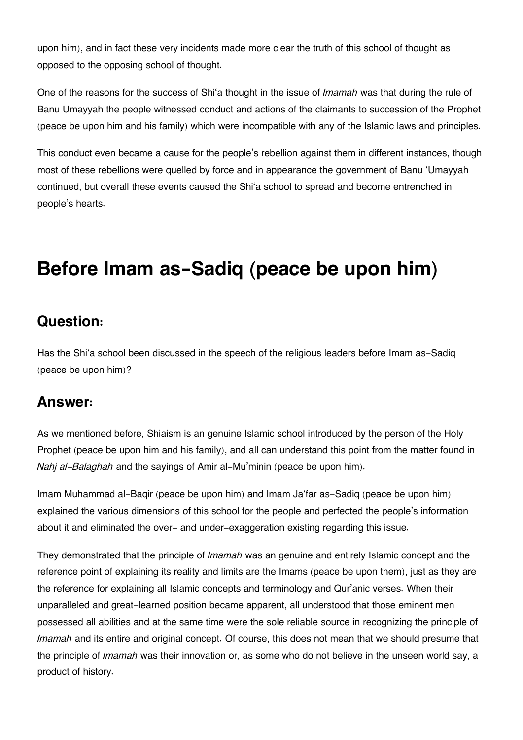upon him), and in fact these very incidents made more clear the truth of this school of thought as opposed to the opposing school of thought.

One of the reasons for the success of Shi'a thought in the issue of *Imamah* was that during the rule of Banu Umayyah the people witnessed conduct and actions of the claimants to succession of the Prophet (peace be upon him and his family) which were incompatible with any of the Islamic laws and principles.

This conduct even became a cause for the people's rebellion against them in different instances, though most of these rebellions were quelled by force and in appearance the government of Banu 'Umayyah continued, but overall these events caused the Shi'a school to spread and become entrenched in people's hearts.

# **Before Imam as-Sadiq (peace be upon him)**

## **[Question:](#page--1-0)**

Has the Shi'a school been discussed in the speech of the religious leaders before Imam as-Sadig (peace be upon him)?

## **[Answer:](#page--1-0)**

As we mentioned before, Shiaism is an genuine Islamic school introduced by the person of the Holy Prophet (peace be upon him and his family), and all can understand this point from the matter found in *Nahj al-Balaghah* and the sayings of Amir al-Mu'minin (peace be upon him).

Imam Muhammad al-Baqir (peace be upon him) and Imam Ja'far as-Sadiq (peace be upon him) explained the various dimensions of this school for the people and perfected the people's information about it and eliminated the over- and under-exaggeration existing regarding this issue.

They demonstrated that the principle of *Imamah* was an genuine and entirely Islamic concept and the reference point of explaining its reality and limits are the Imams (peace be upon them), just as they are the reference for explaining all Islamic concepts and terminology and Qur'anic verses. When their unparalleled and great-learned position became apparent, all understood that those eminent men possessed all abilities and at the same time were the sole reliable source in recognizing the principle of *Imamah* and its entire and original concept. Of course, this does not mean that we should presume that the principle of *Imamah* was their innovation or, as some who do not believe in the unseen world say, a product of history.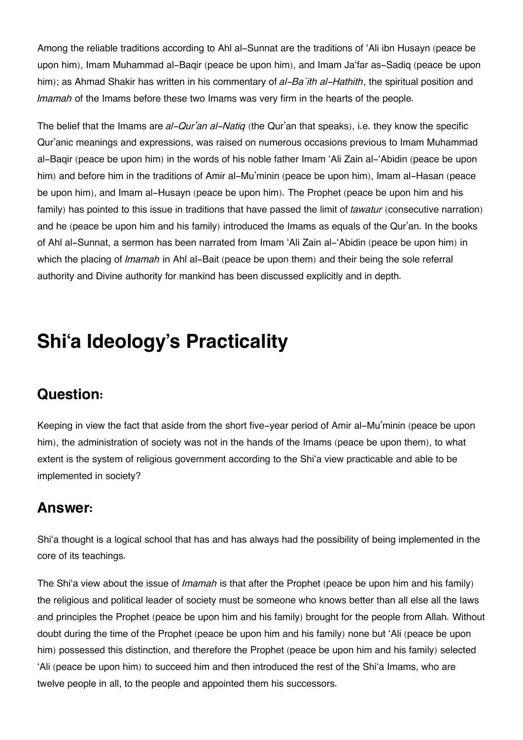Among the reliable traditions according to Ahl al-Sunnat are the traditions of 'Ali ibn Husayn (peace be upon him), Imam Muhammad al-Baqir (peace be upon him), and Imam Ja'far as-Sadiq (peace be upon him); as Ahmad Shakir has written in his commentary of *al-Ba`ith al-Hathith*, the spiritual position and *Imamah* of the Imams before these two Imams was very firm in the hearts of the people.

The belief that the Imams are *al-Qur'an al-Natiq* (the Qur'an that speaks), i.e. they know the specific Qur'anic meanings and expressions, was raised on numerous occasions previous to Imam Muhammad al-Baqir (peace be upon him) in the words of his noble father Imam 'Ali Zain al-'Abidin (peace be upon him) and before him in the traditions of Amir al-Mu'minin (peace be upon him), Imam al-Hasan (peace be upon him), and Imam al-Husayn (peace be upon him). The Prophet (peace be upon him and his family) has pointed to this issue in traditions that have passed the limit of *tawatur* (consecutive narration) and he (peace be upon him and his family) introduced the Imams as equals of the Qur'an. In the books of Ahl al-Sunnat, a sermon has been narrated from Imam 'Ali Zain al-'Abidin (peace be upon him) in which the placing of *Imamah* in Ahl al-Bait (peace be upon them) and their being the sole referral authority and Divine authority for mankind has been discussed explicitly and in depth.

# **Shi'a Ideology's Practicality**

## **[Question:](#page--1-0)**

Keeping in view the fact that aside from the short five-year period of Amir al-Mu'minin (peace be upon him), the administration of society was not in the hands of the Imams (peace be upon them), to what extent is the system of religious government according to the Shi'a view practicable and able to be implemented in society?

## **[Answer:](#page--1-0)**

Shi'a thought is a logical school that has and has always had the possibility of being implemented in the core of its teachings.

The Shi'a view about the issue of *Imamah* is that after the Prophet (peace be upon him and his family) the religious and political leader of society must be someone who knows better than all else all the laws and principles the Prophet (peace be upon him and his family) brought for the people from Allah. Without doubt during the time of the Prophet (peace be upon him and his family) none but 'Ali (peace be upon him) possessed this distinction, and therefore the Prophet (peace be upon him and his family) selected 'Ali (peace be upon him) to succeed him and then introduced the rest of the Shi'a Imams, who are twelve people in all, to the people and appointed them his successors.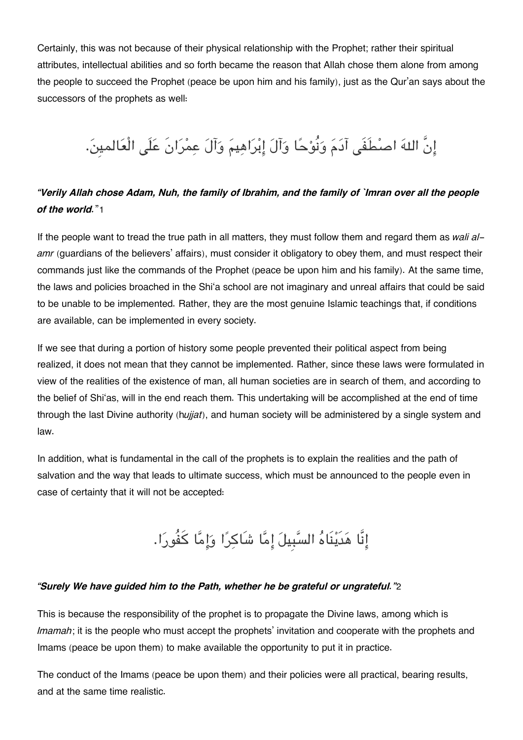Certainly, this was not because of their physical relationship with the Prophet; rather their spiritual attributes, intellectual abilities and so forth became the reason that Allah chose them alone from among the people to succeed the Prophet (peace be upon him and his family), just as the Qur'an says about the successors of the prophets as well:

# إِنَّ اللهَ اصطُفَى آدَمَ وَنُوْحًا وَآلَ إِبْرَاهِيمَ وَآلَ عِمْرَانَ عَلَى الْعَالمينَ.

#### *"Verily Allah chose Adam, Nuh, the family of Ibrahim, and the family of `Imran over all the people of the world.*"[1](#page--1-0)

If the people want to tread the true path in all matters, they must follow them and regard them as *wali alamr* (guardians of the believers' affairs), must consider it obligatory to obey them, and must respect their commands just like the commands of the Prophet (peace be upon him and his family). At the same time, the laws and policies broached in the Shi'a school are not imaginary and unreal affairs that could be said to be unable to be implemented. Rather, they are the most genuine Islamic teachings that, if conditions are available, can be implemented in every society.

If we see that during a portion of history some people prevented their political aspect from being realized, it does not mean that they cannot be implemented. Rather, since these laws were formulated in view of the realities of the existence of man, all human societies are in search of them, and according to the belief of Shi'as, will in the end reach them. This undertaking will be accomplished at the end of time through the last Divine authority (h*ujjat*), and human society will be administered by a single system and law.

In addition, what is fundamental in the call of the prophets is to explain the realities and the path of salvation and the way that leads to ultimate success, which must be announced to the people even in case of certainty that it will not be accepted:

# إِنَّا هَدَيْنَاهُ السَّبِيلَ إِمَّا شَاكِرًا وَإِمَّا كَفُورَا.

#### *"Surely We have guided him to the Path, whether he be grateful or ungrateful."*[2](#page--1-0)

This is because the responsibility of the prophet is to propagate the Divine laws, among which is *Imamah*; it is the people who must accept the prophets' invitation and cooperate with the prophets and Imams (peace be upon them) to make available the opportunity to put it in practice.

The conduct of the Imams (peace be upon them) and their policies were all practical, bearing results, and at the same time realistic.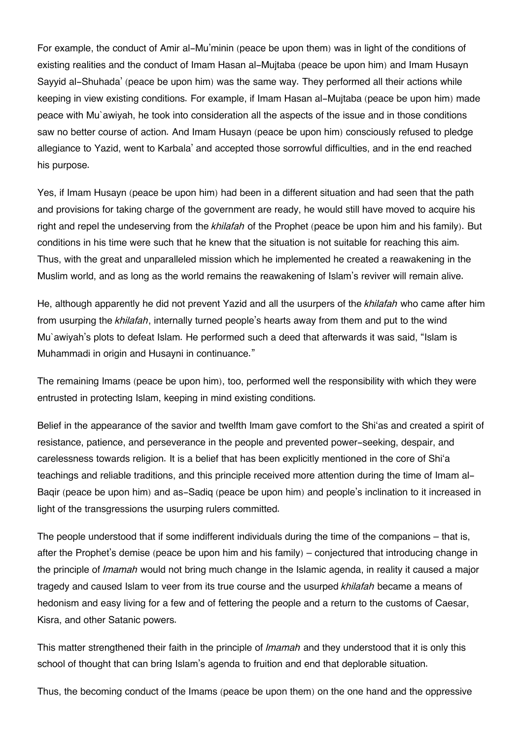For example, the conduct of Amir al-Mu'minin (peace be upon them) was in light of the conditions of existing realities and the conduct of Imam Hasan al-Mujtaba (peace be upon him) and Imam Husayn Sayyid al-Shuhada' (peace be upon him) was the same way. They performed all their actions while keeping in view existing conditions. For example, if Imam Hasan al-Mujtaba (peace be upon him) made peace with Mu`awiyah, he took into consideration all the aspects of the issue and in those conditions saw no better course of action. And Imam Husayn (peace be upon him) consciously refused to pledge allegiance to Yazid, went to Karbala' and accepted those sorrowful difficulties, and in the end reached his purpose.

Yes, if Imam Husayn (peace be upon him) had been in a different situation and had seen that the path and provisions for taking charge of the government are ready, he would still have moved to acquire his right and repel the undeserving from the *khilafah* of the Prophet (peace be upon him and his family). But conditions in his time were such that he knew that the situation is not suitable for reaching this aim. Thus, with the great and unparalleled mission which he implemented he created a reawakening in the Muslim world, and as long as the world remains the reawakening of Islam's reviver will remain alive.

He, although apparently he did not prevent Yazid and all the usurpers of the *khilafah* who came after him from usurping the *khilafah*, internally turned people's hearts away from them and put to the wind Mu`awiyah's plots to defeat Islam. He performed such a deed that afterwards it was said, "Islam is Muhammadi in origin and Husayni in continuance."

The remaining Imams (peace be upon him), too, performed well the responsibility with which they were entrusted in protecting Islam, keeping in mind existing conditions.

Belief in the appearance of the savior and twelfth Imam gave comfort to the Shi'as and created a spirit of resistance, patience, and perseverance in the people and prevented power-seeking, despair, and carelessness towards religion. It is a belief that has been explicitly mentioned in the core of Shi'a teachings and reliable traditions, and this principle received more attention during the time of Imam al-Baqir (peace be upon him) and as-Sadiq (peace be upon him) and people's inclination to it increased in light of the transgressions the usurping rulers committed.

The people understood that if some indifferent individuals during the time of the companions – that is, after the Prophet's demise (peace be upon him and his family) – conjectured that introducing change in the principle of *Imamah* would not bring much change in the Islamic agenda, in reality it caused a major tragedy and caused Islam to veer from its true course and the usurped *khilafah* became a means of hedonism and easy living for a few and of fettering the people and a return to the customs of Caesar, Kisra, and other Satanic powers.

This matter strengthened their faith in the principle of *Imamah* and they understood that it is only this school of thought that can bring Islam's agenda to fruition and end that deplorable situation.

Thus, the becoming conduct of the Imams (peace be upon them) on the one hand and the oppressive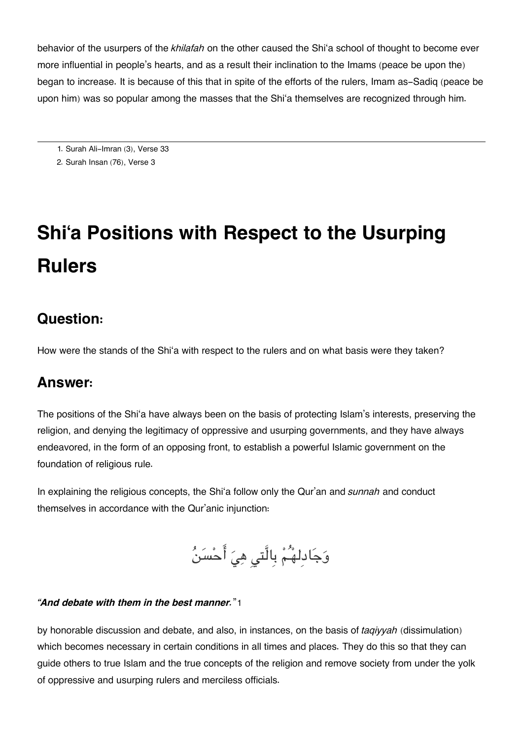behavior of the usurpers of the *khilafah* on the other caused the Shi'a school of thought to become ever more influential in people's hearts, and as a result their inclination to the Imams (peace be upon the) began to increase. It is because of this that in spite of the efforts of the rulers, Imam as-Sadiq (peace be upon him) was so popular among the masses that the Shi'a themselves are recognized through him.

[1.](#page--1-0) Surah Ali-Imran (3), Verse 33

[2.](#page--1-0) Surah Insan (76), Verse 3

# **Shi'a Positions with Respect to the Usurping Rulers**

## **[Question:](#page--1-0)**

How were the stands of the Shi'a with respect to the rulers and on what basis were they taken?

#### **[Answer:](#page--1-0)**

The positions of the Shi'a have always been on the basis of protecting Islam's interests, preserving the religion, and denying the legitimacy of oppressive and usurping governments, and they have always endeavored, in the form of an opposing front, to establish a powerful Islamic government on the foundation of religious rule.

In explaining the religious concepts, the Shi'a follow only the Qur'an and *sunnah* and conduct themselves in accordance with the Qur'anic injunction:

وَجَادِلهُمْ بِالَّتي هِيَ أَحْسَنُ

#### *"And debate with them in the best manner.*"[1](#page--1-0)

by honorable discussion and debate, and also, in instances, on the basis of *taqiyyah* (dissimulation) which becomes necessary in certain conditions in all times and places. They do this so that they can guide others to true Islam and the true concepts of the religion and remove society from under the yolk of oppressive and usurping rulers and merciless officials.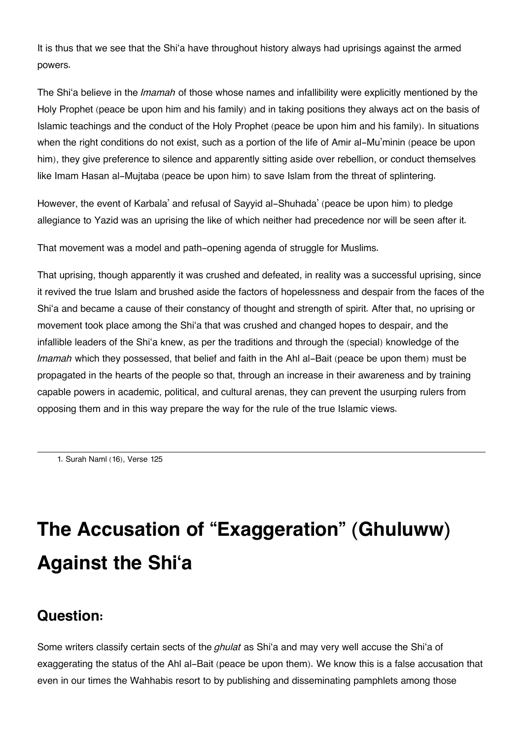It is thus that we see that the Shi'a have throughout history always had uprisings against the armed powers.

The Shi'a believe in the *Imamah* of those whose names and infallibility were explicitly mentioned by the Holy Prophet (peace be upon him and his family) and in taking positions they always act on the basis of Islamic teachings and the conduct of the Holy Prophet (peace be upon him and his family). In situations when the right conditions do not exist, such as a portion of the life of Amir al-Mu'minin (peace be upon him), they give preference to silence and apparently sitting aside over rebellion, or conduct themselves like Imam Hasan al-Mujtaba (peace be upon him) to save Islam from the threat of splintering.

However, the event of Karbala' and refusal of Sayyid al-Shuhada' (peace be upon him) to pledge allegiance to Yazid was an uprising the like of which neither had precedence nor will be seen after it.

That movement was a model and path-opening agenda of struggle for Muslims.

That uprising, though apparently it was crushed and defeated, in reality was a successful uprising, since it revived the true Islam and brushed aside the factors of hopelessness and despair from the faces of the Shi'a and became a cause of their constancy of thought and strength of spirit. After that, no uprising or movement took place among the Shi'a that was crushed and changed hopes to despair, and the infallible leaders of the Shi'a knew, as per the traditions and through the (special) knowledge of the *Imamah* which they possessed, that belief and faith in the Ahl al-Bait (peace be upon them) must be propagated in the hearts of the people so that, through an increase in their awareness and by training capable powers in academic, political, and cultural arenas, they can prevent the usurping rulers from opposing them and in this way prepare the way for the rule of the true Islamic views.

[1.](#page--1-0) Surah Naml (16), Verse 125

# **The Accusation of "Exaggeration" (Ghuluww) Against the Shi'a**

## **[Question:](#page--1-0)**

Some writers classify certain sects of the *ghulat* as Shi'a and may very well accuse the Shi'a of exaggerating the status of the Ahl al-Bait (peace be upon them). We know this is a false accusation that even in our times the Wahhabis resort to by publishing and disseminating pamphlets among those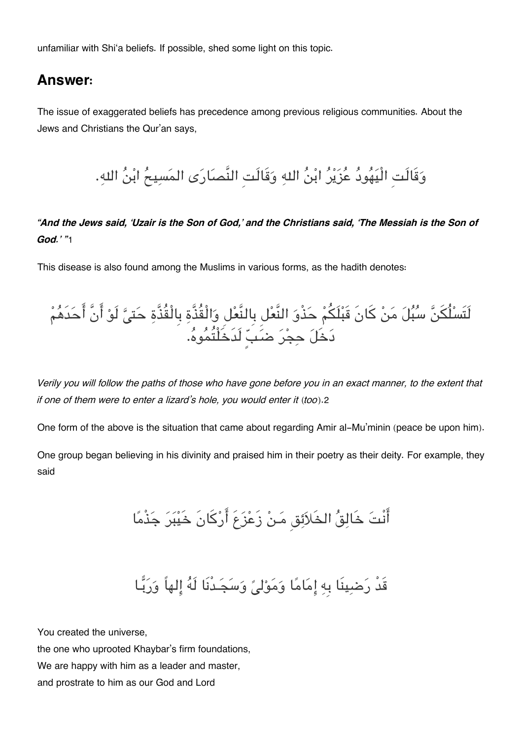unfamiliar with Shi'a beliefs. If possible, shed some light on this topic.

#### **[Answer:](#page--1-0)**

The issue of exaggerated beliefs has precedence among previous religious communities. About the Jews and Christians the Qur'an says,

وَقَالَتِ الْيَهُودُ عُزَيْرُ ابْنُ اللهِ وَقَالَتِ النَّصَارَى المَسِيحُ ابْنُ اللهِ.

*"And the Jews said, 'Uzair is the Son of God,' and the Christians said, 'The Messiah is the Son of God.' "*[1](#page--1-0)

This disease is also found among the Muslims in various forms, as the hadith denotes:



*Verily you will follow the paths of those who have gone before you in an exact manner, to the extent that if one of them were to enter a lizard's hole, you would enter it (too)*.[2](#page--1-0)

One form of the above is the situation that came about regarding Amir al-Mu'minin (peace be upon him).

One group began believing in his divinity and praised him in their poetry as their deity. For example, they said

أَنْتَ خَالِقُ الخَلاَئِق مَنْ زَعْزَعَ أَرْكَانَ خَيْبَرَ جَذْمًا

# قَدْ رَضبِينَا بِهِ إِمَامًا وَمَوْليً وَسَجَـدْنَا لَهُ إِلهاً وَرَبَّـا

You created the universe, the one who uprooted Khaybar's firm foundations, We are happy with him as a leader and master, and prostrate to him as our God and Lord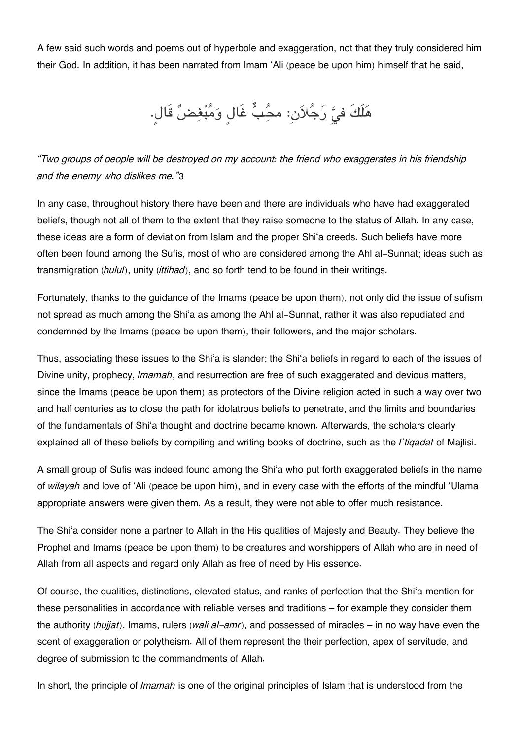A few said such words and poems out of hyperbole and exaggeration, not that they truly considered him their God. In addition, it has been narrated from Imam 'Ali (peace be upon him) himself that he said,

هَلَكَ فيَّ رَجُلاَن: محُبُّ غَالٍ وَمُبْغِضٌ قَالٍ.

*"Two groups of people will be destroyed on my account: the friend who exaggerates in his friendship and the enemy who dislikes me."*[3](#page--1-0)

In any case, throughout history there have been and there are individuals who have had exaggerated beliefs, though not all of them to the extent that they raise someone to the status of Allah. In any case, these ideas are a form of deviation from Islam and the proper Shi'a creeds. Such beliefs have more often been found among the Sufis, most of who are considered among the Ahl al-Sunnat; ideas such as transmigration (*hulul*), unity (*ittihad*), and so forth tend to be found in their writings.

Fortunately, thanks to the guidance of the Imams (peace be upon them), not only did the issue of sufism not spread as much among the Shi'a as among the Ahl al-Sunnat, rather it was also repudiated and condemned by the Imams (peace be upon them), their followers, and the major scholars.

Thus, associating these issues to the Shi'a is slander; the Shi'a beliefs in regard to each of the issues of Divine unity, prophecy, *Imamah*, and resurrection are free of such exaggerated and devious matters, since the Imams (peace be upon them) as protectors of the Divine religion acted in such a way over two and half centuries as to close the path for idolatrous beliefs to penetrate, and the limits and boundaries of the fundamentals of Shi'a thought and doctrine became known. Afterwards, the scholars clearly explained all of these beliefs by compiling and writing books of doctrine, such as the *I`tiqadat* of Majlisi.

A small group of Sufis was indeed found among the Shi'a who put forth exaggerated beliefs in the name of *wilayah* and love of 'Ali (peace be upon him), and in every case with the efforts of the mindful 'Ulama appropriate answers were given them. As a result, they were not able to offer much resistance.

The Shi'a consider none a partner to Allah in the His qualities of Majesty and Beauty. They believe the Prophet and Imams (peace be upon them) to be creatures and worshippers of Allah who are in need of Allah from all aspects and regard only Allah as free of need by His essence.

Of course, the qualities, distinctions, elevated status, and ranks of perfection that the Shi'a mention for these personalities in accordance with reliable verses and traditions – for example they consider them the authority *(hujjat)*, Imams, rulers (*wali al-amr*), and possessed of miracles – in no way have even the scent of exaggeration or polytheism. All of them represent the their perfection, apex of servitude, and degree of submission to the commandments of Allah.

In short, the principle of *Imamah* is one of the original principles of Islam that is understood from the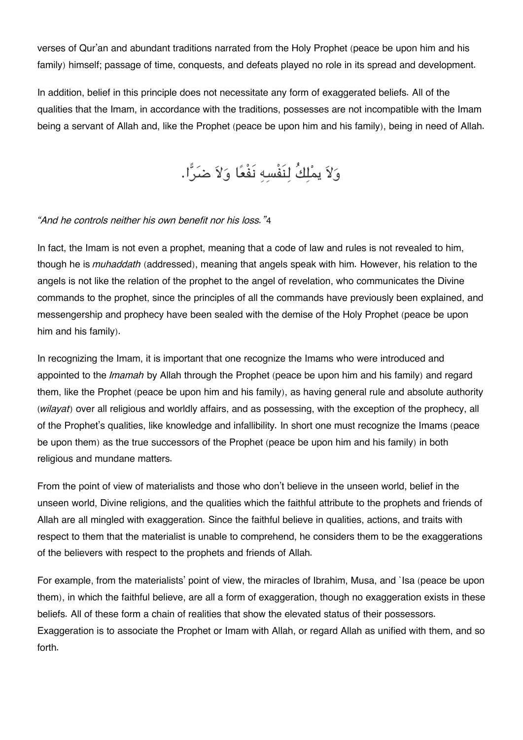verses of Qur'an and abundant traditions narrated from the Holy Prophet (peace be upon him and his family) himself; passage of time, conquests, and defeats played no role in its spread and development.

In addition, belief in this principle does not necessitate any form of exaggerated beliefs. All of the qualities that the Imam, in accordance with the traditions, possesses are not incompatible with the Imam being a servant of Allah and, like the Prophet (peace be upon him and his family), being in need of Allah.

ولا يملكُ لنَفْسه نَفْعا ولا ضرا.

#### *"And he controls neither his own benefit nor his loss."*[4](#page--1-0)

In fact, the Imam is not even a prophet, meaning that a code of law and rules is not revealed to him, though he is *muhaddath* (addressed), meaning that angels speak with him. However, his relation to the angels is not like the relation of the prophet to the angel of revelation, who communicates the Divine commands to the prophet, since the principles of all the commands have previously been explained, and messengership and prophecy have been sealed with the demise of the Holy Prophet (peace be upon him and his family).

In recognizing the Imam, it is important that one recognize the Imams who were introduced and appointed to the *Imamah* by Allah through the Prophet (peace be upon him and his family) and regard them, like the Prophet (peace be upon him and his family), as having general rule and absolute authority (*wilayat*) over all religious and worldly affairs, and as possessing, with the exception of the prophecy, all of the Prophet's qualities, like knowledge and infallibility. In short one must recognize the Imams (peace be upon them) as the true successors of the Prophet (peace be upon him and his family) in both religious and mundane matters.

From the point of view of materialists and those who don't believe in the unseen world, belief in the unseen world, Divine religions, and the qualities which the faithful attribute to the prophets and friends of Allah are all mingled with exaggeration. Since the faithful believe in qualities, actions, and traits with respect to them that the materialist is unable to comprehend, he considers them to be the exaggerations of the believers with respect to the prophets and friends of Allah.

For example, from the materialists' point of view, the miracles of Ibrahim, Musa, and `Isa (peace be upon them), in which the faithful believe, are all a form of exaggeration, though no exaggeration exists in these beliefs. All of these form a chain of realities that show the elevated status of their possessors. Exaggeration is to associate the Prophet or Imam with Allah, or regard Allah as unified with them, and so forth.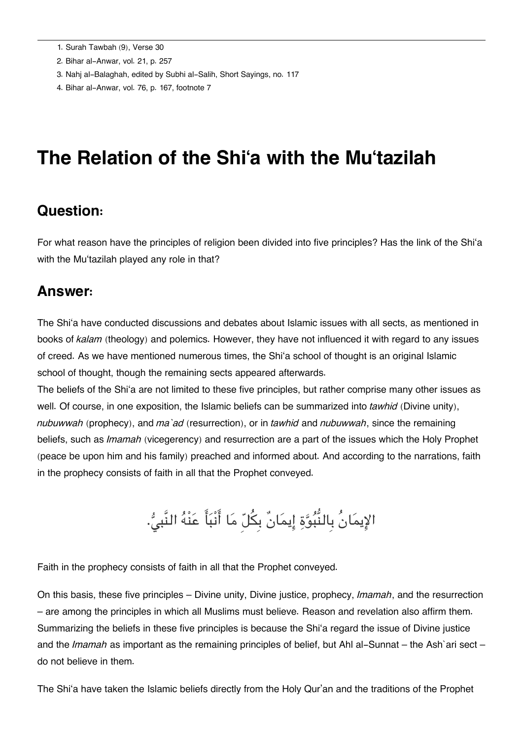- [2.](#page--1-0) Bihar al-Anwar, vol. 21, p. 257
- [3.](#page--1-0) Nahj al-Balaghah, edited by Subhi al-Salih, Short Sayings, no. 117
- [4.](#page--1-0) Bihar al-Anwar, vol. 76, p. 167, footnote 7

## **The Relation of the Shi'a with the Mu'tazilah**

#### **[Question:](#page--1-0)**

For what reason have the principles of religion been divided into five principles? Has the link of the Shi'a with the Mu'tazilah played any role in that?

#### **[Answer:](#page--1-0)**

The Shi'a have conducted discussions and debates about Islamic issues with all sects, as mentioned in books of *kalam* (theology) and polemics. However, they have not influenced it with regard to any issues of creed. As we have mentioned numerous times, the Shi'a school of thought is an original Islamic school of thought, though the remaining sects appeared afterwards.

The beliefs of the Shi'a are not limited to these five principles, but rather comprise many other issues as well. Of course, in one exposition, the Islamic beliefs can be summarized into *tawhid* (Divine unity), *nubuwwah* (prophecy), and *ma`ad* (resurrection), or in *tawhid* and *nubuwwah*, since the remaining beliefs, such as *Imamah* (vicegerency) and resurrection are a part of the issues which the Holy Prophet (peace be upon him and his family) preached and informed about. And according to the narrations, faith in the prophecy consists of faith in all that the Prophet conveyed.

الإِيمَانُ بِالنُّبُوَّةِ إِيمَانٌ بِكُلّ مَا أَنْبَأَ عَنْهُ النَّبيُّ.

Faith in the prophecy consists of faith in all that the Prophet conveyed.

On this basis, these five principles – Divine unity, Divine justice, prophecy, *Imamah*, and the resurrection – are among the principles in which all Muslims must believe. Reason and revelation also affirm them. Summarizing the beliefs in these five principles is because the Shi'a regard the issue of Divine justice and the *Imamah* as important as the remaining principles of belief, but Ahl al-Sunnat – the Ash`ari sect – do not believe in them.

The Shi'a have taken the Islamic beliefs directly from the Holy Qur'an and the traditions of the Prophet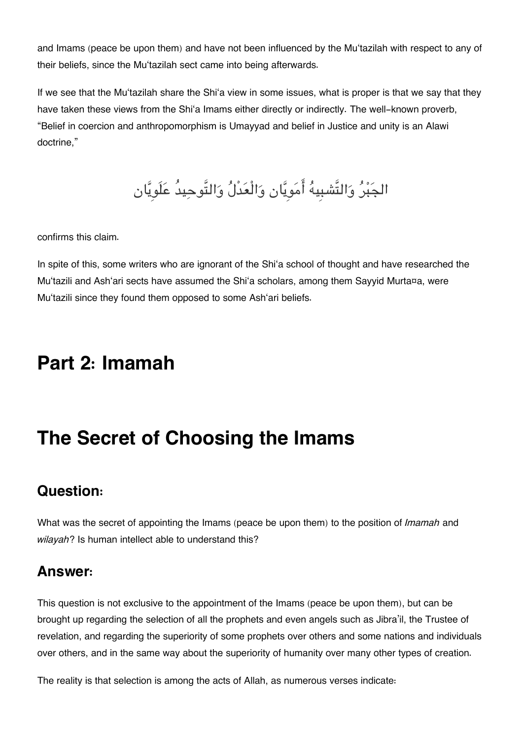and Imams (peace be upon them) and have not been influenced by the Mu'tazilah with respect to any of their beliefs, since the Mu'tazilah sect came into being afterwards.

If we see that the Mu'tazilah share the Shi'a view in some issues, what is proper is that we say that they have taken these views from the Shi'a Imams either directly or indirectly. The well-known proverb, "Belief in coercion and anthropomorphism is Umayyad and belief in Justice and unity is an Alawi doctrine,"

الجَبْرُ وَالتَّشبِيهُ أَمَوِيَّان وَالْعَدْلُ وَالتَّوحِيدُ عَلَويَّان

confirms this claim.

In spite of this, some writers who are ignorant of the Shi'a school of thought and have researched the Mu'tazili and Ash'ari sects have assumed the Shi'a scholars, among them Sayyid Murta¤a, were Mu'tazili since they found them opposed to some Ash'ari beliefs.

## **Part 2: Imamah**

# **The Secret of Choosing the Imams**

## **[Question:](#page--1-0)**

What was the secret of appointing the Imams (peace be upon them) to the position of *Imamah* and *wilayah*? Is human intellect able to understand this?

## **[Answer:](#page--1-0)**

This question is not exclusive to the appointment of the Imams (peace be upon them), but can be brought up regarding the selection of all the prophets and even angels such as Jibra'il, the Trustee of revelation, and regarding the superiority of some prophets over others and some nations and individuals over others, and in the same way about the superiority of humanity over many other types of creation.

The reality is that selection is among the acts of Allah, as numerous verses indicate: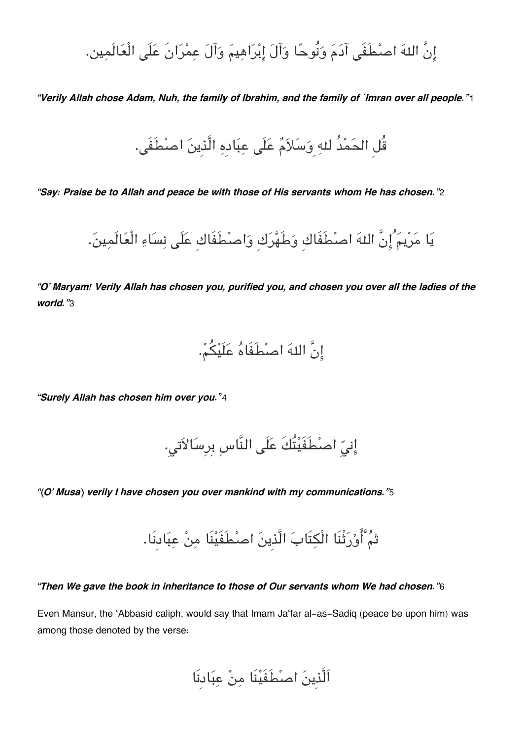إِنَّ اللهَ اصطْفَى آدَمَ وَنُوحًا وَآلَ إِبْرَاهِيمَ وَآلَ عمْرَانَ عَلَى الْعَالَمين.

*"Verily Allah chose Adam, Nuh, the family of Ibrahim, and the family of `Imran over all people."*[1](#page--1-0)

قُل الحَمْدُ للهِ وَسَلاَمٌ عَلَى عِبَادِهِ الَّذِينَ اصنْطَفَى.

*"Say: Praise be to Allah and peace be with those of His servants whom He has chosen."*[2](#page--1-0)

يا مريم ُانَّ اله اصطَفَاكِ وطَهركِ واصطَفَاكِ علَ نساء الْعالَمين.

*"O' Maryam! Verily Allah has chosen you, purified you, and chosen you over all the ladies of the world."*[3](#page--1-0)

انَّ اله اصطَفَاه علَيم.

*"Surely Allah has chosen him over you.*"[4](#page--1-0)

إِنِيِّ اصطَفَيْتُكَ عَلَى النَّاسِ بِرِسَالاَتى.

*"(O' Musa) verily I have chosen you over mankind with my communications."*[5](#page--1-0)

ثم َّاورثْنَا الْتَاب الَّذِين اصطَفَينَا من عبادِنَا.

#### *"Then We gave the book in inheritance to those of Our servants whom We had chosen."*[6](#page--1-0)

Even Mansur, the 'Abbasid caliph, would say that Imam Ja'far al-as-Sadiq (peace be upon him) was among those denoted by the verse:

اَلَّذِين اصطَفَينَا من عبادِنَا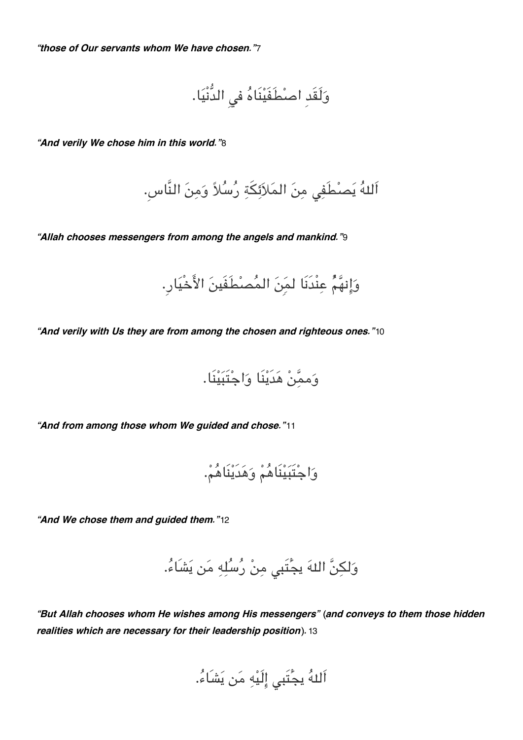*"those of Our servants whom We have chosen."*[7](#page--1-0)

ولَقَدِ اصطَفَينَاه ف الدُّنْيا.

*"And verily We chose him in this world."*[8](#page--1-0)

اَللهُ يَصطُفِي مِنَ المَلاَئِكَةِ رُسُلاً وَمِنَ النَّاسِ.

*"Allah chooses messengers from among the angels and mankind."*[9](#page--1-0)

وانهمْ عنْدَنَا لمِن المصطَفَين الاخْيار.ِ

*"And verily with Us they are from among the chosen and righteous ones."*[10](#page--1-0)

وممن هدَينَا واجتَبينَا.

*"And from among those whom We guided and chose."*[11](#page--1-0)

واجتَبينَاهم وهدَينَاهم.

*"And We chose them and guided them."*[12](#page--1-0)

وَلكِنَّ اللهَ يجُّتَبى مِنْ رُسُلِهِ مَن يَشَاءُ.

*"But Allah chooses whom He wishes among His messengers" (and conveys to them those hidden realities which are necessary for their leadership position).*[13](#page--1-0)

اَللهُ يجُتَبى إِلَيْهِ مَن يَشَاءُ.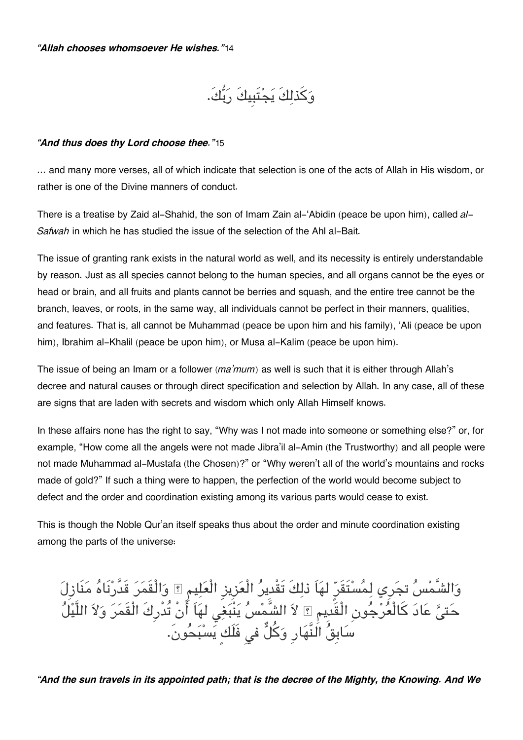وكذلكَ يجتَبِيكَ ربك.َ

#### *"And thus does thy Lord choose thee."*[15](#page--1-0)

… and many more verses, all of which indicate that selection is one of the acts of Allah in His wisdom, or rather is one of the Divine manners of conduct.

There is a treatise by Zaid al-Shahid, the son of Imam Zain al-'Abidin (peace be upon him), called *al-Safwah* in which he has studied the issue of the selection of the Ahl al-Bait.

The issue of granting rank exists in the natural world as well, and its necessity is entirely understandable by reason. Just as all species cannot belong to the human species, and all organs cannot be the eyes or head or brain, and all fruits and plants cannot be berries and squash, and the entire tree cannot be the branch, leaves, or roots, in the same way, all individuals cannot be perfect in their manners, qualities, and features. That is, all cannot be Muhammad (peace be upon him and his family), 'Ali (peace be upon him), Ibrahim al-Khalil (peace be upon him), or Musa al-Kalim (peace be upon him).

The issue of being an Imam or a follower (*ma'mum*) as well is such that it is either through Allah's decree and natural causes or through direct specification and selection by Allah. In any case, all of these are signs that are laden with secrets and wisdom which only Allah Himself knows.

In these affairs none has the right to say, "Why was I not made into someone or something else?" or, for example, "How come all the angels were not made Jibra'il al-Amin (the Trustworthy) and all people were not made Muhammad al-Mustafa (the Chosen)?" or "Why weren't all of the world's mountains and rocks made of gold?" If such a thing were to happen, the perfection of the world would become subject to defect and the order and coordination existing among its various parts would cease to exist.

This is though the Noble Qur'an itself speaks thus about the order and minute coordination existing among the parts of the universe:

والشَّمس تجرِي لمستَقَرٍ لهاَ ذلكَ تَقْدِير الْعزِيزِ الْعليم والْقَمر قَدَّرنَاه منَازِل حَتِيُّ عَادَ كالْعَرْجُونِ الْقَدِيمِ ۩ لاَ الشَّمْسُ يَنْبَغِي لَهَا انْ تُدْرِكَ الْقَمَرَ وَلاَ اللَّيْلَ سَابِقَ النَّهَارِ وَكلَّ في فَلَكِ يَسْبَحُونَ.

*"And the sun travels in its appointed path; that is the decree of the Mighty, the Knowing. And We*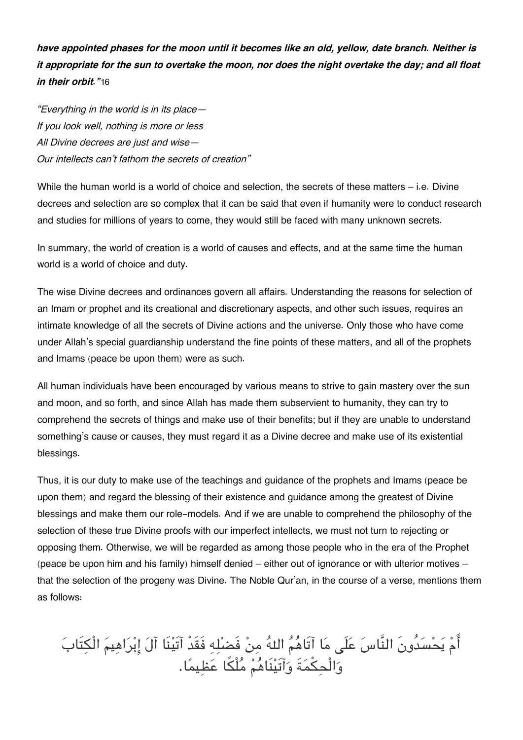*have appointed phases for the moon until it becomes like an old, yellow, date branch. Neither is it appropriate for the sun to overtake the moon, nor does the night overtake the day; and all float in their orbit."*[16](#page--1-0)

*"Everything in the world is in its place— If you look well, nothing is more or less All Divine decrees are just and wise— Our intellects can't fathom the secrets of creation"*

While the human world is a world of choice and selection, the secrets of these matters – i.e. Divine decrees and selection are so complex that it can be said that even if humanity were to conduct research and studies for millions of years to come, they would still be faced with many unknown secrets.

In summary, the world of creation is a world of causes and effects, and at the same time the human world is a world of choice and duty.

The wise Divine decrees and ordinances govern all affairs. Understanding the reasons for selection of an Imam or prophet and its creational and discretionary aspects, and other such issues, requires an intimate knowledge of all the secrets of Divine actions and the universe. Only those who have come under Allah's special guardianship understand the fine points of these matters, and all of the prophets and Imams (peace be upon them) were as such.

All human individuals have been encouraged by various means to strive to gain mastery over the sun and moon, and so forth, and since Allah has made them subservient to humanity, they can try to comprehend the secrets of things and make use of their benefits; but if they are unable to understand something's cause or causes, they must regard it as a Divine decree and make use of its existential blessings.

Thus, it is our duty to make use of the teachings and guidance of the prophets and Imams (peace be upon them) and regard the blessing of their existence and guidance among the greatest of Divine blessings and make them our role-models. And if we are unable to comprehend the philosophy of the selection of these true Divine proofs with our imperfect intellects, we must not turn to rejecting or opposing them. Otherwise, we will be regarded as among those people who in the era of the Prophet (peace be upon him and his family) himself denied – either out of ignorance or with ulterior motives – that the selection of the progeny was Divine. The Noble Qur'an, in the course of a verse, mentions them as follows:

امْ يَحْسَدُونَ النَّاسَ عَلَى مَا اتَاهَمُ اللَّهُ مِنْ فَضَلِّهِ فَقَدْ اتِينَا آلَ إِبْرَاهِيمُ الْكِتَابَ وَالْحِكْمَةَ وَاتَيْنَاهُمْ مَلْكَا عَظِيمًا.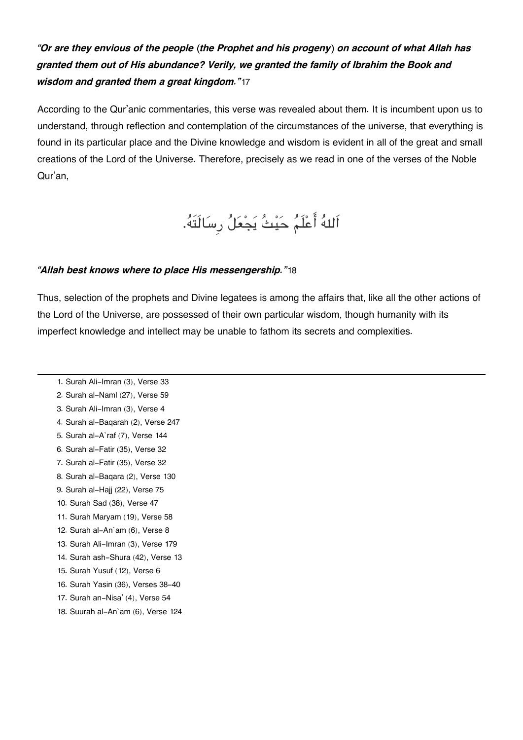#### *"Or are they envious of the people (the Prophet and his progeny) on account of what Allah has granted them out of His abundance? Verily, we granted the family of Ibrahim the Book and wisdom and granted them a great kingdom."*[17](#page--1-0)

According to the Qur'anic commentaries, this verse was revealed about them. It is incumbent upon us to understand, through reflection and contemplation of the circumstances of the universe, that everything is found in its particular place and the Divine knowledge and wisdom is evident in all of the great and small creations of the Lord of the Universe. Therefore, precisely as we read in one of the verses of the Noble Qur'an,

اَله اعلَم حيث يجعل رِسالَتَه.

#### *"Allah best knows where to place His messengership."*[18](#page--1-0)

Thus, selection of the prophets and Divine legatees is among the affairs that, like all the other actions of the Lord of the Universe, are possessed of their own particular wisdom, though humanity with its imperfect knowledge and intellect may be unable to fathom its secrets and complexities.

- [1.](#page--1-0) Surah Ali-Imran (3), Verse 33 [2.](#page--1-0) Surah al-Naml (27), Verse 59 [3.](#page--1-0) Surah Ali-Imran (3), Verse 4 [4.](#page--1-0) Surah al-Baqarah (2), Verse 247 [5.](#page--1-0) Surah al-A`raf (7), Verse 144 [6.](#page--1-0) Surah al-Fatir (35), Verse 32 [7.](#page--1-0) Surah al-Fatir (35), Verse 32 [8.](#page--1-0) Surah al-Baqara (2), Verse 130 [9.](#page--1-0) Surah al-Hajj (22), Verse 75 [10.](#page--1-0) Surah Sad (38), Verse 47
- [11.](#page--1-0) Surah Maryam (19), Verse 58
- [12.](#page--1-0) Surah al-An`am (6), Verse 8
- [13.](#page--1-0) Surah Ali-Imran (3), Verse 179
- [14.](#page--1-0) Surah ash-Shura (42), Verse 13
- [15.](#page--1-0) Surah Yusuf (12), Verse 6
- [16.](#page--1-0) Surah Yasin (36), Verses 38-40
- [17.](#page--1-0) Surah an-Nisa' (4), Verse 54
- [18.](#page--1-0) Suurah al-An`am (6), Verse 124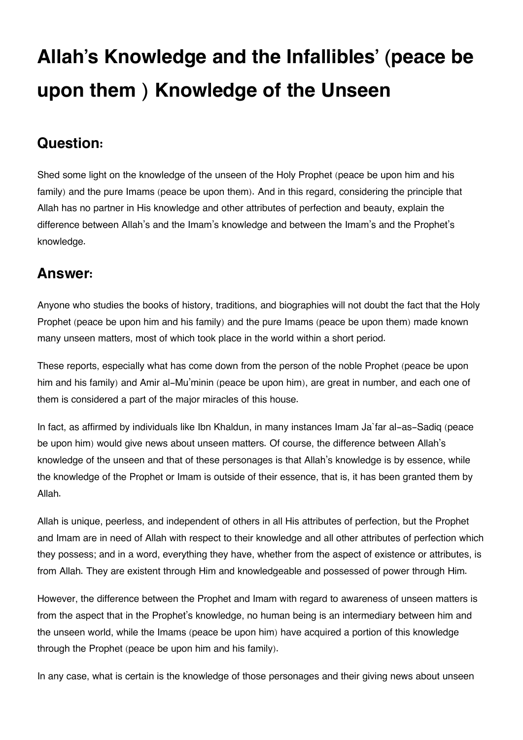# **Allah's Knowledge and the Infallibles' (peace be upon them ) Knowledge of the Unseen**

## **[Question:](#page--1-0)**

Shed some light on the knowledge of the unseen of the Holy Prophet (peace be upon him and his family) and the pure Imams (peace be upon them). And in this regard, considering the principle that Allah has no partner in His knowledge and other attributes of perfection and beauty, explain the difference between Allah's and the Imam's knowledge and between the Imam's and the Prophet's knowledge.

## **[Answer:](#page--1-0)**

Anyone who studies the books of history, traditions, and biographies will not doubt the fact that the Holy Prophet (peace be upon him and his family) and the pure Imams (peace be upon them) made known many unseen matters, most of which took place in the world within a short period.

These reports, especially what has come down from the person of the noble Prophet (peace be upon him and his family) and Amir al-Mu'minin (peace be upon him), are great in number, and each one of them is considered a part of the major miracles of this house.

In fact, as affirmed by individuals like Ibn Khaldun, in many instances Imam Ja`far al-as-Sadiq (peace be upon him) would give news about unseen matters. Of course, the difference between Allah's knowledge of the unseen and that of these personages is that Allah's knowledge is by essence, while the knowledge of the Prophet or Imam is outside of their essence, that is, it has been granted them by Allah.

Allah is unique, peerless, and independent of others in all His attributes of perfection, but the Prophet and Imam are in need of Allah with respect to their knowledge and all other attributes of perfection which they possess; and in a word, everything they have, whether from the aspect of existence or attributes, is from Allah. They are existent through Him and knowledgeable and possessed of power through Him.

However, the difference between the Prophet and Imam with regard to awareness of unseen matters is from the aspect that in the Prophet's knowledge, no human being is an intermediary between him and the unseen world, while the Imams (peace be upon him) have acquired a portion of this knowledge through the Prophet (peace be upon him and his family).

In any case, what is certain is the knowledge of those personages and their giving news about unseen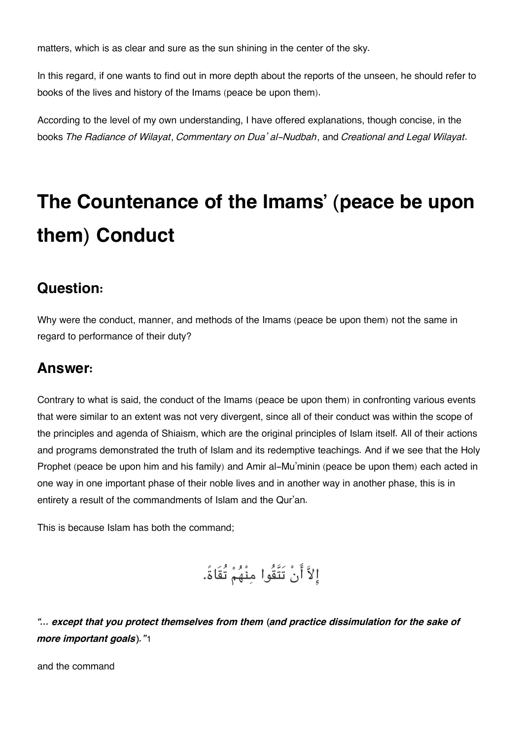matters, which is as clear and sure as the sun shining in the center of the sky.

In this regard, if one wants to find out in more depth about the reports of the unseen, he should refer to books of the lives and history of the Imams (peace be upon them).

According to the level of my own understanding, I have offered explanations, though concise, in the books *The Radiance of Wilayat*, *Commentary on Dua' al-Nudbah*, and *Creational and Legal Wilayat*.

# **The Countenance of the Imams' (peace be upon them) Conduct**

#### **[Question:](#page--1-0)**

Why were the conduct, manner, and methods of the Imams (peace be upon them) not the same in regard to performance of their duty?

### **[Answer:](#page--1-0)**

Contrary to what is said, the conduct of the Imams (peace be upon them) in confronting various events that were similar to an extent was not very divergent, since all of their conduct was within the scope of the principles and agenda of Shiaism, which are the original principles of Islam itself. All of their actions and programs demonstrated the truth of Islam and its redemptive teachings. And if we see that the Holy Prophet (peace be upon him and his family) and Amir al-Mu'minin (peace be upon them) each acted in one way in one important phase of their noble lives and in another way in another phase, this is in entirety a result of the commandments of Islam and the Qur'an.

This is because Islam has both the command;

الا انْ تَتَّقُوا منْهم تُقَاة.ً

*"… except that you protect themselves from them (and practice dissimulation for the sake of more important goals)."*[1](#page--1-0)

and the command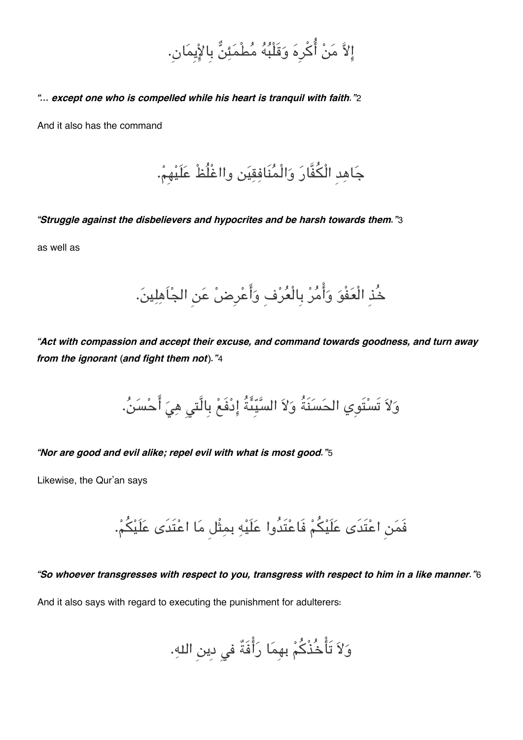الا من اكرِه وقَلْبه مطْمئن بِالايِمان.ِ

*"… except one who is compelled while his heart is tranquil with faith."*[2](#page--1-0)

And it also has the command

جاهدِ الْفَّار والْمنَافقين وااغْلُظْ علَيهِم.

*"Struggle against the disbelievers and hypocrites and be harsh towards them."*[3](#page--1-0)

as well as

خُذِ الْعَفْوَ وَأْمُرْ بِالْعُرْفِ وَأَعْرِضْ عَنِ الجُاَهِلِينَ.

*"Act with compassion and accept their excuse, and command towards goodness, and turn away from the ignorant (and fight them not)."*[4](#page--1-0)

وَلاَ تَسْتَوِي الحَسَنَةُ وَلاَ السَّيِّئَةُ إِدْفَعْ بِالَّتى هِيَ أَحْسَنُ.

*"Nor are good and evil alike; repel evil with what is most good."*[5](#page--1-0)

Likewise, the Qur'an says

فَمَن اعْتَدَى عَلَيْكُمْ فَاعْتَدُوا عَلَيْهِ بمِثْل مَا اعْتَدَى عَلَيْكُمْ.

#### *"So whoever transgresses with respect to you, transgress with respect to him in a like manner."*[6](#page--1-0)

And it also says with regard to executing the punishment for adulterers:

ولا تَاخُذْكم بهِما رافَةٌ ف دِين اله.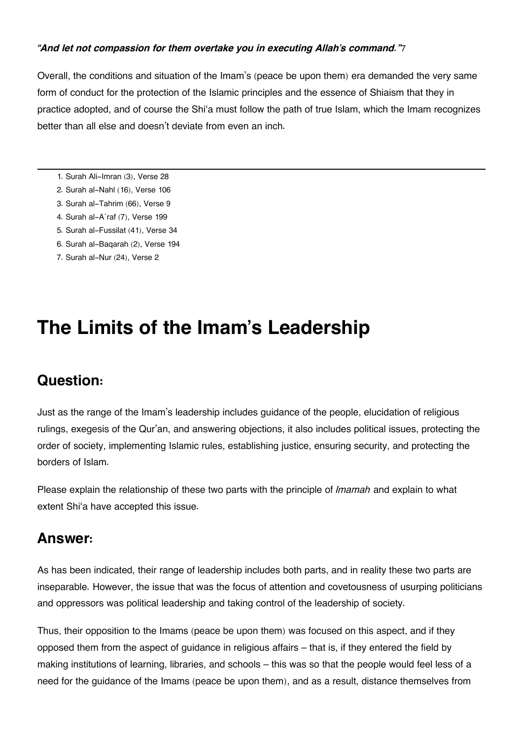#### *"And let not compassion for them overtake you in executing Allah's command."*[7](#page--1-0)

Overall, the conditions and situation of the Imam's (peace be upon them) era demanded the very same form of conduct for the protection of the Islamic principles and the essence of Shiaism that they in practice adopted, and of course the Shi'a must follow the path of true Islam, which the Imam recognizes better than all else and doesn't deviate from even an inch.

- [1.](#page--1-0) Surah Ali-Imran (3), Verse 28
- [2.](#page--1-0) Surah al-Nahl (16), Verse 106
- [3.](#page--1-0) Surah al-Tahrim (66), Verse 9
- [4.](#page--1-0) Surah al-A`raf (7), Verse 199
- [5.](#page--1-0) Surah al-Fussilat (41), Verse 34
- [6.](#page--1-0) Surah al-Baqarah (2), Verse 194
- [7.](#page--1-0) Surah al-Nur (24), Verse 2

## **The Limits of the Imam's Leadership**

### **[Question:](#page--1-0)**

Just as the range of the Imam's leadership includes guidance of the people, elucidation of religious rulings, exegesis of the Qur'an, and answering objections, it also includes political issues, protecting the order of society, implementing Islamic rules, establishing justice, ensuring security, and protecting the borders of Islam.

Please explain the relationship of these two parts with the principle of *Imamah* and explain to what extent Shi'a have accepted this issue.

### **[Answer:](#page--1-0)**

As has been indicated, their range of leadership includes both parts, and in reality these two parts are inseparable. However, the issue that was the focus of attention and covetousness of usurping politicians and oppressors was political leadership and taking control of the leadership of society.

Thus, their opposition to the Imams (peace be upon them) was focused on this aspect, and if they opposed them from the aspect of guidance in religious affairs – that is, if they entered the field by making institutions of learning, libraries, and schools – this was so that the people would feel less of a need for the guidance of the Imams (peace be upon them), and as a result, distance themselves from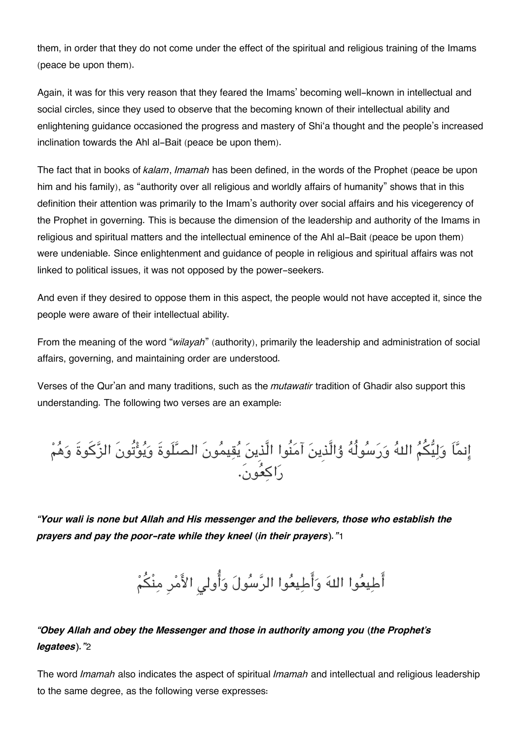them, in order that they do not come under the effect of the spiritual and religious training of the Imams (peace be upon them).

Again, it was for this very reason that they feared the Imams' becoming well-known in intellectual and social circles, since they used to observe that the becoming known of their intellectual ability and enlightening guidance occasioned the progress and mastery of Shi'a thought and the people's increased inclination towards the Ahl al-Bait (peace be upon them).

The fact that in books of *kalam*, *Imamah* has been defined, in the words of the Prophet (peace be upon him and his family), as "authority over all religious and worldly affairs of humanity" shows that in this definition their attention was primarily to the Imam's authority over social affairs and his vicegerency of the Prophet in governing. This is because the dimension of the leadership and authority of the Imams in religious and spiritual matters and the intellectual eminence of the Ahl al-Bait (peace be upon them) were undeniable. Since enlightenment and guidance of people in religious and spiritual affairs was not linked to political issues, it was not opposed by the power-seekers.

And even if they desired to oppose them in this aspect, the people would not have accepted it, since the people were aware of their intellectual ability.

From the meaning of the word "*wilayah*" (authority), primarily the leadership and administration of social affairs, governing, and maintaining order are understood.

Verses of the Qur'an and many traditions, such as the *mutawatir* tradition of Ghadir also support this understanding. The following two verses are an example:

انماَ وليم اله ورسولُه ۇالَّذِين آمنُوا الَّذِين يقيمونَ الصلَوةَ ويوتُونَ الزكوةَ وهم راكعون.َ

*"Your wali is none but Allah and His messenger and the believers, those who establish the prayers and pay the poor-rate while they kneel (in their prayers)."*[1](#page--1-0)

أَطِيعُوا اللهَ وَأَطِيعُوا الرَّسُولَ وَأُولى الأَمْرِ مِنْكُمْ

### *"Obey Allah and obey the Messenger and those in authority among you (the Prophet's legatees)."*[2](#page--1-0)

The word *Imamah* also indicates the aspect of spiritual *Imamah* and intellectual and religious leadership to the same degree, as the following verse expresses: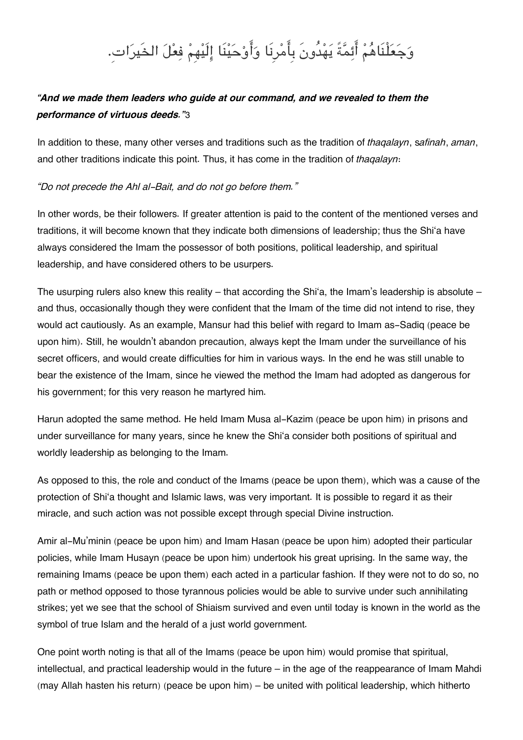## وَجَعَلْنَاهُمْ أَئِمَّةً يَهْدُونَ بِأَمْرِنَا وَأَوْحَيْنَا إِلَيْهِمْ فِعْلَ الخَيرَاتِ.

### *"And we made them leaders who guide at our command, and we revealed to them the performance of virtuous deeds."*[3](#page--1-0)

In addition to these, many other verses and traditions such as the tradition of *thaqalayn*, s*afinah*, *aman*, and other traditions indicate this point. Thus, it has come in the tradition of *thaqalayn*:

#### *"Do not precede the Ahl al-Bait, and do not go before them."*

In other words, be their followers. If greater attention is paid to the content of the mentioned verses and traditions, it will become known that they indicate both dimensions of leadership; thus the Shi'a have always considered the Imam the possessor of both positions, political leadership, and spiritual leadership, and have considered others to be usurpers.

The usurping rulers also knew this reality – that according the Shi'a, the Imam's leadership is absolute – and thus, occasionally though they were confident that the Imam of the time did not intend to rise, they would act cautiously. As an example, Mansur had this belief with regard to Imam as-Sadiq (peace be upon him). Still, he wouldn't abandon precaution, always kept the Imam under the surveillance of his secret officers, and would create difficulties for him in various ways. In the end he was still unable to bear the existence of the Imam, since he viewed the method the Imam had adopted as dangerous for his government; for this very reason he martyred him.

Harun adopted the same method. He held Imam Musa al-Kazim (peace be upon him) in prisons and under surveillance for many years, since he knew the Shi'a consider both positions of spiritual and worldly leadership as belonging to the Imam.

As opposed to this, the role and conduct of the Imams (peace be upon them), which was a cause of the protection of Shi'a thought and Islamic laws, was very important. It is possible to regard it as their miracle, and such action was not possible except through special Divine instruction.

Amir al-Mu'minin (peace be upon him) and Imam Hasan (peace be upon him) adopted their particular policies, while Imam Husayn (peace be upon him) undertook his great uprising. In the same way, the remaining Imams (peace be upon them) each acted in a particular fashion. If they were not to do so, no path or method opposed to those tyrannous policies would be able to survive under such annihilating strikes; yet we see that the school of Shiaism survived and even until today is known in the world as the symbol of true Islam and the herald of a just world government.

One point worth noting is that all of the Imams (peace be upon him) would promise that spiritual, intellectual, and practical leadership would in the future – in the age of the reappearance of Imam Mahdi (may Allah hasten his return) (peace be upon him) – be united with political leadership, which hitherto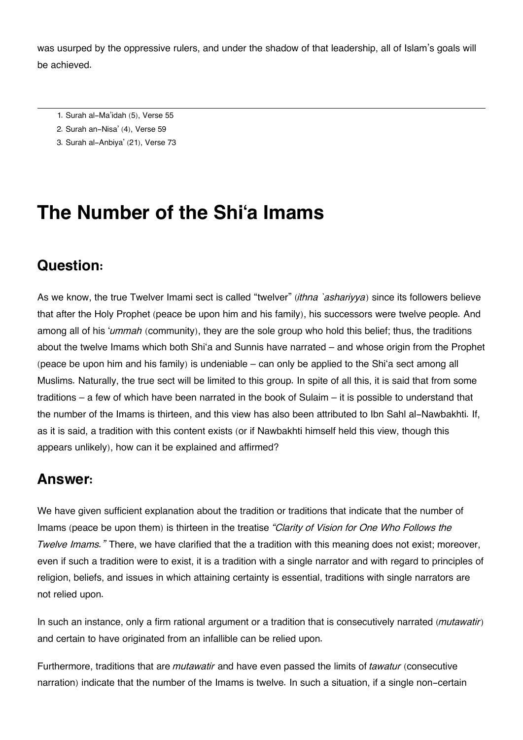was usurped by the oppressive rulers, and under the shadow of that leadership, all of Islam's goals will be achieved.

- [1.](#page--1-0) Surah al-Ma'idah (5), Verse 55
- [2.](#page--1-0) Surah an-Nisa' (4), Verse 59
- [3.](#page--1-0) Surah al-Anbiya' (21), Verse 73

### **The Number of the Shi'a Imams**

### **[Question:](#page--1-0)**

As we know, the true Twelver Imami sect is called "twelver" (*ithna `ashariyya*) since its followers believe that after the Holy Prophet (peace be upon him and his family), his successors were twelve people. And among all of his '*ummah* (community), they are the sole group who hold this belief; thus, the traditions about the twelve Imams which both Shi'a and Sunnis have narrated – and whose origin from the Prophet (peace be upon him and his family) is undeniable – can only be applied to the Shi'a sect among all Muslims. Naturally, the true sect will be limited to this group. In spite of all this, it is said that from some traditions – a few of which have been narrated in the book of Sulaim – it is possible to understand that the number of the Imams is thirteen, and this view has also been attributed to Ibn Sahl al-Nawbakhti. If, as it is said, a tradition with this content exists (or if Nawbakhti himself held this view, though this appears unlikely), how can it be explained and affirmed?

### **[Answer:](#page--1-0)**

We have given sufficient explanation about the tradition or traditions that indicate that the number of Imams (peace be upon them) is thirteen in the treatise *"Clarity of Vision for One Who Follows the Twelve Imams.*" There, we have clarified that the a tradition with this meaning does not exist; moreover, even if such a tradition were to exist, it is a tradition with a single narrator and with regard to principles of religion, beliefs, and issues in which attaining certainty is essential, traditions with single narrators are not relied upon.

In such an instance, only a firm rational argument or a tradition that is consecutively narrated (*mutawatir*) and certain to have originated from an infallible can be relied upon.

Furthermore, traditions that are *mutawatir* and have even passed the limits of *tawatur* (consecutive narration) indicate that the number of the Imams is twelve. In such a situation, if a single non-certain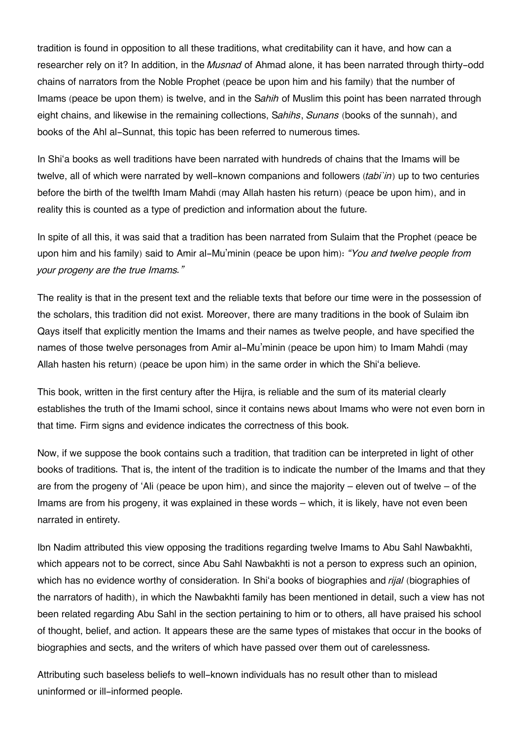tradition is found in opposition to all these traditions, what creditability can it have, and how can a researcher rely on it? In addition, in the *Musnad* of Ahmad alone, it has been narrated through thirty-odd chains of narrators from the Noble Prophet (peace be upon him and his family) that the number of Imams (peace be upon them) is twelve, and in the S*ahih* of Muslim this point has been narrated through eight chains, and likewise in the remaining collections, S*ahihs*, *Sunans* (books of the sunnah), and books of the Ahl al-Sunnat, this topic has been referred to numerous times.

In Shi'a books as well traditions have been narrated with hundreds of chains that the Imams will be twelve, all of which were narrated by well-known companions and followers (*tabi`in*) up to two centuries before the birth of the twelfth Imam Mahdi (may Allah hasten his return) (peace be upon him), and in reality this is counted as a type of prediction and information about the future.

In spite of all this, it was said that a tradition has been narrated from Sulaim that the Prophet (peace be upon him and his family) said to Amir al-Mu'minin (peace be upon him): *"You and twelve people from your progeny are the true Imams."*

The reality is that in the present text and the reliable texts that before our time were in the possession of the scholars, this tradition did not exist. Moreover, there are many traditions in the book of Sulaim ibn Qays itself that explicitly mention the Imams and their names as twelve people, and have specified the names of those twelve personages from Amir al-Mu'minin (peace be upon him) to Imam Mahdi (may Allah hasten his return) (peace be upon him) in the same order in which the Shi'a believe.

This book, written in the first century after the Hijra, is reliable and the sum of its material clearly establishes the truth of the Imami school, since it contains news about Imams who were not even born in that time. Firm signs and evidence indicates the correctness of this book.

Now, if we suppose the book contains such a tradition, that tradition can be interpreted in light of other books of traditions. That is, the intent of the tradition is to indicate the number of the Imams and that they are from the progeny of 'Ali (peace be upon him), and since the majority – eleven out of twelve – of the Imams are from his progeny, it was explained in these words – which, it is likely, have not even been narrated in entirety.

Ibn Nadim attributed this view opposing the traditions regarding twelve Imams to Abu Sahl Nawbakhti, which appears not to be correct, since Abu Sahl Nawbakhti is not a person to express such an opinion, which has no evidence worthy of consideration. In Shi'a books of biographies and *rijal* (biographies of the narrators of hadith), in which the Nawbakhti family has been mentioned in detail, such a view has not been related regarding Abu Sahl in the section pertaining to him or to others, all have praised his school of thought, belief, and action. It appears these are the same types of mistakes that occur in the books of biographies and sects, and the writers of which have passed over them out of carelessness.

Attributing such baseless beliefs to well-known individuals has no result other than to mislead uninformed or ill-informed people.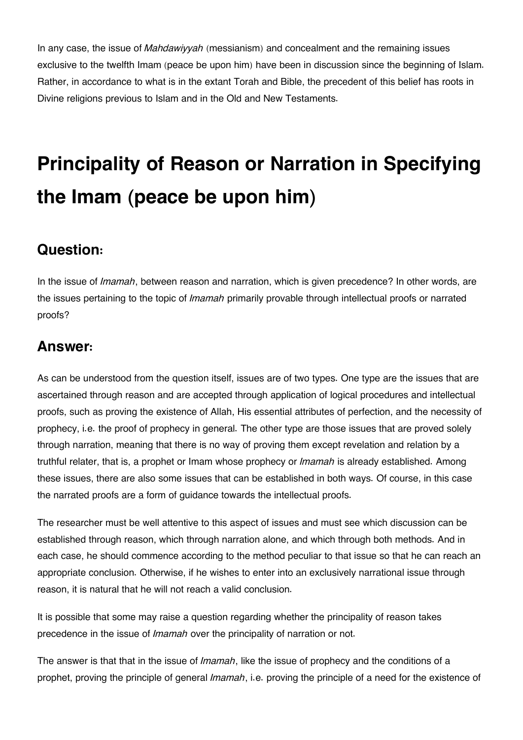In any case, the issue of *Mahdawiyyah* (messianism) and concealment and the remaining issues exclusive to the twelfth Imam (peace be upon him) have been in discussion since the beginning of Islam. Rather, in accordance to what is in the extant Torah and Bible, the precedent of this belief has roots in Divine religions previous to Islam and in the Old and New Testaments.

# **Principality of Reason or Narration in Specifying the Imam (peace be upon him)**

### **[Question:](#page--1-0)**

In the issue of *Imamah*, between reason and narration, which is given precedence? In other words, are the issues pertaining to the topic of *Imamah* primarily provable through intellectual proofs or narrated proofs?

### **[Answer:](#page--1-0)**

As can be understood from the question itself, issues are of two types. One type are the issues that are ascertained through reason and are accepted through application of logical procedures and intellectual proofs, such as proving the existence of Allah, His essential attributes of perfection, and the necessity of prophecy, i.e. the proof of prophecy in general. The other type are those issues that are proved solely through narration, meaning that there is no way of proving them except revelation and relation by a truthful relater, that is, a prophet or Imam whose prophecy or *Imamah* is already established. Among these issues, there are also some issues that can be established in both ways. Of course, in this case the narrated proofs are a form of guidance towards the intellectual proofs.

The researcher must be well attentive to this aspect of issues and must see which discussion can be established through reason, which through narration alone, and which through both methods. And in each case, he should commence according to the method peculiar to that issue so that he can reach an appropriate conclusion. Otherwise, if he wishes to enter into an exclusively narrational issue through reason, it is natural that he will not reach a valid conclusion.

It is possible that some may raise a question regarding whether the principality of reason takes precedence in the issue of *Imamah* over the principality of narration or not.

The answer is that that in the issue of *Imamah*, like the issue of prophecy and the conditions of a prophet, proving the principle of general *Imamah*, i.e. proving the principle of a need for the existence of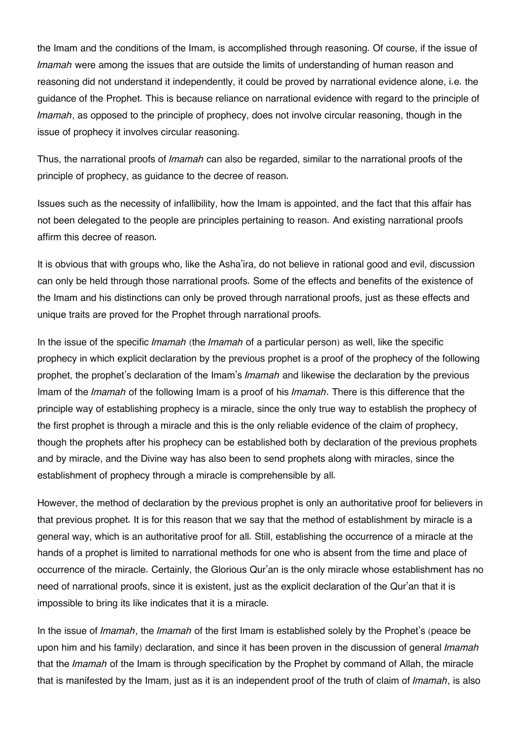the Imam and the conditions of the Imam, is accomplished through reasoning. Of course, if the issue of *Imamah* were among the issues that are outside the limits of understanding of human reason and reasoning did not understand it independently, it could be proved by narrational evidence alone, i.e. the guidance of the Prophet. This is because reliance on narrational evidence with regard to the principle of *Imamah*, as opposed to the principle of prophecy, does not involve circular reasoning, though in the issue of prophecy it involves circular reasoning.

Thus, the narrational proofs of *Imamah* can also be regarded, similar to the narrational proofs of the principle of prophecy, as guidance to the decree of reason.

Issues such as the necessity of infallibility, how the Imam is appointed, and the fact that this affair has not been delegated to the people are principles pertaining to reason. And existing narrational proofs affirm this decree of reason.

It is obvious that with groups who, like the Asha'ira, do not believe in rational good and evil, discussion can only be held through those narrational proofs. Some of the effects and benefits of the existence of the Imam and his distinctions can only be proved through narrational proofs, just as these effects and unique traits are proved for the Prophet through narrational proofs.

In the issue of the specific *Imamah* (the *Imamah* of a particular person) as well, like the specific prophecy in which explicit declaration by the previous prophet is a proof of the prophecy of the following prophet, the prophet's declaration of the Imam's *Imamah* and likewise the declaration by the previous Imam of the *Imamah* of the following Imam is a proof of his *Imamah*. There is this difference that the principle way of establishing prophecy is a miracle, since the only true way to establish the prophecy of the first prophet is through a miracle and this is the only reliable evidence of the claim of prophecy, though the prophets after his prophecy can be established both by declaration of the previous prophets and by miracle, and the Divine way has also been to send prophets along with miracles, since the establishment of prophecy through a miracle is comprehensible by all.

However, the method of declaration by the previous prophet is only an authoritative proof for believers in that previous prophet. It is for this reason that we say that the method of establishment by miracle is a general way, which is an authoritative proof for all. Still, establishing the occurrence of a miracle at the hands of a prophet is limited to narrational methods for one who is absent from the time and place of occurrence of the miracle. Certainly, the Glorious Qur'an is the only miracle whose establishment has no need of narrational proofs, since it is existent, just as the explicit declaration of the Qur'an that it is impossible to bring its like indicates that it is a miracle.

In the issue of *Imamah*, the *Imamah* of the first Imam is established solely by the Prophet's (peace be upon him and his family) declaration, and since it has been proven in the discussion of general *Imamah* that the *Imamah* of the Imam is through specification by the Prophet by command of Allah, the miracle that is manifested by the Imam, just as it is an independent proof of the truth of claim of *Imamah*, is also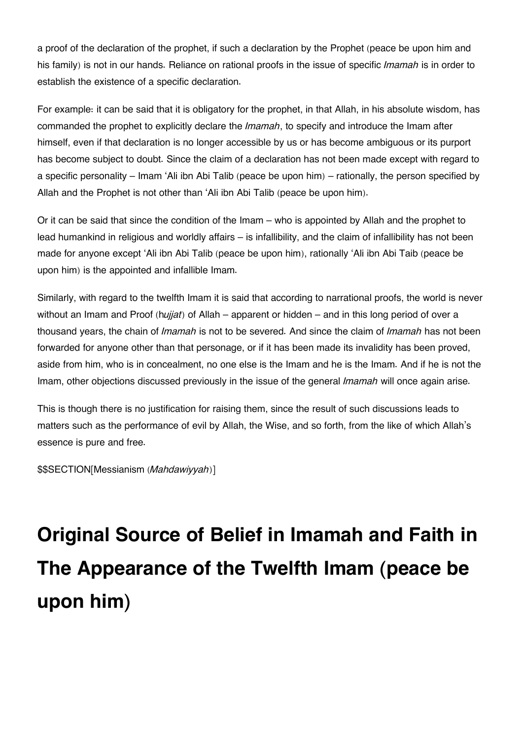a proof of the declaration of the prophet, if such a declaration by the Prophet (peace be upon him and his family) is not in our hands. Reliance on rational proofs in the issue of specific *Imamah* is in order to establish the existence of a specific declaration.

For example: it can be said that it is obligatory for the prophet, in that Allah, in his absolute wisdom, has commanded the prophet to explicitly declare the *Imamah*, to specify and introduce the Imam after himself, even if that declaration is no longer accessible by us or has become ambiguous or its purport has become subject to doubt. Since the claim of a declaration has not been made except with regard to a specific personality – Imam 'Ali ibn Abi Talib (peace be upon him) – rationally, the person specified by Allah and the Prophet is not other than 'Ali ibn Abi Talib (peace be upon him).

Or it can be said that since the condition of the Imam – who is appointed by Allah and the prophet to lead humankind in religious and worldly affairs – is infallibility, and the claim of infallibility has not been made for anyone except 'Ali ibn Abi Talib (peace be upon him), rationally 'Ali ibn Abi Taib (peace be upon him) is the appointed and infallible Imam.

Similarly, with regard to the twelfth Imam it is said that according to narrational proofs, the world is never without an Imam and Proof (h*ujjat*) of Allah – apparent or hidden – and in this long period of over a thousand years, the chain of *Imamah* is not to be severed. And since the claim of *Imamah* has not been forwarded for anyone other than that personage, or if it has been made its invalidity has been proved, aside from him, who is in concealment, no one else is the Imam and he is the Imam. And if he is not the Imam, other objections discussed previously in the issue of the general *Imamah* will once again arise.

This is though there is no justification for raising them, since the result of such discussions leads to matters such as the performance of evil by Allah, the Wise, and so forth, from the like of which Allah's essence is pure and free.

\$\$SECTION[Messianism (*Mahdawiyyah*)]

# **Original Source of Belief in Imamah and Faith in The Appearance of the Twelfth Imam (peace be upon him)**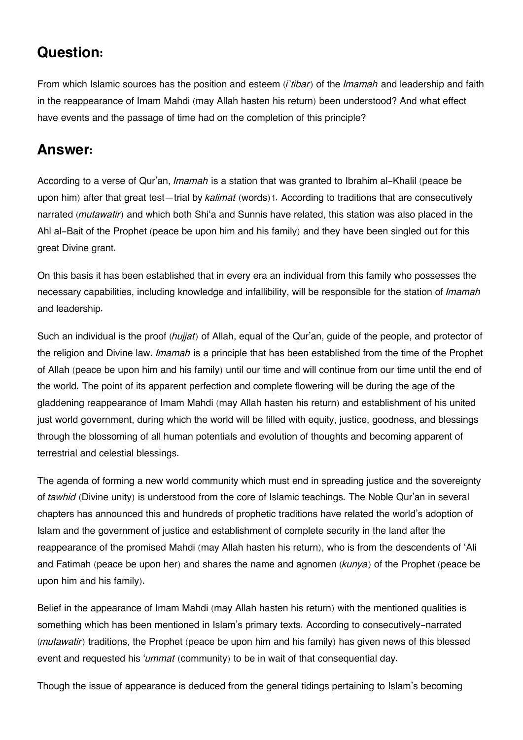### **[Question:](#page--1-0)**

From which Islamic sources has the position and esteem (*i`tibar*) of the *Imamah* and leadership and faith in the reappearance of Imam Mahdi (may Allah hasten his return) been understood? And what effect have events and the passage of time had on the completion of this principle?

### **[Answer:](#page--1-0)**

According to a verse of Qur'an, *Imamah* is a station that was granted to Ibrahim al-Khalil (peace be upon him) after that great test—trial by *kalimat* (words)[1](#page--1-0). According to traditions that are consecutively narrated (*mutawatir*) and which both Shi'a and Sunnis have related, this station was also placed in the Ahl al-Bait of the Prophet (peace be upon him and his family) and they have been singled out for this great Divine grant.

On this basis it has been established that in every era an individual from this family who possesses the necessary capabilities, including knowledge and infallibility, will be responsible for the station of *Imamah* and leadership.

Such an individual is the proof (*hujjat*) of Allah, equal of the Qur'an, guide of the people, and protector of the religion and Divine law. *Imamah* is a principle that has been established from the time of the Prophet of Allah (peace be upon him and his family) until our time and will continue from our time until the end of the world. The point of its apparent perfection and complete flowering will be during the age of the gladdening reappearance of Imam Mahdi (may Allah hasten his return) and establishment of his united just world government, during which the world will be filled with equity, justice, goodness, and blessings through the blossoming of all human potentials and evolution of thoughts and becoming apparent of terrestrial and celestial blessings.

The agenda of forming a new world community which must end in spreading justice and the sovereignty of *tawhid* (Divine unity) is understood from the core of Islamic teachings. The Noble Qur'an in several chapters has announced this and hundreds of prophetic traditions have related the world's adoption of Islam and the government of justice and establishment of complete security in the land after the reappearance of the promised Mahdi (may Allah hasten his return), who is from the descendents of 'Ali and Fatimah (peace be upon her) and shares the name and agnomen (*kunya*) of the Prophet (peace be upon him and his family).

Belief in the appearance of Imam Mahdi (may Allah hasten his return) with the mentioned qualities is something which has been mentioned in Islam's primary texts. According to consecutively-narrated (*mutawatir*) traditions, the Prophet (peace be upon him and his family) has given news of this blessed event and requested his '*ummat* (community) to be in wait of that consequential day.

Though the issue of appearance is deduced from the general tidings pertaining to Islam's becoming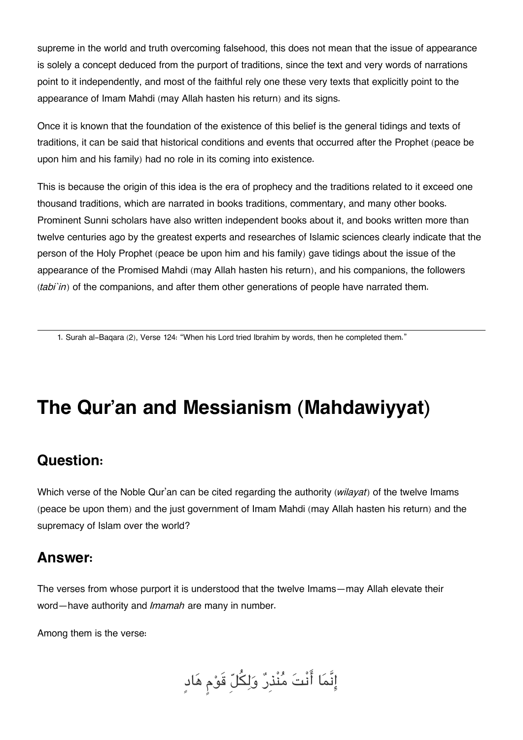supreme in the world and truth overcoming falsehood, this does not mean that the issue of appearance is solely a concept deduced from the purport of traditions, since the text and very words of narrations point to it independently, and most of the faithful rely one these very texts that explicitly point to the appearance of Imam Mahdi (may Allah hasten his return) and its signs.

Once it is known that the foundation of the existence of this belief is the general tidings and texts of traditions, it can be said that historical conditions and events that occurred after the Prophet (peace be upon him and his family) had no role in its coming into existence.

This is because the origin of this idea is the era of prophecy and the traditions related to it exceed one thousand traditions, which are narrated in books traditions, commentary, and many other books. Prominent Sunni scholars have also written independent books about it, and books written more than twelve centuries ago by the greatest experts and researches of Islamic sciences clearly indicate that the person of the Holy Prophet (peace be upon him and his family) gave tidings about the issue of the appearance of the Promised Mahdi (may Allah hasten his return), and his companions, the followers (*tabi`in*) of the companions, and after them other generations of people have narrated them.

[1.](#page--1-0) Surah al-Baqara (2), Verse 124: "When his Lord tried Ibrahim by words, then he completed them."

## **The Qur'an and Messianism (Mahdawiyyat)**

### **[Question:](#page--1-0)**

Which verse of the Noble Qur'an can be cited regarding the authority (*wilayat*) of the twelve Imams (peace be upon them) and the just government of Imam Mahdi (may Allah hasten his return) and the supremacy of Islam over the world?

### **[Answer:](#page--1-0)**

The verses from whose purport it is understood that the twelve Imams—may Allah elevate their word—have authority and *Imamah* are many in number.

Among them is the verse:

إِنَّمَا أَنْتَ مُنْذِرٌ وَلِكُلِّ قَوْمٍ هَادٍ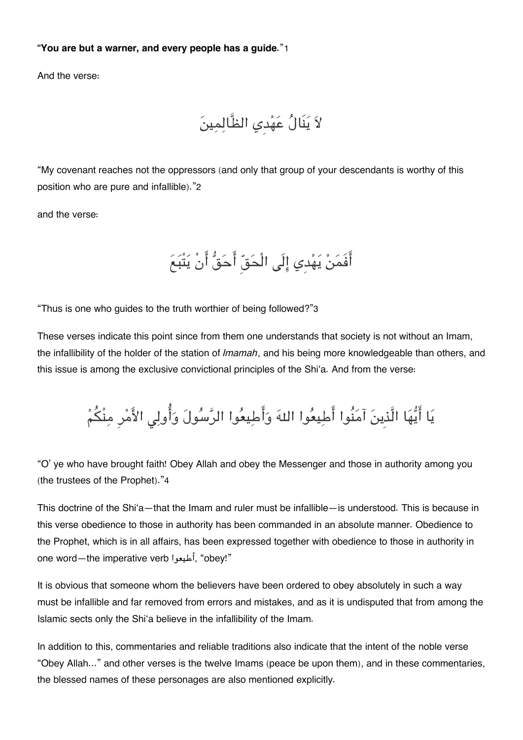#### **"You are but a warner, and every people has a guide.**"[1](#page--1-0)

And the verse:

لا ينَال عهدِي الظَّالمين

"My covenant reaches not the oppressors (and only that group of your descendants is worthy of this position who are pure and infallible)."[2](#page--1-0)

and the verse:

أَفَمَنْ يَهْدِي إِلَى الْحَقِّ أَحَقُّ أَنْ يَتْبَعَ

"Thus is one who guides to the truth worthier of being followed?"[3](#page--1-0)

These verses indicate this point since from them one understands that society is not without an Imam, the infallibility of the holder of the station of *Imamah*, and his being more knowledgeable than others, and this issue is among the exclusive convictional principles of the Shi'a. And from the verse:

يَا أَيُّهَا الَّذِينَ آمَنُوا أَطِيعُوا اللهَ وَأَطِيعُوا الرَّسُولَ وَأُولِي الأَمْرِ مِنْكُمْ

"O' ye who have brought faith! Obey Allah and obey the Messenger and those in authority among you (the trustees of the Prophet)."[4](#page--1-0)

This doctrine of the Shi'a—that the Imam and ruler must be infallible—is understood. This is because in this verse obedience to those in authority has been commanded in an absolute manner. Obedience to the Prophet, which is in all affairs, has been expressed together with obedience to those in authority in one word—the imperative verb أطيعوا," obey!"

It is obvious that someone whom the believers have been ordered to obey absolutely in such a way must be infallible and far removed from errors and mistakes, and as it is undisputed that from among the Islamic sects only the Shi'a believe in the infallibility of the Imam.

In addition to this, commentaries and reliable traditions also indicate that the intent of the noble verse "Obey Allah…" and other verses is the twelve Imams (peace be upon them), and in these commentaries, the blessed names of these personages are also mentioned explicitly.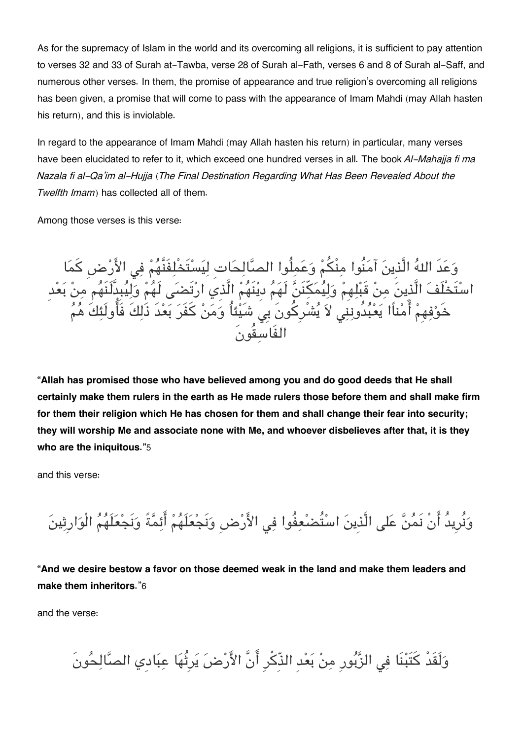As for the supremacy of Islam in the world and its overcoming all religions, it is sufficient to pay attention to verses 32 and 33 of Surah at-Tawba, verse 28 of Surah al-Fath, verses 6 and 8 of Surah al-Saff, and numerous other verses. In them, the promise of appearance and true religion's overcoming all religions has been given, a promise that will come to pass with the appearance of Imam Mahdi (may Allah hasten his return), and this is inviolable.

In regard to the appearance of Imam Mahdi (may Allah hasten his return) in particular, many verses have been elucidated to refer to it, which exceed one hundred verses in all. The book *Al-Mahajja fi ma Nazala fi al-Qa'im al-Hujja* (*The Final Destination Regarding What Has Been Revealed About the Twelfth Imam*) has collected all of them.

Among those verses is this verse:

وَعَدَ اللهَ الَّذِينَ آمَنُوا مِنْكُمْ وَعَمِلُوا الصَّالِحَاتِ لِيَسْتَخْلِفَنَّهُمْ فِي الأَرْضِ كمَا اسْتَخْلَفَ الَّذِينَ مِنْ قَبْلِهِمْ وَلِيَمَكِنَنَّ لَهَمَ دِينَهُمْ الَّذِي ارْتَضَى لَهُمْ وَلِيَبِدِلَنَّهُم مِنْ بَعْد حَوْفِهِمْ أَمْناًا يَعْبُدُونَنِي لَاَ يُشْرِكُونَ بِيَ شَيْئاُ وَمَنْ كَفَرَ بَعْدَ ذَلِكَ فَأُولَئِكَ هُمُ الفَاسقُونَ

**"Allah has promised those who have believed among you and do good deeds that He shall certainly make them rulers in the earth as He made rulers those before them and shall make firm for them their religion which He has chosen for them and shall change their fear into security; they will worship Me and associate none with Me, and whoever disbelieves after that, it is they who are the iniquitous."**[5](#page--1-0)

and this verse:

وَنُرِيدُ أَنْ نَمُنَّ عَلى الَّذِينَ اسْتُضْعِفُوا فِي الأَرْضِ وَنَجْعَلَهُمْ أَئِمَّةً وَنَجْعَلَهُمُ الْوَارِثِينَ

**"And we desire bestow a favor on those deemed weak in the land and make them leaders and make them inheritors.**"[6](#page--1-0)

and the verse:

وَلَقَدْ كَتَبْنَا فِي الزَّبُورِ مِنْ بَعْدِ الذَّكْرِ أَنَّ الأَرْضَ يَرِثُهَا عِبَادي الصَّالِحُونَ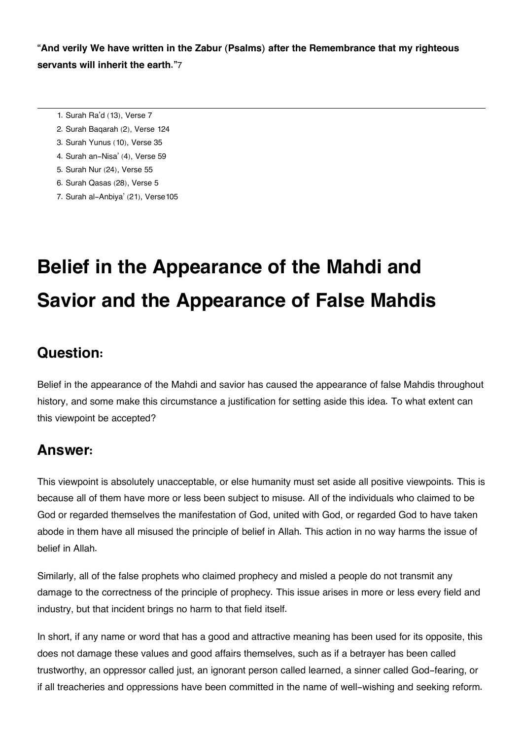**"And verily We have written in the Zabur (Psalms) after the Remembrance that my righteous servants will inherit the earth."**[7](#page--1-0)

- [1.](#page--1-0) Surah Ra'd (13), Verse 7
- [2.](#page--1-0) Surah Baqarah (2), Verse 124
- [3.](#page--1-0) Surah Yunus (10), Verse 35
- [4.](#page--1-0) Surah an-Nisa' (4), Verse 59
- [5.](#page--1-0) Surah Nur (24), Verse 55
- [6.](#page--1-0) Surah Qasas (28), Verse 5
- [7.](#page--1-0) Surah al-Anbiya' (21), Verse105

# **Belief in the Appearance of the Mahdi and Savior and the Appearance of False Mahdis**

### **[Question:](#page--1-0)**

Belief in the appearance of the Mahdi and savior has caused the appearance of false Mahdis throughout history, and some make this circumstance a justification for setting aside this idea. To what extent can this viewpoint be accepted?

### **[Answer:](#page--1-0)**

This viewpoint is absolutely unacceptable, or else humanity must set aside all positive viewpoints. This is because all of them have more or less been subject to misuse. All of the individuals who claimed to be God or regarded themselves the manifestation of God, united with God, or regarded God to have taken abode in them have all misused the principle of belief in Allah. This action in no way harms the issue of belief in Allah.

Similarly, all of the false prophets who claimed prophecy and misled a people do not transmit any damage to the correctness of the principle of prophecy. This issue arises in more or less every field and industry, but that incident brings no harm to that field itself.

In short, if any name or word that has a good and attractive meaning has been used for its opposite, this does not damage these values and good affairs themselves, such as if a betrayer has been called trustworthy, an oppressor called just, an ignorant person called learned, a sinner called God-fearing, or if all treacheries and oppressions have been committed in the name of well-wishing and seeking reform.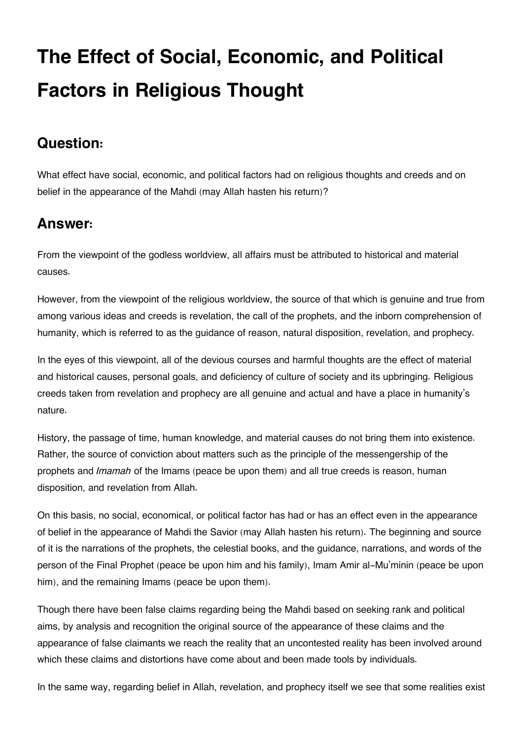# **The Effect of Social, Economic, and Political Factors in Religious Thought**

### **[Question:](#page--1-0)**

What effect have social, economic, and political factors had on religious thoughts and creeds and on belief in the appearance of the Mahdi (may Allah hasten his return)?

### **[Answer:](#page--1-0)**

From the viewpoint of the godless worldview, all affairs must be attributed to historical and material causes.

However, from the viewpoint of the religious worldview, the source of that which is genuine and true from among various ideas and creeds is revelation, the call of the prophets, and the inborn comprehension of humanity, which is referred to as the guidance of reason, natural disposition, revelation, and prophecy.

In the eyes of this viewpoint, all of the devious courses and harmful thoughts are the effect of material and historical causes, personal goals, and deficiency of culture of society and its upbringing. Religious creeds taken from revelation and prophecy are all genuine and actual and have a place in humanity's nature.

History, the passage of time, human knowledge, and material causes do not bring them into existence. Rather, the source of conviction about matters such as the principle of the messengership of the prophets and *Imamah* of the Imams (peace be upon them) and all true creeds is reason, human disposition, and revelation from Allah.

On this basis, no social, economical, or political factor has had or has an effect even in the appearance of belief in the appearance of Mahdi the Savior (may Allah hasten his return). The beginning and source of it is the narrations of the prophets, the celestial books, and the guidance, narrations, and words of the person of the Final Prophet (peace be upon him and his family), Imam Amir al-Mu'minin (peace be upon him), and the remaining Imams (peace be upon them).

Though there have been false claims regarding being the Mahdi based on seeking rank and political aims, by analysis and recognition the original source of the appearance of these claims and the appearance of false claimants we reach the reality that an uncontested reality has been involved around which these claims and distortions have come about and been made tools by individuals.

In the same way, regarding belief in Allah, revelation, and prophecy itself we see that some realities exist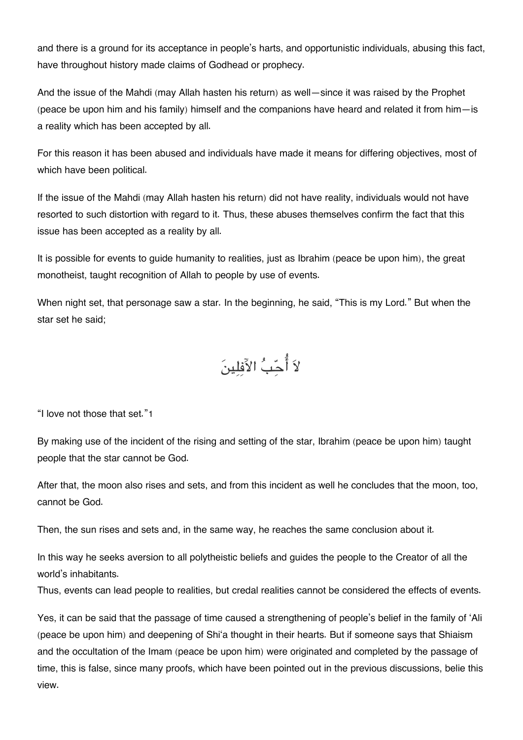and there is a ground for its acceptance in people's harts, and opportunistic individuals, abusing this fact, have throughout history made claims of Godhead or prophecy.

And the issue of the Mahdi (may Allah hasten his return) as well—since it was raised by the Prophet (peace be upon him and his family) himself and the companions have heard and related it from him—is a reality which has been accepted by all.

For this reason it has been abused and individuals have made it means for differing objectives, most of which have been political.

If the issue of the Mahdi (may Allah hasten his return) did not have reality, individuals would not have resorted to such distortion with regard to it. Thus, these abuses themselves confirm the fact that this issue has been accepted as a reality by all.

It is possible for events to guide humanity to realities, just as Ibrahim (peace be upon him), the great monotheist, taught recognition of Allah to people by use of events.

When night set, that personage saw a star. In the beginning, he said, "This is my Lord." But when the star set he said;

لاَ أُحّبُ الآفلينَ

"I love not those that set."[1](#page--1-0)

By making use of the incident of the rising and setting of the star, Ibrahim (peace be upon him) taught people that the star cannot be God.

After that, the moon also rises and sets, and from this incident as well he concludes that the moon, too, cannot be God.

Then, the sun rises and sets and, in the same way, he reaches the same conclusion about it.

In this way he seeks aversion to all polytheistic beliefs and guides the people to the Creator of all the world's inhabitants.

Thus, events can lead people to realities, but credal realities cannot be considered the effects of events.

Yes, it can be said that the passage of time caused a strengthening of people's belief in the family of 'Ali (peace be upon him) and deepening of Shi'a thought in their hearts. But if someone says that Shiaism and the occultation of the Imam (peace be upon him) were originated and completed by the passage of time, this is false, since many proofs, which have been pointed out in the previous discussions, belie this view.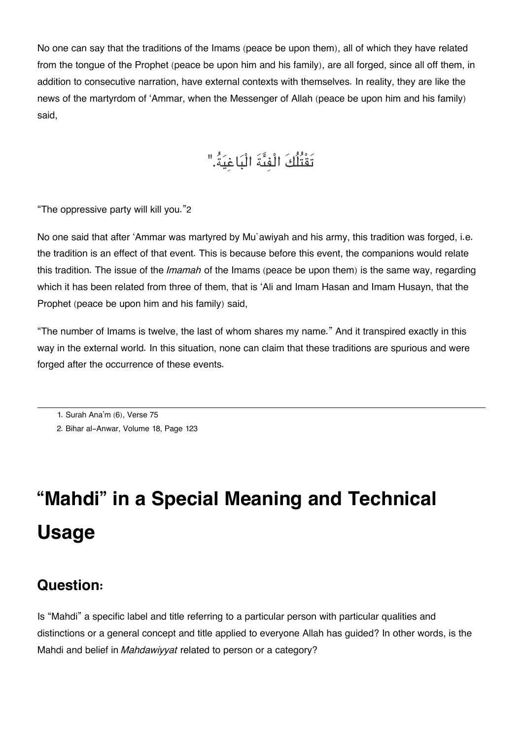No one can say that the traditions of the Imams (peace be upon them), all of which they have related from the tongue of the Prophet (peace be upon him and his family), are all forged, since all off them, in addition to consecutive narration, have external contexts with themselves. In reality, they are like the news of the martyrdom of 'Ammar, when the Messenger of Allah (peace be upon him and his family) said,

## تَقْتُلُكَ الْفىةَ الْباغية.ُ"

"The oppressive party will kill you."[2](#page--1-0)

No one said that after 'Ammar was martyred by Mu`awiyah and his army, this tradition was forged, i.e. the tradition is an effect of that event. This is because before this event, the companions would relate this tradition. The issue of the *Imamah* of the Imams (peace be upon them) is the same way, regarding which it has been related from three of them, that is 'Ali and Imam Hasan and Imam Husayn, that the Prophet (peace be upon him and his family) said,

"The number of Imams is twelve, the last of whom shares my name." And it transpired exactly in this way in the external world. In this situation, none can claim that these traditions are spurious and were forged after the occurrence of these events.

# **"Mahdi" in a Special Meaning and Technical Usage**

### **[Question:](#page--1-0)**

Is "Mahdi" a specific label and title referring to a particular person with particular qualities and distinctions or a general concept and title applied to everyone Allah has guided? In other words, is the Mahdi and belief in *Mahdawiyyat* related to person or a category?

[<sup>1.</sup>](#page--1-0) Surah Ana'm (6), Verse 75

[<sup>2.</sup>](#page--1-0) Bihar al-Anwar, Volume 18, Page 123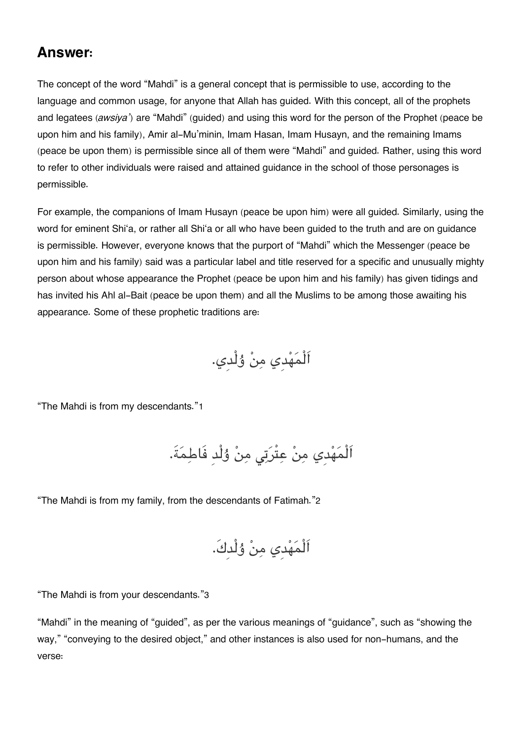### **[Answer:](#page--1-0)**

The concept of the word "Mahdi" is a general concept that is permissible to use, according to the language and common usage, for anyone that Allah has guided. With this concept, all of the prophets and legatees (*awsiya'*) are "Mahdi" (guided) and using this word for the person of the Prophet (peace be upon him and his family), Amir al-Mu'minin, Imam Hasan, Imam Husayn, and the remaining Imams (peace be upon them) is permissible since all of them were "Mahdi" and guided. Rather, using this word to refer to other individuals were raised and attained guidance in the school of those personages is permissible.

For example, the companions of Imam Husayn (peace be upon him) were all guided. Similarly, using the word for eminent Shi'a, or rather all Shi'a or all who have been guided to the truth and are on guidance is permissible. However, everyone knows that the purport of "Mahdi" which the Messenger (peace be upon him and his family) said was a particular label and title reserved for a specific and unusually mighty person about whose appearance the Prophet (peace be upon him and his family) has given tidings and has invited his Ahl al-Bait (peace be upon them) and all the Muslims to be among those awaiting his appearance. Some of these prophetic traditions are:

اَلْمهدِي من ۇلْدِي.

"The Mahdi is from my descendants."[1](#page--1-0)

اَلْمَهْدِي مِنْ عِتْرَتِي مِنْ وُلْدِ فَاطِمَةَ.

"The Mahdi is from my family, from the descendants of Fatimah."[2](#page--1-0)

اَلْمهدِي من ۇلْدِك.َ

"The Mahdi is from your descendants."[3](#page--1-0)

"Mahdi" in the meaning of "guided", as per the various meanings of "guidance", such as "showing the way," "conveying to the desired object," and other instances is also used for non-humans, and the verse: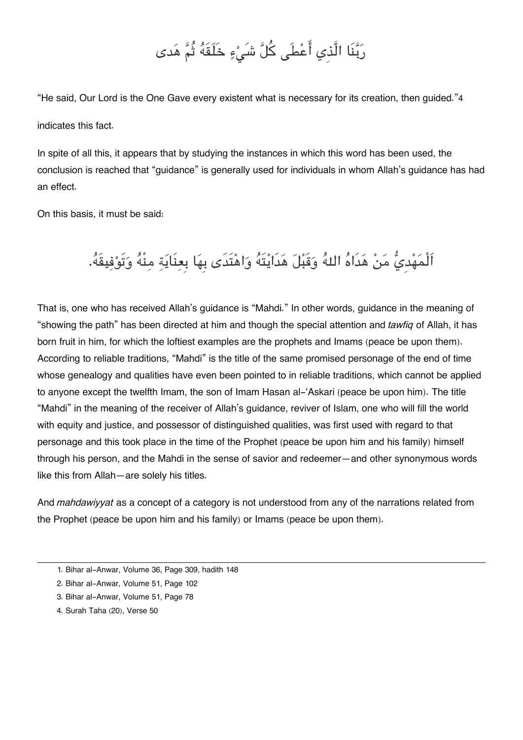## رَبَّنَا الَّذِي أَعْطَى كُلَّ شَىْءٍ خَلَقَهُ ثُمَّ هَدى

"He said, Our Lord is the One Gave every existent what is necessary for its creation, then guided."[4](#page--1-0) indicates this fact.

In spite of all this, it appears that by studying the instances in which this word has been used, the conclusion is reached that "guidance" is generally used for individuals in whom Allah's guidance has had an effect.

On this basis, it must be said:

## اَلْمَهْديُّ مَنْ هَدَاهُ اللهُ وَقَبْلَ هَدَايْتَهُ وَاهْتَدَى بِهَا بِعِنَايَةِ مِنْهُ وَتَوْفِيقَهُ.

That is, one who has received Allah's guidance is "Mahdi." In other words, guidance in the meaning of "showing the path" has been directed at him and though the special attention and *tawfiq* of Allah, it has born fruit in him, for which the loftiest examples are the prophets and Imams (peace be upon them). According to reliable traditions, "Mahdi" is the title of the same promised personage of the end of time whose genealogy and qualities have even been pointed to in reliable traditions, which cannot be applied to anyone except the twelfth Imam, the son of Imam Hasan al-'Askari (peace be upon him). The title "Mahdi" in the meaning of the receiver of Allah's guidance, reviver of Islam, one who will fill the world with equity and justice, and possessor of distinguished qualities, was first used with regard to that personage and this took place in the time of the Prophet (peace be upon him and his family) himself through his person, and the Mahdi in the sense of savior and redeemer—and other synonymous words like this from Allah—are solely his titles.

And *mahdawiyyat* as a concept of a category is not understood from any of the narrations related from the Prophet (peace be upon him and his family) or Imams (peace be upon them).

- [1.](#page--1-0) Bihar al-Anwar, Volume 36, Page 309, hadith 148
- [2.](#page--1-0) Bihar al-Anwar, Volume 51, Page 102
- [3.](#page--1-0) Bihar al-Anwar, Volume 51, Page 78
- [4.](#page--1-0) Surah Taha (20), Verse 50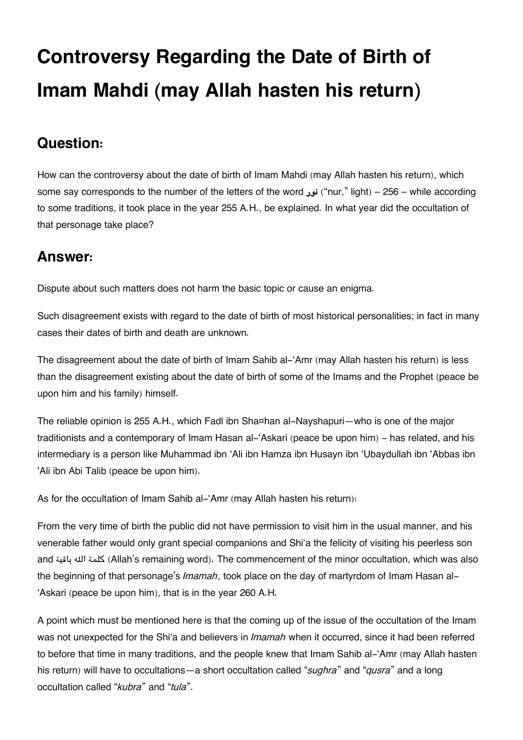# **Controversy Regarding the Date of Birth of Imam Mahdi (may Allah hasten his return)**

### **[Question:](#page--1-0)**

How can the controversy about the date of birth of Imam Mahdi (may Allah hasten his return), which some say corresponds to the number of the letters of the word **نور**") nur," light) – 256 – while according to some traditions, it took place in the year 255 A.H., be explained. In what year did the occultation of that personage take place?

### **[Answer:](#page--1-0)**

Dispute about such matters does not harm the basic topic or cause an enigma.

Such disagreement exists with regard to the date of birth of most historical personalities; in fact in many cases their dates of birth and death are unknown.

The disagreement about the date of birth of Imam Sahib al-'Amr (may Allah hasten his return) is less than the disagreement existing about the date of birth of some of the Imams and the Prophet (peace be upon him and his family) himself.

The reliable opinion is 255 A.H., which Fadl ibn Sha¤han al-Nayshapuri—who is one of the major traditionists and a contemporary of Imam Hasan al-'Askari (peace be upon him) - has related, and his intermediary is a person like Muhammad ibn 'Ali ibn Hamza ibn Husayn ibn 'Ubaydullah ibn 'Abbas ibn 'Ali ibn Abi Talib (peace be upon him).

As for the occultation of Imam Sahib al-'Amr (may Allah hasten his return):

From the very time of birth the public did not have permission to visit him in the usual manner, and his venerable father would only grant special companions and Shi'a the felicity of visiting his peerless son and باقية هال كلمة) Allah's remaining word). The commencement of the minor occultation, which was also the beginning of that personage's *Imamah*, took place on the day of martyrdom of Imam Hasan al- 'Askari (peace be upon him), that is in the year 260 A.H.

A point which must be mentioned here is that the coming up of the issue of the occultation of the Imam was not unexpected for the Shi'a and believers in *Imamah* when it occurred, since it had been referred to before that time in many traditions, and the people knew that Imam Sahib al-'Amr (may Allah hasten his return) will have to occultations—a short occultation called "*sughra*" and "*qusra*" and a long occultation called "*kubra*" and "*tula*".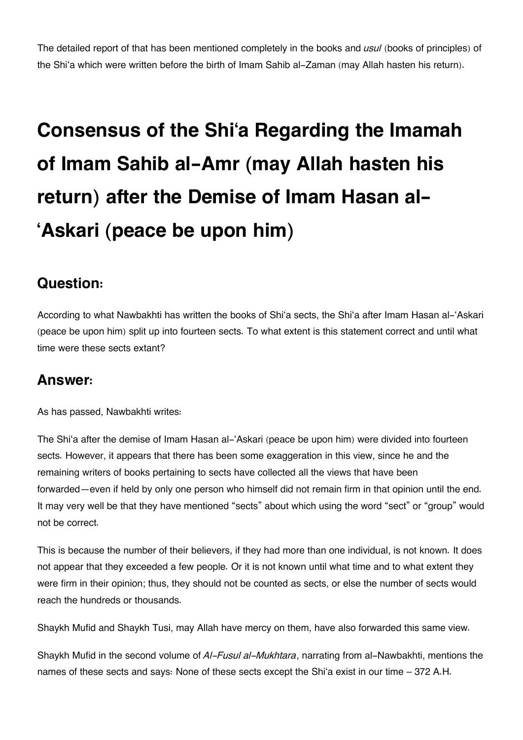The detailed report of that has been mentioned completely in the books and *usul* (books of principles) of the Shi'a which were written before the birth of Imam Sahib al-Zaman (may Allah hasten his return).

# **Consensus of the Shi'a Regarding the Imamah of Imam Sahib al-Amr (may Allah hasten his return) after the Demise of Imam Hasan al- 'Askari (peace be upon him)**

### **[Question:](#page--1-0)**

According to what Nawbakhti has written the books of Shi'a sects, the Shi'a after Imam Hasan al-'Askari (peace be upon him) split up into fourteen sects. To what extent is this statement correct and until what time were these sects extant?

### **[Answer:](#page--1-0)**

As has passed, Nawbakhti writes:

The Shi'a after the demise of Imam Hasan al-'Askari (peace be upon him) were divided into fourteen sects. However, it appears that there has been some exaggeration in this view, since he and the remaining writers of books pertaining to sects have collected all the views that have been forwarded—even if held by only one person who himself did not remain firm in that opinion until the end. It may very well be that they have mentioned "sects" about which using the word "sect" or "group" would not be correct.

This is because the number of their believers, if they had more than one individual, is not known. It does not appear that they exceeded a few people. Or it is not known until what time and to what extent they were firm in their opinion; thus, they should not be counted as sects, or else the number of sects would reach the hundreds or thousands.

Shaykh Mufid and Shaykh Tusi, may Allah have mercy on them, have also forwarded this same view.

Shaykh Mufid in the second volume of *Al-Fusul al-Mukhtara*, narrating from al-Nawbakhti, mentions the names of these sects and says: None of these sects except the Shi'a exist in our time – 372 A.H.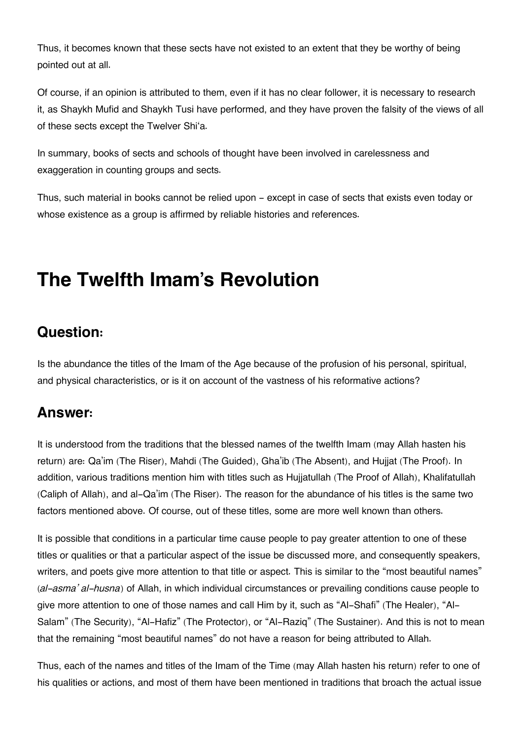Thus, it becomes known that these sects have not existed to an extent that they be worthy of being pointed out at all.

Of course, if an opinion is attributed to them, even if it has no clear follower, it is necessary to research it, as Shaykh Mufid and Shaykh Tusi have performed, and they have proven the falsity of the views of all of these sects except the Twelver Shi'a.

In summary, books of sects and schools of thought have been involved in carelessness and exaggeration in counting groups and sects.

Thus, such material in books cannot be relied upon - except in case of sects that exists even today or whose existence as a group is affirmed by reliable histories and references.

## **The Twelfth Imam's Revolution**

### **[Question:](#page--1-0)**

Is the abundance the titles of the Imam of the Age because of the profusion of his personal, spiritual, and physical characteristics, or is it on account of the vastness of his reformative actions?

### **[Answer:](#page--1-0)**

It is understood from the traditions that the blessed names of the twelfth Imam (may Allah hasten his return) are: Qa'im (The Riser), Mahdi (The Guided), Gha'ib (The Absent), and Hujjat (The Proof). In addition, various traditions mention him with titles such as Hujjatullah (The Proof of Allah), Khalifatullah (Caliph of Allah), and al-Qa'im (The Riser). The reason for the abundance of his titles is the same two factors mentioned above. Of course, out of these titles, some are more well known than others.

It is possible that conditions in a particular time cause people to pay greater attention to one of these titles or qualities or that a particular aspect of the issue be discussed more, and consequently speakers, writers, and poets give more attention to that title or aspect. This is similar to the "most beautiful names" (*al-asma' al-husna*) of Allah, in which individual circumstances or prevailing conditions cause people to give more attention to one of those names and call Him by it, such as "Al-Shafi" (The Healer), "Al-Salam" (The Security), "Al-Hafiz" (The Protector), or "Al-Raziq" (The Sustainer). And this is not to mean that the remaining "most beautiful names" do not have a reason for being attributed to Allah.

Thus, each of the names and titles of the Imam of the Time (may Allah hasten his return) refer to one of his qualities or actions, and most of them have been mentioned in traditions that broach the actual issue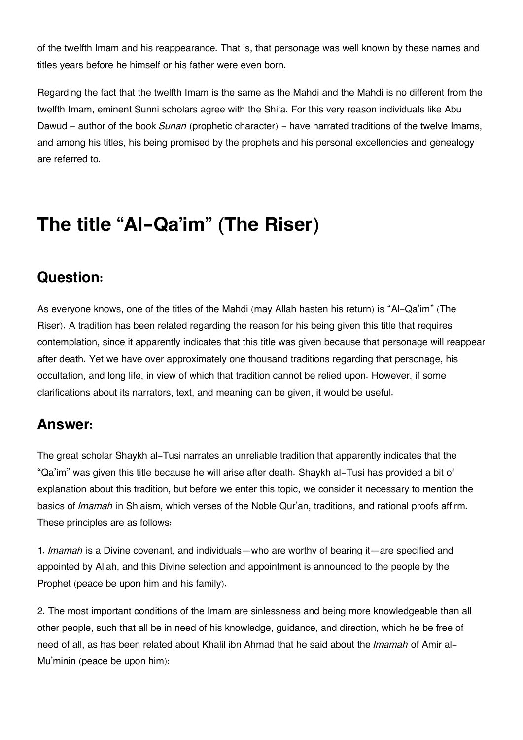of the twelfth Imam and his reappearance. That is, that personage was well known by these names and titles years before he himself or his father were even born.

Regarding the fact that the twelfth Imam is the same as the Mahdi and the Mahdi is no different from the twelfth Imam, eminent Sunni scholars agree with the Shi'a. For this very reason individuals like Abu Dawud - author of the book *Sunan* (prophetic character) - have narrated traditions of the twelve Imams, and among his titles, his being promised by the prophets and his personal excellencies and genealogy are referred to.

## **The title "Al-Qa'im" (The Riser)**

### **[Question:](#page--1-0)**

As everyone knows, one of the titles of the Mahdi (may Allah hasten his return) is "Al-Qa'im" (The Riser). A tradition has been related regarding the reason for his being given this title that requires contemplation, since it apparently indicates that this title was given because that personage will reappear after death. Yet we have over approximately one thousand traditions regarding that personage, his occultation, and long life, in view of which that tradition cannot be relied upon. However, if some clarifications about its narrators, text, and meaning can be given, it would be useful.

### **[Answer:](#page--1-0)**

The great scholar Shaykh al-Tusi narrates an unreliable tradition that apparently indicates that the "Qa'im" was given this title because he will arise after death. Shaykh al-Tusi has provided a bit of explanation about this tradition, but before we enter this topic, we consider it necessary to mention the basics of *Imamah* in Shiaism, which verses of the Noble Qur'an, traditions, and rational proofs affirm. These principles are as follows:

1. *Imamah* is a Divine covenant, and individuals—who are worthy of bearing it—are specified and appointed by Allah, and this Divine selection and appointment is announced to the people by the Prophet (peace be upon him and his family).

2. The most important conditions of the Imam are sinlessness and being more knowledgeable than all other people, such that all be in need of his knowledge, guidance, and direction, which he be free of need of all, as has been related about Khalil ibn Ahmad that he said about the *Imamah* of Amir al-Mu'minin (peace be upon him):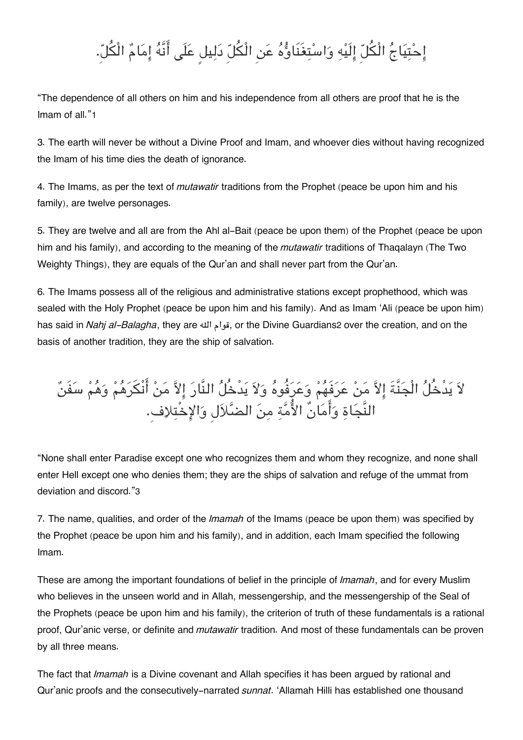## إِحْتِيَاجُ الْكُلّ إِلَيْهِ وَاسْتِغَنَاوُّهُ عَنِ الْكُلّ دَلِيل عَلَى أَنَّهُ إِمَامٌ الْكُلّ.

"The dependence of all others on him and his independence from all others are proof that he is the Imam of all."[1](#page--1-0)

3. The earth will never be without a Divine Proof and Imam, and whoever dies without having recognized the Imam of his time dies the death of ignorance.

4. The Imams, as per the text of *mutawatir* traditions from the Prophet (peace be upon him and his family), are twelve personages.

5. They are twelve and all are from the Ahl al-Bait (peace be upon them) of the Prophet (peace be upon him and his family), and according to the meaning of the *mutawatir* traditions of Thaqalayn (The Two Weighty Things), they are equals of the Qur'an and shall never part from the Qur'an.

6. The Imams possess all of the religious and administrative stations except prophethood, which was sealed with the Holy Prophet (peace be upon him and his family). And as Imam 'Ali (peace be upon him) has said in *Nahj al-Balagha*, they are هال قوام, or the Divine Guardians[2](#page--1-0) over the creation, and on the basis of another tradition, they are the ship of salvation.

## لاَ يَدْخُلُ الْجَنَّةَ إِلاَّ مَنْ عَرَفَهُمْ وَعَرَفُوهُ وَلاَ يَدْخُلُ النَّارَ إِلاَّ مَنْ أَنْكَرَهُمْ وَهُمْ سَفَنٌ النَّجَاةِ وَأَمَانٌ الأُمَّةِ مِنَ الضَّلاَلِ وَالإِخْتِلاِف.

"None shall enter Paradise except one who recognizes them and whom they recognize, and none shall enter Hell except one who denies them; they are the ships of salvation and refuge of the ummat from deviation and discord."[3](#page--1-0)

7. The name, qualities, and order of the *Imamah* of the Imams (peace be upon them) was specified by the Prophet (peace be upon him and his family), and in addition, each Imam specified the following Imam.

These are among the important foundations of belief in the principle of *Imamah*, and for every Muslim who believes in the unseen world and in Allah, messengership, and the messengership of the Seal of the Prophets (peace be upon him and his family), the criterion of truth of these fundamentals is a rational proof, Qur'anic verse, or definite and *mutawatir* tradition. And most of these fundamentals can be proven by all three means.

The fact that *Imamah* is a Divine covenant and Allah specifies it has been argued by rational and Qur'anic proofs and the consecutively-narrated *sunnat*. 'Allamah Hilli has established one thousand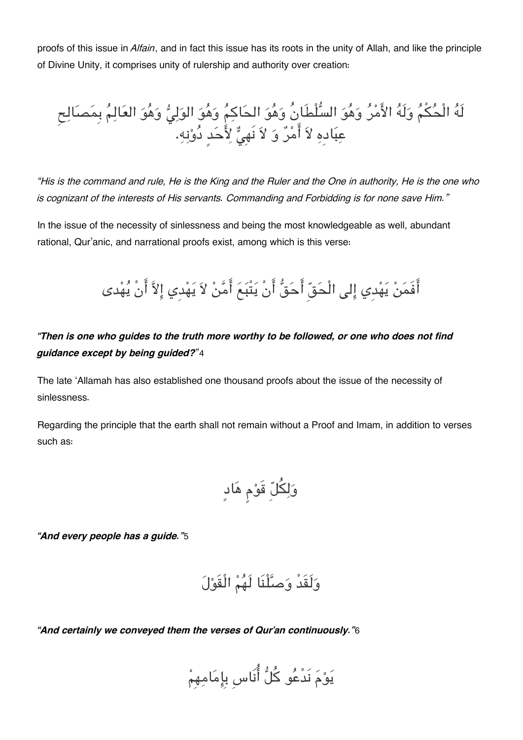proofs of this issue in *Alfain*, and in fact this issue has its roots in the unity of Allah, and like the principle of Divine Unity, it comprises unity of rulership and authority over creation:

لَهُ الْحُكْمُ وَلَهُ الأَمْرُ وَهُوَ السُّلْطَانُ وَهُوَ الحَاكِمُ وَهُوَ الوَلِيُّ وَهُوَ العَالِمُ بِمَصَالِح عِبَادِهِ لاَ أَمْرٌ وَ لاَ نَهِيٌّ لِأَحَدٍ دُوْنِهِ.

*"His is the command and rule, He is the King and the Ruler and the One in authority, He is the one who is cognizant of the interests of His servants. Commanding and Forbidding is for none save Him."*

In the issue of the necessity of sinlessness and being the most knowledgeable as well, abundant rational, Qur'anic, and narrational proofs exist, among which is this verse:

أَفَمَنْ يَهْدي إلى الْحَقِّ أَحَقُّ أَنْ يَتْبَعَ أَمَّنْ لاَ يَهْدي إِلاَّ أَنْ يُهْدى

#### *"Then is one who guides to the truth more worthy to be followed, or one who does not find guidance except by being guided?*"[4](#page--1-0)

The late 'Allamah has also established one thousand proofs about the issue of the necessity of sinlessness.

Regarding the principle that the earth shall not remain without a Proof and Imam, in addition to verses such as:

ولل قَوم هادٍ

*"And every people has a guide."*[5](#page--1-0)

ولَقَدْ وصلْنَا لَهم الْقَول

*"And certainly we conveyed them the verses of Qur'an continuously."*[6](#page--1-0)

يوم نَدْعو كل انَاسِ بِامامهِم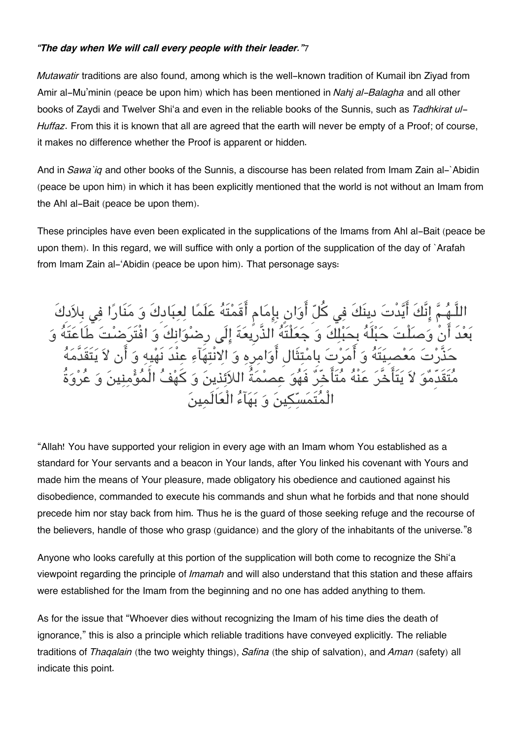#### *"The day when We will call every people with their leader."*[7](#page--1-0)

*Mutawatir* traditions are also found, among which is the well-known tradition of Kumail ibn Ziyad from Amir al-Mu'minin (peace be upon him) which has been mentioned in *Nahj al-Balagha* and all other books of Zaydi and Twelver Shi'a and even in the reliable books of the Sunnis, such as *Tadhkirat ul-Huffaz*. From this it is known that all are agreed that the earth will never be empty of a Proof; of course, it makes no difference whether the Proof is apparent or hidden.

And in *Sawa`iq* and other books of the Sunnis, a discourse has been related from Imam Zain al-`Abidin (peace be upon him) in which it has been explicitly mentioned that the world is not without an Imam from the Ahl al-Bait (peace be upon them).

These principles have even been explicated in the supplications of the Imams from Ahl al-Bait (peace be upon them). In this regard, we will suffice with only a portion of the supplication of the day of `Arafah from Imam Zain al-'Abidin (peace be upon him). That personage says:

هُمَّ إِنَّكَ أَيَّدْتَ دِينَكَ فِي كُلِّ أَوَانٍ بِإِمَامٍ أَقَمْتَهُ عَلَمًا لِعِبَادِكَ وَ مَنَارًا فِي بِلاَدِكَ بعدَ انْ وصلْت حبلَه بِحبلكَ و جعلْتَه الذَّرِيعةَ الَ رِضوانكَ و افْتَرضت طَاعتَه و مَعْصيَتَهُ وَ أَمَرْتَ بِامْتِثَالِ أَوَامِرِهِ وَ الِانْتِهَآءِ عِنْدَ نَهْيِهِ وَ لدِّمْوَ لاَ يَتَأَخَّرَ عَنْهُ م<sup>تَ</sup>أَخَّرُ فَهُوَ عصمةُ اللائذِينَ وَ كَهْفُ الْأ الْمُتَمَسّكينَ وَ بَهَآءُ الْعَالَمِينَ

"Allah! You have supported your religion in every age with an Imam whom You established as a standard for Your servants and a beacon in Your lands, after You linked his covenant with Yours and made him the means of Your pleasure, made obligatory his obedience and cautioned against his disobedience, commanded to execute his commands and shun what he forbids and that none should precede him nor stay back from him. Thus he is the guard of those seeking refuge and the recourse of the believers, handle of those who grasp (guidance) and the glory of the inhabitants of the universe."[8](#page--1-0)

Anyone who looks carefully at this portion of the supplication will both come to recognize the Shi'a viewpoint regarding the principle of *Imamah* and will also understand that this station and these affairs were established for the Imam from the beginning and no one has added anything to them.

As for the issue that "Whoever dies without recognizing the Imam of his time dies the death of ignorance," this is also a principle which reliable traditions have conveyed explicitly. The reliable traditions of *Thaqalain* (the two weighty things), *Safina* (the ship of salvation), and *Aman* (safety) all indicate this point.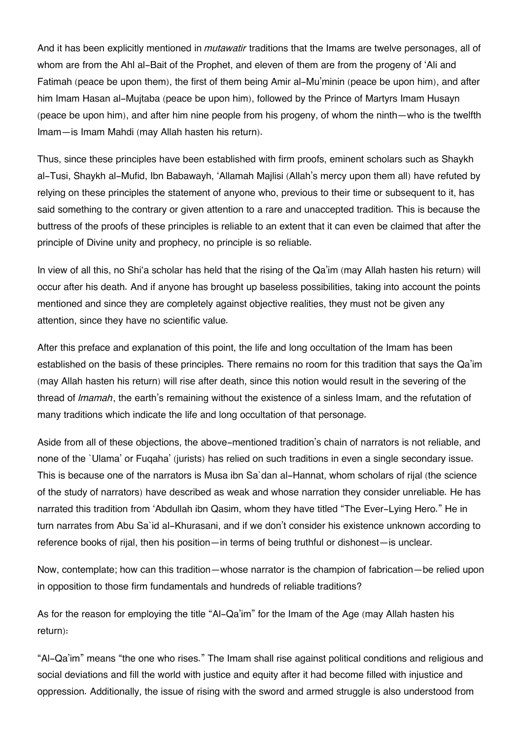And it has been explicitly mentioned in *mutawatir* traditions that the Imams are twelve personages, all of whom are from the Ahl al-Bait of the Prophet, and eleven of them are from the progeny of 'Ali and Fatimah (peace be upon them), the first of them being Amir al-Mu'minin (peace be upon him), and after him Imam Hasan al-Mujtaba (peace be upon him), followed by the Prince of Martyrs Imam Husayn (peace be upon him), and after him nine people from his progeny, of whom the ninth—who is the twelfth Imam—is Imam Mahdi (may Allah hasten his return).

Thus, since these principles have been established with firm proofs, eminent scholars such as Shaykh al-Tusi, Shaykh al-Mufid, Ibn Babawayh, 'Allamah Majlisi (Allah's mercy upon them all) have refuted by relying on these principles the statement of anyone who, previous to their time or subsequent to it, has said something to the contrary or given attention to a rare and unaccepted tradition. This is because the buttress of the proofs of these principles is reliable to an extent that it can even be claimed that after the principle of Divine unity and prophecy, no principle is so reliable.

In view of all this, no Shi'a scholar has held that the rising of the Qa'im (may Allah hasten his return) will occur after his death. And if anyone has brought up baseless possibilities, taking into account the points mentioned and since they are completely against objective realities, they must not be given any attention, since they have no scientific value.

After this preface and explanation of this point, the life and long occultation of the Imam has been established on the basis of these principles. There remains no room for this tradition that says the Qa'im (may Allah hasten his return) will rise after death, since this notion would result in the severing of the thread of *Imamah*, the earth's remaining without the existence of a sinless Imam, and the refutation of many traditions which indicate the life and long occultation of that personage.

Aside from all of these objections, the above-mentioned tradition's chain of narrators is not reliable, and none of the `Ulama' or Fuqaha' (jurists) has relied on such traditions in even a single secondary issue. This is because one of the narrators is Musa ibn Sa`dan al-Hannat, whom scholars of rijal (the science of the study of narrators) have described as weak and whose narration they consider unreliable. He has narrated this tradition from 'Abdullah ibn Qasim, whom they have titled "The Ever-Lying Hero." He in turn narrates from Abu Sa`id al-Khurasani, and if we don't consider his existence unknown according to reference books of rijal, then his position—in terms of being truthful or dishonest—is unclear.

Now, contemplate; how can this tradition—whose narrator is the champion of fabrication—be relied upon in opposition to those firm fundamentals and hundreds of reliable traditions?

As for the reason for employing the title "Al-Qa'im" for the Imam of the Age (may Allah hasten his return):

"Al-Qa'im" means "the one who rises." The Imam shall rise against political conditions and religious and social deviations and fill the world with justice and equity after it had become filled with injustice and oppression. Additionally, the issue of rising with the sword and armed struggle is also understood from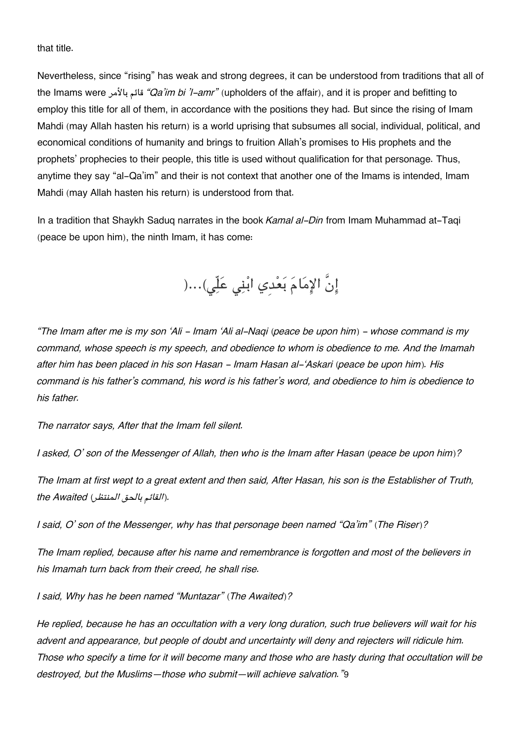that title.

Nevertheless, since "rising" has weak and strong degrees, it can be understood from traditions that all of the Imams were بالأمر قائم*" Qa'im bi 'l-amr"* (upholders of the affair), and it is proper and befitting to employ this title for all of them, in accordance with the positions they had. But since the rising of Imam Mahdi (may Allah hasten his return) is a world uprising that subsumes all social, individual, political, and economical conditions of humanity and brings to fruition Allah's promises to His prophets and the prophets' prophecies to their people, this title is used without qualification for that personage. Thus, anytime they say "al-Qa'im" and their is not context that another one of the Imams is intended, Imam Mahdi (may Allah hasten his return) is understood from that.

In a tradition that Shaykh Saduq narrates in the book *Kamal al-Din* from Imam Muhammad at-Taqi (peace be upon him), the ninth Imam, it has come:

إِنَّ الإِمَامَ بَعْدِي ابْنِي عَلِّي)...(

*"The Imam after me is my son 'Ali - Imam 'Ali al-Naqi (peace be upon him) - whose command is my command, whose speech is my speech, and obedience to whom is obedience to me. And the Imamah after him has been placed in his son Hasan - Imam Hasan al-'Askari (peace be upon him). His command is his father's command, his word is his father's word, and obedience to him is obedience to his father.*

*The narrator says, After that the Imam fell silent.*

*I asked, O' son of the Messenger of Allah, then who is the Imam after Hasan (peace be upon him)?*

*The Imam at first wept to a great extent and then said, After Hasan, his son is the Establisher of Truth, .(القائم بالحق المنتظر) Awaited the*

*I said, O' son of the Messenger, why has that personage been named "Qa'im" (The Riser)?*

*The Imam replied, because after his name and remembrance is forgotten and most of the believers in his Imamah turn back from their creed, he shall rise.*

*I said, Why has he been named "Muntazar" (The Awaited)?*

*He replied, because he has an occultation with a very long duration, such true believers will wait for his advent and appearance, but people of doubt and uncertainty will deny and rejecters will ridicule him. Those who specify a time for it will become many and those who are hasty during that occultation will be destroyed, but the Muslims—those who submit—will achieve salvation."*[9](#page--1-0)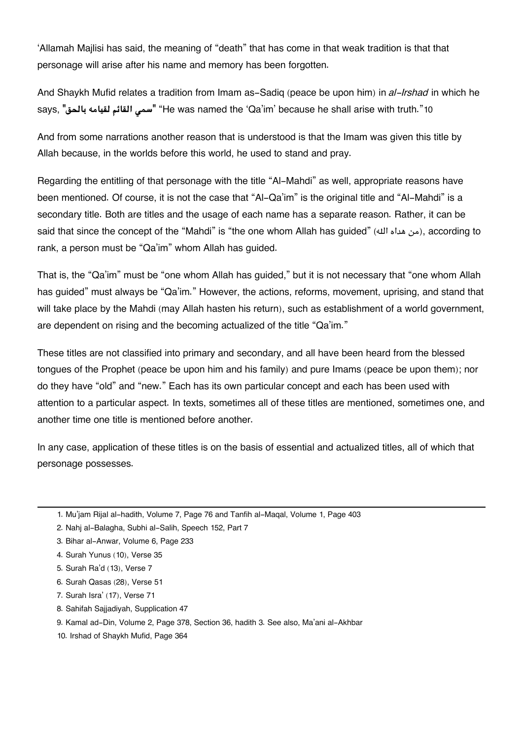'Allamah Majlisi has said, the meaning of "death" that has come in that weak tradition is that that personage will arise after his name and memory has been forgotten.

And Shaykh Mufid relates a tradition from Imam as-Sadiq (peace be upon him) in *al-Irshad* in which he says, **"بالحق لقيامه القائم سم**" **"**He was named the 'Qa'im' because he shall arise with truth."[10](#page--1-0)

And from some narrations another reason that is understood is that the Imam was given this title by Allah because, in the worlds before this world, he used to stand and pray.

Regarding the entitling of that personage with the title "Al-Mahdi" as well, appropriate reasons have been mentioned. Of course, it is not the case that "Al-Qa'im" is the original title and "Al-Mahdi" is a secondary title. Both are titles and the usage of each name has a separate reason. Rather, it can be said that since the concept of the "Mahdi" is "the one whom Allah has quided" ( $\omega$ ), according to rank, a person must be "Qa'im" whom Allah has guided.

That is, the "Qa'im" must be "one whom Allah has guided," but it is not necessary that "one whom Allah has guided" must always be "Qa'im." However, the actions, reforms, movement, uprising, and stand that will take place by the Mahdi (may Allah hasten his return), such as establishment of a world government, are dependent on rising and the becoming actualized of the title "Qa'im."

These titles are not classified into primary and secondary, and all have been heard from the blessed tongues of the Prophet (peace be upon him and his family) and pure Imams (peace be upon them); nor do they have "old" and "new." Each has its own particular concept and each has been used with attention to a particular aspect. In texts, sometimes all of these titles are mentioned, sometimes one, and another time one title is mentioned before another.

In any case, application of these titles is on the basis of essential and actualized titles, all of which that personage possesses.

[3.](#page--1-0) Bihar al-Anwar, Volume 6, Page 233

- [6.](#page--1-0) Surah Qasas (28), Verse 51
- [7.](#page--1-0) Surah Isra' (17), Verse 71
- [8.](#page--1-0) Sahifah Sajjadiyah, Supplication 47
- [9.](#page--1-0) Kamal ad-Din, Volume 2, Page 378, Section 36, hadith 3. See also, Ma'ani al-Akhbar
- [10.](#page--1-0) Irshad of Shaykh Mufid, Page 364

[<sup>1.</sup>](#page--1-0) Mu'jam Rijal al-hadith, Volume 7, Page 76 and Tanfih al-Maqal, Volume 1, Page 403

[<sup>2.</sup>](#page--1-0) Nahj al-Balagha, Subhi al-Salih, Speech 152, Part 7

[<sup>4.</sup>](#page--1-0) Surah Yunus (10), Verse 35

[<sup>5.</sup>](#page--1-0) Surah Ra'd (13), Verse 7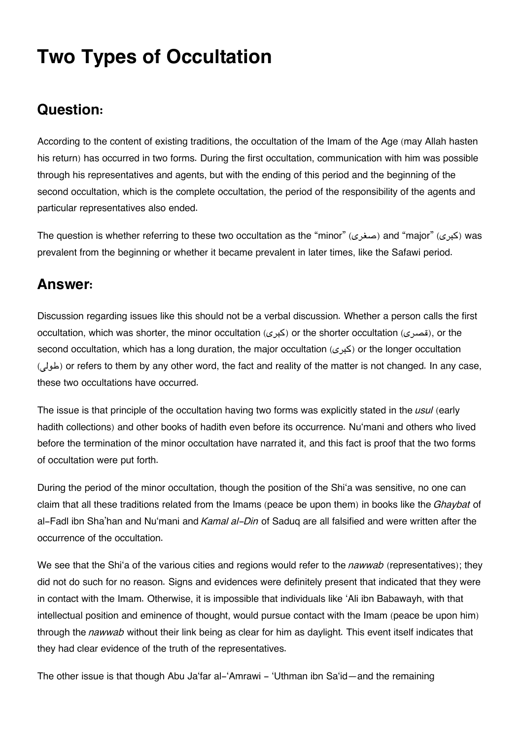## **Two Types of Occultation**

### **[Question:](#page--1-0)**

According to the content of existing traditions, the occultation of the Imam of the Age (may Allah hasten his return) has occurred in two forms. During the first occultation, communication with him was possible through his representatives and agents, but with the ending of this period and the beginning of the second occultation, which is the complete occultation, the period of the responsibility of the agents and particular representatives also ended.

The question is whether referring to these two occultation as the "minor" (صغرى) and "major" (كبرى was prevalent from the beginning or whether it became prevalent in later times, like the Safawi period.

### **[Answer:](#page--1-0)**

Discussion regarding issues like this should not be a verbal discussion. Whether a person calls the first occultation, which was shorter, the minor occultation (كبرى) or the shorter occultation (s in the second occultation, which has a long duration, the major occultation (كبرى) or the longer occultation (طولى) or refers to them by any other word, the fact and reality of the matter is not changed. In any case, these two occultations have occurred.

The issue is that principle of the occultation having two forms was explicitly stated in the *usul* (early hadith collections) and other books of hadith even before its occurrence. Nu'mani and others who lived before the termination of the minor occultation have narrated it, and this fact is proof that the two forms of occultation were put forth.

During the period of the minor occultation, though the position of the Shi'a was sensitive, no one can claim that all these traditions related from the Imams (peace be upon them) in books like the *Ghaybat* of al-Fadl ibn Sha'han and Nu'mani and *Kamal al-Din* of Saduq are all falsified and were written after the occurrence of the occultation.

We see that the Shi'a of the various cities and regions would refer to the *nawwab* (representatives); they did not do such for no reason. Signs and evidences were definitely present that indicated that they were in contact with the Imam. Otherwise, it is impossible that individuals like 'Ali ibn Babawayh, with that intellectual position and eminence of thought, would pursue contact with the Imam (peace be upon him) through the *nawwab* without their link being as clear for him as daylight. This event itself indicates that they had clear evidence of the truth of the representatives.

The other issue is that though Abu Ja'far al-'Amrawi - 'Uthman ibn Sa'id—and the remaining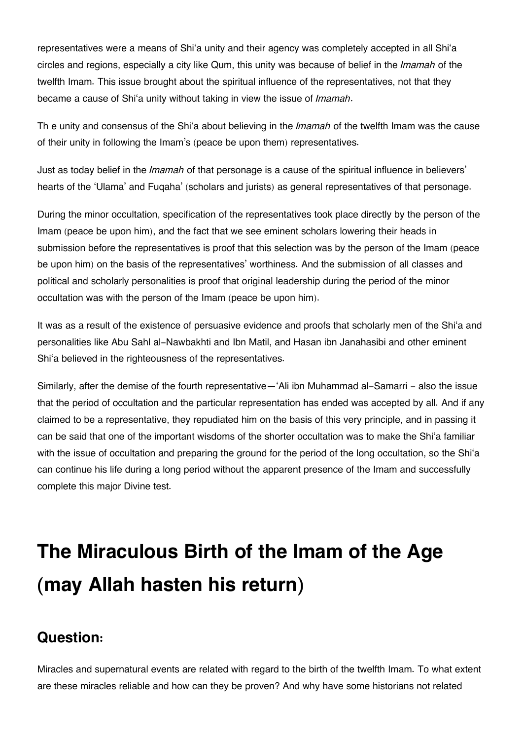representatives were a means of Shi'a unity and their agency was completely accepted in all Shi'a circles and regions, especially a city like Qum, this unity was because of belief in the *Imamah* of the twelfth Imam. This issue brought about the spiritual influence of the representatives, not that they became a cause of Shi'a unity without taking in view the issue of *Imamah*.

Th e unity and consensus of the Shi'a about believing in the *Imamah* of the twelfth Imam was the cause of their unity in following the Imam's (peace be upon them) representatives.

Just as today belief in the *Imamah* of that personage is a cause of the spiritual influence in believers' hearts of the 'Ulama' and Fuqaha' (scholars and jurists) as general representatives of that personage.

During the minor occultation, specification of the representatives took place directly by the person of the Imam (peace be upon him), and the fact that we see eminent scholars lowering their heads in submission before the representatives is proof that this selection was by the person of the Imam (peace be upon him) on the basis of the representatives' worthiness. And the submission of all classes and political and scholarly personalities is proof that original leadership during the period of the minor occultation was with the person of the Imam (peace be upon him).

It was as a result of the existence of persuasive evidence and proofs that scholarly men of the Shi'a and personalities like Abu Sahl al-Nawbakhti and Ibn Matil, and Hasan ibn Janahasibi and other eminent Shi'a believed in the righteousness of the representatives.

Similarly, after the demise of the fourth representative—'Ali ibn Muhammad al-Samarri - also the issue that the period of occultation and the particular representation has ended was accepted by all. And if any claimed to be a representative, they repudiated him on the basis of this very principle, and in passing it can be said that one of the important wisdoms of the shorter occultation was to make the Shi'a familiar with the issue of occultation and preparing the ground for the period of the long occultation, so the Shi'a can continue his life during a long period without the apparent presence of the Imam and successfully complete this major Divine test.

# **The Miraculous Birth of the Imam of the Age (may Allah hasten his return)**

### **[Question:](#page--1-0)**

Miracles and supernatural events are related with regard to the birth of the twelfth Imam. To what extent are these miracles reliable and how can they be proven? And why have some historians not related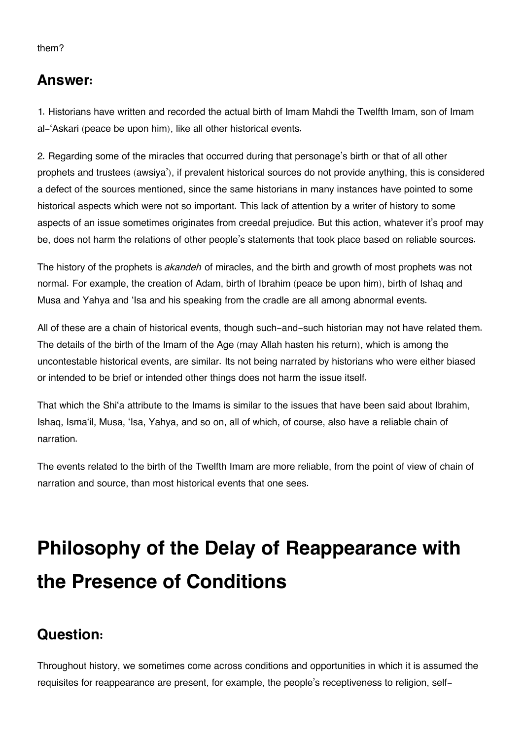#### them?

### **[Answer:](#page--1-0)**

1. Historians have written and recorded the actual birth of Imam Mahdi the Twelfth Imam, son of Imam al-'Askari (peace be upon him), like all other historical events.

2. Regarding some of the miracles that occurred during that personage's birth or that of all other prophets and trustees (awsiya'), if prevalent historical sources do not provide anything, this is considered a defect of the sources mentioned, since the same historians in many instances have pointed to some historical aspects which were not so important. This lack of attention by a writer of history to some aspects of an issue sometimes originates from creedal prejudice. But this action, whatever it's proof may be, does not harm the relations of other people's statements that took place based on reliable sources.

The history of the prophets is *akandeh* of miracles, and the birth and growth of most prophets was not normal. For example, the creation of Adam, birth of Ibrahim (peace be upon him), birth of Ishaq and Musa and Yahya and 'Isa and his speaking from the cradle are all among abnormal events.

All of these are a chain of historical events, though such-and-such historian may not have related them. The details of the birth of the Imam of the Age (may Allah hasten his return), which is among the uncontestable historical events, are similar. Its not being narrated by historians who were either biased or intended to be brief or intended other things does not harm the issue itself.

That which the Shi'a attribute to the Imams is similar to the issues that have been said about Ibrahim, Ishaq, Isma'il, Musa, 'Isa, Yahya, and so on, all of which, of course, also have a reliable chain of narration.

The events related to the birth of the Twelfth Imam are more reliable, from the point of view of chain of narration and source, than most historical events that one sees.

# **Philosophy of the Delay of Reappearance with the Presence of Conditions**

### **[Question:](#page--1-0)**

Throughout history, we sometimes come across conditions and opportunities in which it is assumed the requisites for reappearance are present, for example, the people's receptiveness to religion, self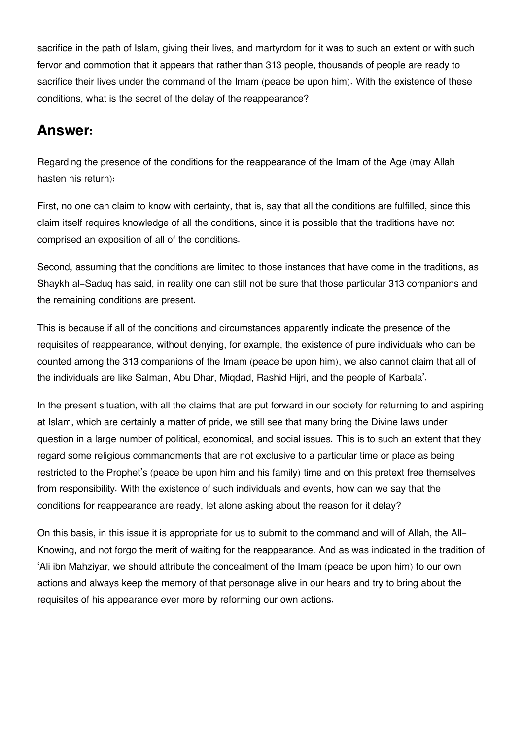sacrifice in the path of Islam, giving their lives, and martyrdom for it was to such an extent or with such fervor and commotion that it appears that rather than 313 people, thousands of people are ready to sacrifice their lives under the command of the Imam (peace be upon him). With the existence of these conditions, what is the secret of the delay of the reappearance?

### **[Answer:](#page--1-0)**

Regarding the presence of the conditions for the reappearance of the Imam of the Age (may Allah hasten his return):

First, no one can claim to know with certainty, that is, say that all the conditions are fulfilled, since this claim itself requires knowledge of all the conditions, since it is possible that the traditions have not comprised an exposition of all of the conditions.

Second, assuming that the conditions are limited to those instances that have come in the traditions, as Shaykh al-Saduq has said, in reality one can still not be sure that those particular 313 companions and the remaining conditions are present.

This is because if all of the conditions and circumstances apparently indicate the presence of the requisites of reappearance, without denying, for example, the existence of pure individuals who can be counted among the 313 companions of the Imam (peace be upon him), we also cannot claim that all of the individuals are like Salman, Abu Dhar, Miqdad, Rashid Hijri, and the people of Karbala'.

In the present situation, with all the claims that are put forward in our society for returning to and aspiring at Islam, which are certainly a matter of pride, we still see that many bring the Divine laws under question in a large number of political, economical, and social issues. This is to such an extent that they regard some religious commandments that are not exclusive to a particular time or place as being restricted to the Prophet's (peace be upon him and his family) time and on this pretext free themselves from responsibility. With the existence of such individuals and events, how can we say that the conditions for reappearance are ready, let alone asking about the reason for it delay?

On this basis, in this issue it is appropriate for us to submit to the command and will of Allah, the All-Knowing, and not forgo the merit of waiting for the reappearance. And as was indicated in the tradition of 'Ali ibn Mahziyar, we should attribute the concealment of the Imam (peace be upon him) to our own actions and always keep the memory of that personage alive in our hears and try to bring about the requisites of his appearance ever more by reforming our own actions.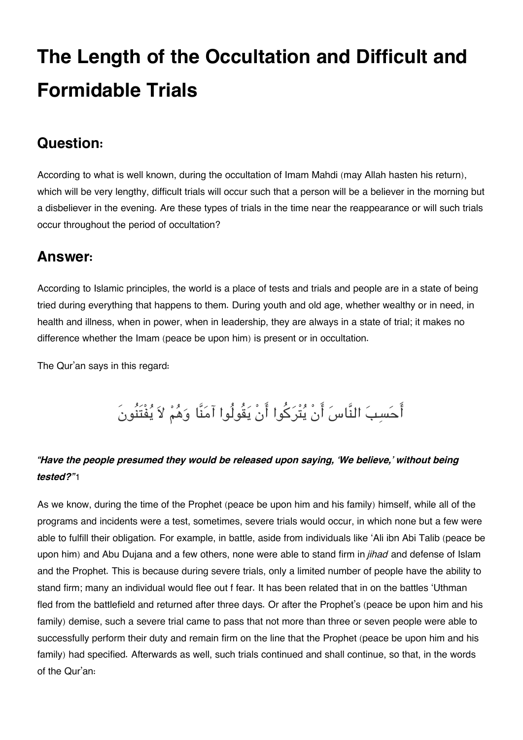## **The Length of the Occultation and Difficult and Formidable Trials**

### **[Question:](#page--1-0)**

According to what is well known, during the occultation of Imam Mahdi (may Allah hasten his return), which will be very lengthy, difficult trials will occur such that a person will be a believer in the morning but a disbeliever in the evening. Are these types of trials in the time near the reappearance or will such trials occur throughout the period of occultation?

### **[Answer:](#page--1-0)**

According to Islamic principles, the world is a place of tests and trials and people are in a state of being tried during everything that happens to them. During youth and old age, whether wealthy or in need, in health and illness, when in power, when in leadership, they are always in a state of trial; it makes no difference whether the Imam (peace be upon him) is present or in occultation.

The Qur'an says in this regard:

## احسب النَّاس انْ يتْركوا انْ يقُولُوا آمنَّا وهم لا يفْتَنُونَ

### *"Have the people presumed they would be released upon saying, 'We believe,' without being tested?"*[1](#page--1-0)

As we know, during the time of the Prophet (peace be upon him and his family) himself, while all of the programs and incidents were a test, sometimes, severe trials would occur, in which none but a few were able to fulfill their obligation. For example, in battle, aside from individuals like 'Ali ibn Abi Talib (peace be upon him) and Abu Dujana and a few others, none were able to stand firm in *jihad* and defense of Islam and the Prophet. This is because during severe trials, only a limited number of people have the ability to stand firm; many an individual would flee out f fear. It has been related that in on the battles 'Uthman fled from the battlefield and returned after three days. Or after the Prophet's (peace be upon him and his family) demise, such a severe trial came to pass that not more than three or seven people were able to successfully perform their duty and remain firm on the line that the Prophet (peace be upon him and his family) had specified. Afterwards as well, such trials continued and shall continue, so that, in the words of the Qur'an: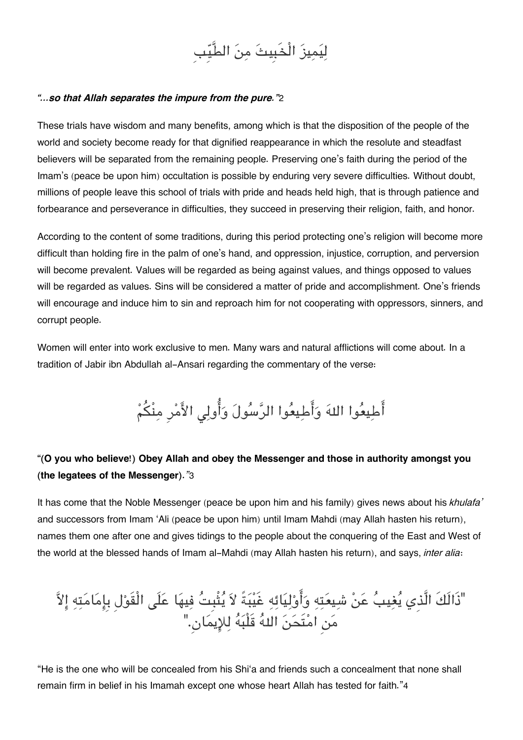

#### *"…so that Allah separates the impure from the pure."*[2](#page--1-0)

These trials have wisdom and many benefits, among which is that the disposition of the people of the world and society become ready for that dignified reappearance in which the resolute and steadfast believers will be separated from the remaining people. Preserving one's faith during the period of the Imam's (peace be upon him) occultation is possible by enduring very severe difficulties. Without doubt, millions of people leave this school of trials with pride and heads held high, that is through patience and forbearance and perseverance in difficulties, they succeed in preserving their religion, faith, and honor.

According to the content of some traditions, during this period protecting one's religion will become more difficult than holding fire in the palm of one's hand, and oppression, injustice, corruption, and perversion will become prevalent. Values will be regarded as being against values, and things opposed to values will be regarded as values. Sins will be considered a matter of pride and accomplishment. One's friends will encourage and induce him to sin and reproach him for not cooperating with oppressors, sinners, and corrupt people.

Women will enter into work exclusive to men. Many wars and natural afflictions will come about. In a tradition of Jabir ibn Abdullah al-Ansari regarding the commentary of the verse:

## أَطِيعُوا اللهَ وَأَطِيعُوا الرَّسُولَ وَأُولِي الأَمْرِ مِنْكُمْ

### **"(O you who believe!) Obey Allah and obey the Messenger and those in authority amongst you (the legatees of the Messenger).***"*[3](#page--1-0)

It has come that the Noble Messenger (peace be upon him and his family) gives news about his *khulafa'* and successors from Imam 'Ali (peace be upon him) until Imam Mahdi (may Allah hasten his return), names them one after one and gives tidings to the people about the conquering of the East and West of the world at the blessed hands of Imam al-Mahdi (may Allah hasten his return), and says, *inter alia*:

"ذَالَكَ الَّذِي يغيب عن شيعته واوليائه غَيبةً لا يثْبِت فيها علَ الْقَولِ بِامامته الا من امتَحن اله قَلْبه للايمان.ِ"

"He is the one who will be concealed from his Shi'a and friends such a concealment that none shall remain firm in belief in his Imamah except one whose heart Allah has tested for faith."[4](#page--1-0)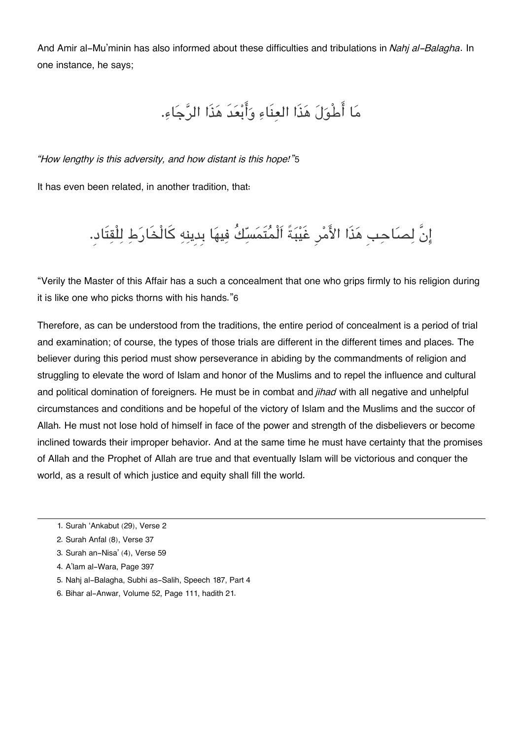And Amir al-Mu'minin has also informed about these difficulties and tribulations in *Nahj al-Balagha*. In one instance, he says;

ما اطْول هذَا العنَاء وابعدَ هذَا الرجاء.

*"How lengthy is this adversity, and how distant is this hope!"*[5](#page--1-0)

It has even been related, in another tradition, that:

انَّ لصاحبِ هذَا الامرِ غَيبةً اَلْمتَمسكُ فيها بِدِينه كالْخَارط للْقتَاد.ِ

"Verily the Master of this Affair has a such a concealment that one who grips firmly to his religion during it is like one who picks thorns with his hands."[6](#page--1-0)

Therefore, as can be understood from the traditions, the entire period of concealment is a period of trial and examination; of course, the types of those trials are different in the different times and places. The believer during this period must show perseverance in abiding by the commandments of religion and struggling to elevate the word of Islam and honor of the Muslims and to repel the influence and cultural and political domination of foreigners. He must be in combat and *jihad* with all negative and unhelpful circumstances and conditions and be hopeful of the victory of Islam and the Muslims and the succor of Allah. He must not lose hold of himself in face of the power and strength of the disbelievers or become inclined towards their improper behavior. And at the same time he must have certainty that the promises of Allah and the Prophet of Allah are true and that eventually Islam will be victorious and conquer the world, as a result of which justice and equity shall fill the world.

[6.](#page--1-0) Bihar al-Anwar, Volume 52, Page 111, hadith 21.

[<sup>1.</sup>](#page--1-0) Surah 'Ankabut (29), Verse 2

[<sup>2.</sup>](#page--1-0) Surah Anfal (8), Verse 37

[<sup>3.</sup>](#page--1-0) Surah an-Nisa' (4), Verse 59

[<sup>4.</sup>](#page--1-0) A'lam al-Wara, Page 397

[<sup>5.</sup>](#page--1-0) Nahj al-Balagha, Subhi as-Salih, Speech 187, Part 4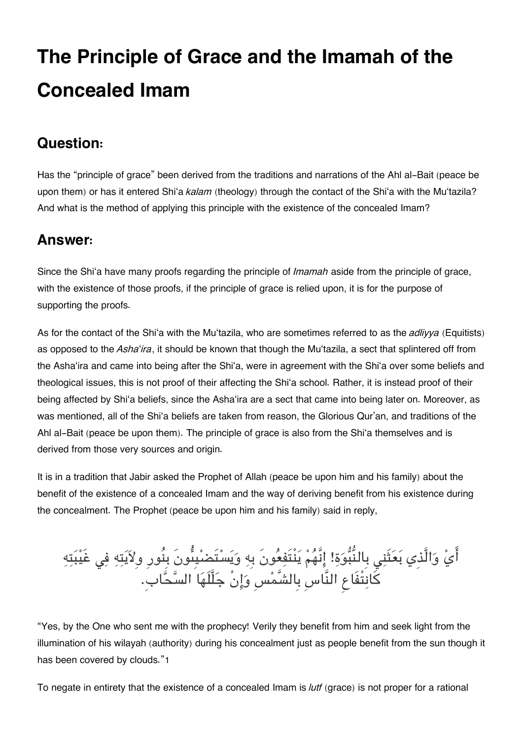# **The Principle of Grace and the Imamah of the Concealed Imam**

## **[Question:](#page--1-0)**

Has the "principle of grace" been derived from the traditions and narrations of the Ahl al-Bait (peace be upon them) or has it entered Shi'a *kalam* (theology) through the contact of the Shi'a with the Mu'tazila? And what is the method of applying this principle with the existence of the concealed Imam?

## **[Answer:](#page--1-0)**

Since the Shi'a have many proofs regarding the principle of *Imamah* aside from the principle of grace, with the existence of those proofs, if the principle of grace is relied upon, it is for the purpose of supporting the proofs.

As for the contact of the Shi'a with the Mu'tazila, who are sometimes referred to as the *adliyya* (Equitists) as opposed to the *Asha*'*ira*, it should be known that though the Mu'tazila, a sect that splintered off from the Asha'ira and came into being after the Shi'a, were in agreement with the Shi'a over some beliefs and theological issues, this is not proof of their affecting the Shi'a school. Rather, it is instead proof of their being affected by Shi'a beliefs, since the Asha'ira are a sect that came into being later on. Moreover, as was mentioned, all of the Shi'a beliefs are taken from reason, the Glorious Qur'an, and traditions of the Ahl al-Bait (peace be upon them). The principle of grace is also from the Shi'a themselves and is derived from those very sources and origin.

It is in a tradition that Jabir asked the Prophet of Allah (peace be upon him and his family) about the benefit of the existence of a concealed Imam and the way of deriving benefit from his existence during the concealment. The Prophet (peace be upon him and his family) said in reply,

ايِّ وَالَّذِي بَعَثْنِي بِالنَّبُوَةِ! إِنَّهُمْ يَنْتَفِعُونَ بِهِ وَيَسْتَضْيَبِّونَ بِنُورِ وِلاَيَتِهِ فِي غَيْبَتِهِ كانتْفَاع النَّاسِ بِالشَّمسِ وانْ جلَّلَها السحاب.ِ

"Yes, by the One who sent me with the prophecy! Verily they benefit from him and seek light from the illumination of his wilayah (authority) during his concealment just as people benefit from the sun though it has been covered by clouds."[1](#page--1-0)

To negate in entirety that the existence of a concealed Imam is *lutf* (grace) is not proper for a rational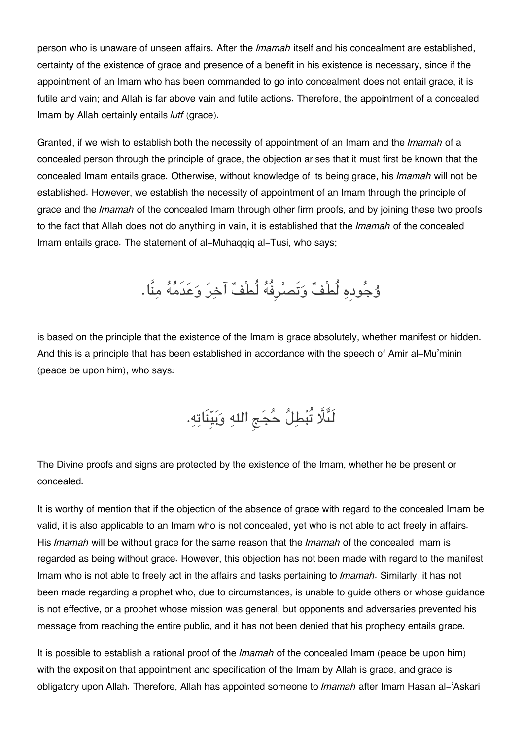person who is unaware of unseen affairs. After the *Imamah* itself and his concealment are established, certainty of the existence of grace and presence of a benefit in his existence is necessary, since if the appointment of an Imam who has been commanded to go into concealment does not entail grace, it is futile and vain; and Allah is far above vain and futile actions. Therefore, the appointment of a concealed Imam by Allah certainly entails *lutf* (grace).

Granted, if we wish to establish both the necessity of appointment of an Imam and the *Imamah* of a concealed person through the principle of grace, the objection arises that it must first be known that the concealed Imam entails grace. Otherwise, without knowledge of its being grace, his *Imamah* will not be established. However, we establish the necessity of appointment of an Imam through the principle of grace and the *Imamah* of the concealed Imam through other firm proofs, and by joining these two proofs to the fact that Allah does not do anything in vain, it is established that the *Imamah* of the concealed Imam entails grace. The statement of al-Muhaqqiq al-Tusi, who says;

ۇجودِه لُطْف وتَصرِفُه لُطْف آخر وعدَمه منَّا.

is based on the principle that the existence of the Imam is grace absolutely, whether manifest or hidden. And this is a principle that has been established in accordance with the speech of Amir al-Mu'minin (peace be upon him), who says:

لَئَلَّا تُبْطِلُ حُجَج اللهِ وَبَيِّنَاتِهِ.

The Divine proofs and signs are protected by the existence of the Imam, whether he be present or concealed.

It is worthy of mention that if the objection of the absence of grace with regard to the concealed Imam be valid, it is also applicable to an Imam who is not concealed, yet who is not able to act freely in affairs. His *Imamah* will be without grace for the same reason that the *Imamah* of the concealed Imam is regarded as being without grace. However, this objection has not been made with regard to the manifest Imam who is not able to freely act in the affairs and tasks pertaining to *Imamah*. Similarly, it has not been made regarding a prophet who, due to circumstances, is unable to guide others or whose guidance is not effective, or a prophet whose mission was general, but opponents and adversaries prevented his message from reaching the entire public, and it has not been denied that his prophecy entails grace.

It is possible to establish a rational proof of the *Imamah* of the concealed Imam (peace be upon him) with the exposition that appointment and specification of the Imam by Allah is grace, and grace is obligatory upon Allah. Therefore, Allah has appointed someone to *Imamah* after Imam Hasan al-'Askari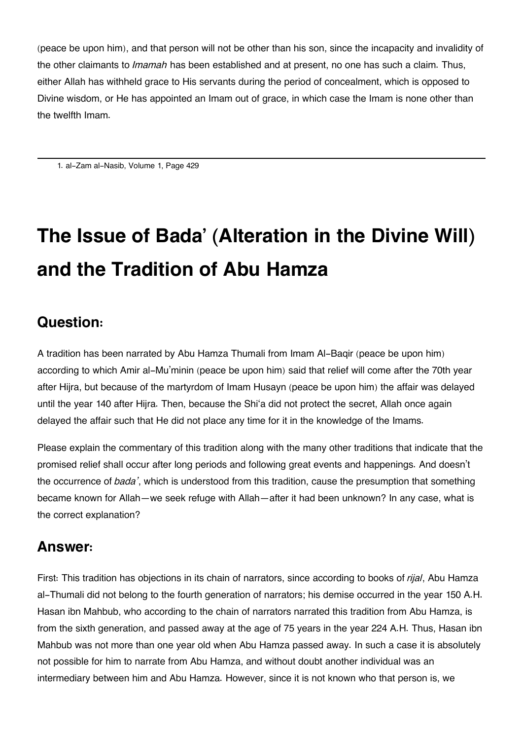(peace be upon him), and that person will not be other than his son, since the incapacity and invalidity of the other claimants to *Imamah* has been established and at present, no one has such a claim. Thus, either Allah has withheld grace to His servants during the period of concealment, which is opposed to Divine wisdom, or He has appointed an Imam out of grace, in which case the Imam is none other than the twelfth Imam.

[1.](#page--1-0) al-Zam al-Nasib, Volume 1, Page 429

# **The Issue of Bada' (Alteration in the Divine Will) and the Tradition of Abu Hamza**

## **[Question:](#page--1-0)**

A tradition has been narrated by Abu Hamza Thumali from Imam Al-Baqir (peace be upon him) according to which Amir al-Mu'minin (peace be upon him) said that relief will come after the 70th year after Hijra, but because of the martyrdom of Imam Husayn (peace be upon him) the affair was delayed until the year 140 after Hijra. Then, because the Shi'a did not protect the secret, Allah once again delayed the affair such that He did not place any time for it in the knowledge of the Imams.

Please explain the commentary of this tradition along with the many other traditions that indicate that the promised relief shall occur after long periods and following great events and happenings. And doesn't the occurrence of *bada'*, which is understood from this tradition, cause the presumption that something became known for Allah—we seek refuge with Allah—after it had been unknown? In any case, what is the correct explanation?

## **[Answer:](#page--1-0)**

First: This tradition has objections in its chain of narrators, since according to books of *rijal*, Abu Hamza al-Thumali did not belong to the fourth generation of narrators; his demise occurred in the year 150 A.H. Hasan ibn Mahbub, who according to the chain of narrators narrated this tradition from Abu Hamza, is from the sixth generation, and passed away at the age of 75 years in the year 224 A.H. Thus, Hasan ibn Mahbub was not more than one year old when Abu Hamza passed away. In such a case it is absolutely not possible for him to narrate from Abu Hamza, and without doubt another individual was an intermediary between him and Abu Hamza. However, since it is not known who that person is, we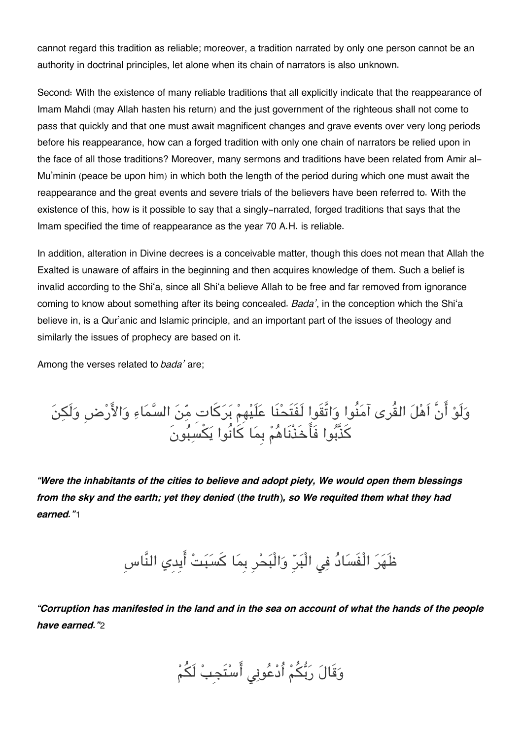cannot regard this tradition as reliable; moreover, a tradition narrated by only one person cannot be an authority in doctrinal principles, let alone when its chain of narrators is also unknown.

Second: With the existence of many reliable traditions that all explicitly indicate that the reappearance of Imam Mahdi (may Allah hasten his return) and the just government of the righteous shall not come to pass that quickly and that one must await magnificent changes and grave events over very long periods before his reappearance, how can a forged tradition with only one chain of narrators be relied upon in the face of all those traditions? Moreover, many sermons and traditions have been related from Amir al-Mu'minin (peace be upon him) in which both the length of the period during which one must await the reappearance and the great events and severe trials of the believers have been referred to. With the existence of this, how is it possible to say that a singly-narrated, forged traditions that says that the Imam specified the time of reappearance as the year 70 A.H. is reliable.

In addition, alteration in Divine decrees is a conceivable matter, though this does not mean that Allah the Exalted is unaware of affairs in the beginning and then acquires knowledge of them. Such a belief is invalid according to the Shi'a, since all Shi'a believe Allah to be free and far removed from ignorance coming to know about something after its being concealed. *Bada'*, in the conception which the Shi'a believe in, is a Qur'anic and Islamic principle, and an important part of the issues of theology and similarly the issues of prophecy are based on it.

Among the verses related to *bada'* are;

ولَو انَّ اَهل القُرى آمنُوا واتَّقَوا لَفَتَحنَا علَيهِم بركاتِ من السماء والارضِ ولَن كذَّبوا فَاخَذْنَاهم بِما كانُوا يسبونَ

*"Were the inhabitants of the cities to believe and adopt piety, We would open them blessings from the sky and the earth; yet they denied (the truth), so We requited them what they had earned."*[1](#page--1-0)

ظَهَرَ الْفَسَادُ فِي الْبَرِّ وَالْبَحْرِ بِمَا كَسَبَتْ أَيدِي النَّاسِ

*"Corruption has manifested in the land and in the sea on account of what the hands of the people have earned."*[2](#page--1-0)

وَقَالَ رَبُّكُمْ أُدْعُونِي أَسْتَجِبْ لَكُمْ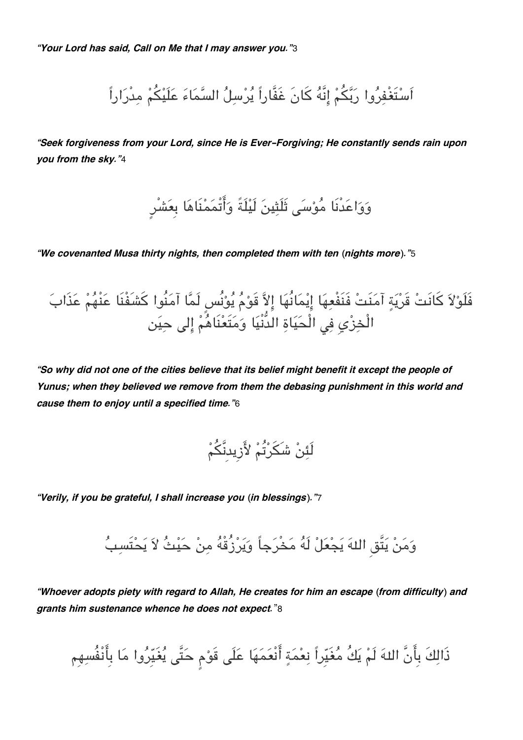اَسْتَغْفِرُوا رَبَّكُمْ إِنَّهُ كَانَ غَفَّاراً يُرْسِلُ السَّمَاءَ عَلَيْكُمْ مِدْرَاراً

*"Seek forgiveness from your Lord, since He is Ever-Forgiving; He constantly sends rain upon you from the sky."*[4](#page--1-0)

وَوَاعَدْنَا مُوْسَى ثَلَثِينَ لَيْلَةً وَأَتْمَمْنَاهَا بِعَشْرٍ

*"We covenanted Musa thirty nights, then completed them with ten (nights more)."*[5](#page--1-0)

فَلَوْلاَ كَانَتْ قَرْيَةٍ آمَنَتْ فَنَفْعِهَا إِيْمَانُهَا إِلاَّ قَوْمُ يُوْنُسٍ لَمَّا آمَنُوا كَشَفْنَا عَنْهُمْ عَذَابَ الْخِزْيِ فِي الْحَيَاةِ الْدُّنْيَا وَمَتَعْنَاهُمْ إِلى حِيَن

*"So why did not one of the cities believe that its belief might benefit it except the people of Yunus; when they believed we remove from them the debasing punishment in this world and cause them to enjoy until a specified time."*[6](#page--1-0)

لَئِنْ شَكَرْتُمْ لأَزِيدنَّكُمْ

*"Verily, if you be grateful, I shall increase you (in blessings)."*[7](#page--1-0)

وَمَنْ يَتَّق اللهَ يَجْعَلْ لَهُ مَخْرَجاً وَيَرْزُقْهُ مِنْ حَيْثُ لاَ يَحْتَسبُ

*"Whoever adopts piety with regard to Allah, He creates for him an escape (from difficulty) and grants him sustenance whence he does not expect.*"[8](#page--1-0)

ذَالِكَ بِأَنَّ اللهَ لَمْ يَكُ مُغَيِّراً نِعْمَةٍ أَنْعَمَهَا عَلَى قَوْمِ حَتَّى يُغَيِّرُوا مَا بِأَنْفُسِهِم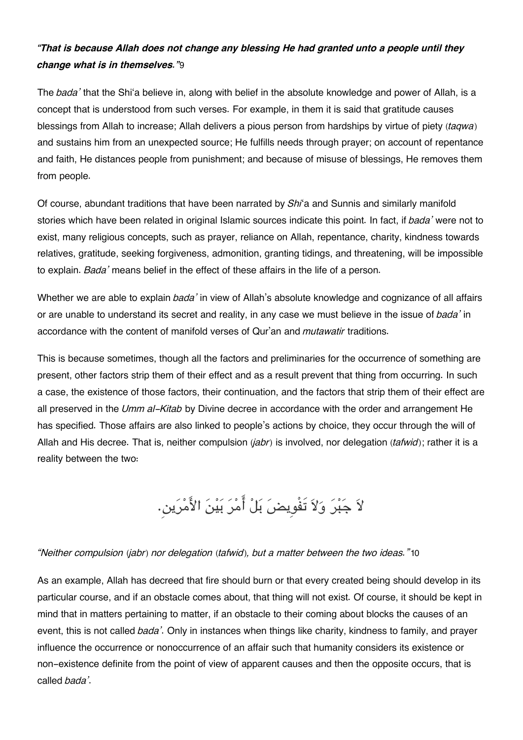### *"That is because Allah does not change any blessing He had granted unto a people until they change what is in themselves."*[9](#page--1-0)

The *bada'* that the Shi'a believe in, along with belief in the absolute knowledge and power of Allah, is a concept that is understood from such verses. For example, in them it is said that gratitude causes blessings from Allah to increase; Allah delivers a pious person from hardships by virtue of piety (*taqwa*) and sustains him from an unexpected source; He fulfills needs through prayer; on account of repentance and faith, He distances people from punishment; and because of misuse of blessings, He removes them from people.

Of course, abundant traditions that have been narrated by *Shi*'a and Sunnis and similarly manifold stories which have been related in original Islamic sources indicate this point. In fact, if *bada'* were not to exist, many religious concepts, such as prayer, reliance on Allah, repentance, charity, kindness towards relatives, gratitude, seeking forgiveness, admonition, granting tidings, and threatening, will be impossible to explain. *Bada'* means belief in the effect of these affairs in the life of a person.

Whether we are able to explain *bada'* in view of Allah's absolute knowledge and cognizance of all affairs or are unable to understand its secret and reality, in any case we must believe in the issue of *bada'* in accordance with the content of manifold verses of Qur'an and *mutawatir* traditions.

This is because sometimes, though all the factors and preliminaries for the occurrence of something are present, other factors strip them of their effect and as a result prevent that thing from occurring. In such a case, the existence of those factors, their continuation, and the factors that strip them of their effect are all preserved in the *Umm al-Kitab* by Divine decree in accordance with the order and arrangement He has specified. Those affairs are also linked to people's actions by choice, they occur through the will of Allah and His decree. That is, neither compulsion (*jabr*) is involved, nor delegation (*tafwid*); rather it is a reality between the two:

لا جبر ولا تَفْوِيض بل امر بين الامرين.

#### *"Neither compulsion (jabr) nor delegation (tafwid), but a matter between the two ideas."*[10](#page--1-0)

As an example, Allah has decreed that fire should burn or that every created being should develop in its particular course, and if an obstacle comes about, that thing will not exist. Of course, it should be kept in mind that in matters pertaining to matter, if an obstacle to their coming about blocks the causes of an event, this is not called *bada'*. Only in instances when things like charity, kindness to family, and prayer influence the occurrence or nonoccurrence of an affair such that humanity considers its existence or non-existence definite from the point of view of apparent causes and then the opposite occurs, that is called *bada'*.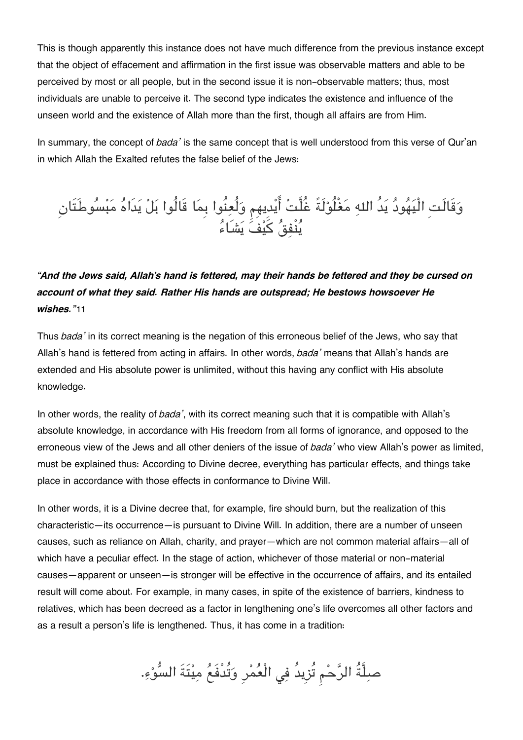This is though apparently this instance does not have much difference from the previous instance except that the object of effacement and affirmation in the first issue was observable matters and able to be perceived by most or all people, but in the second issue it is non-observable matters; thus, most individuals are unable to perceive it. The second type indicates the existence and influence of the unseen world and the existence of Allah more than the first, though all affairs are from Him.

In summary, the concept of *bada'* is the same concept that is well understood from this verse of Qur'an in which Allah the Exalted refutes the false belief of the Jews:

## وقَالَتِ الْيهود يدُ اله مغْلُولَةً غُلَّت ايدِيهِم ولُعنُوا بِما قَالُوا بل يدَاه مبسوطَتَانِ ينْفق كيف يشَاء

*"And the Jews said, Allah's hand is fettered, may their hands be fettered and they be cursed on account of what they said. Rather His hands are outspread; He bestows howsoever He wishes."*[11](#page--1-0)

Thus *bada'* in its correct meaning is the negation of this erroneous belief of the Jews, who say that Allah's hand is fettered from acting in affairs. In other words, *bada'* means that Allah's hands are extended and His absolute power is unlimited, without this having any conflict with His absolute knowledge.

In other words, the reality of *bada'*, with its correct meaning such that it is compatible with Allah's absolute knowledge, in accordance with His freedom from all forms of ignorance, and opposed to the erroneous view of the Jews and all other deniers of the issue of *bada'* who view Allah's power as limited, must be explained thus: According to Divine decree, everything has particular effects, and things take place in accordance with those effects in conformance to Divine Will.

In other words, it is a Divine decree that, for example, fire should burn, but the realization of this characteristic—its occurrence—is pursuant to Divine Will. In addition, there are a number of unseen causes, such as reliance on Allah, charity, and prayer—which are not common material affairs—all of which have a peculiar effect. In the stage of action, whichever of those material or non-material causes—apparent or unseen—is stronger will be effective in the occurrence of affairs, and its entailed result will come about. For example, in many cases, in spite of the existence of barriers, kindness to relatives, which has been decreed as a factor in lengthening one's life overcomes all other factors and as a result a person's life is lengthened. Thus, it has come in a tradition:

صلِّةُ الرَّحْمِ تُزِيدُ فِي الْعُمْرِ وَتُدْفَعُ مِيْتَةَ السُّوْءِ.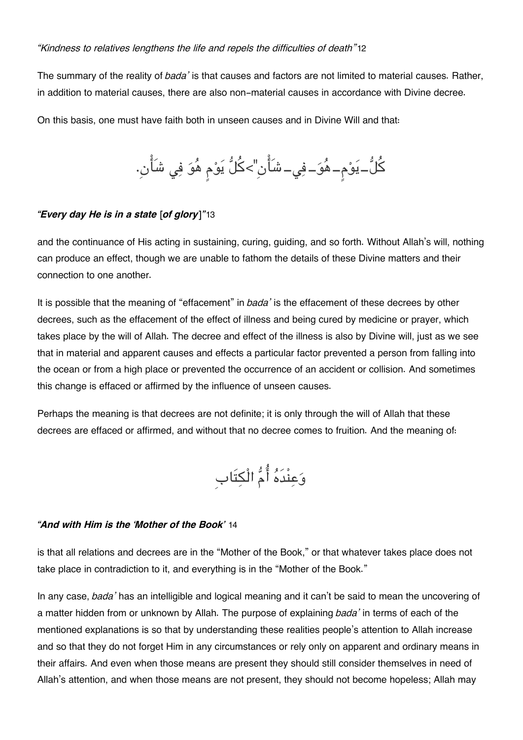#### *"Kindness to relatives lengthens the life and repels the difficulties of death"*[12](#page--1-0)

The summary of the reality of *bada'* is that causes and factors are not limited to material causes. Rather, in addition to material causes, there are also non-material causes in accordance with Divine decree.

On this basis, one must have faith both in unseen causes and in Divine Will and that:

كُلُّ–يَوْم–هُوَ–فِي–شَأْنِ">كُلُّ يَوْم هُوَ فِي شَأْنِ.

#### *"Every day He is in a state [of glory]"*[13](#page--1-0)

and the continuance of His acting in sustaining, curing, guiding, and so forth. Without Allah's will, nothing can produce an effect, though we are unable to fathom the details of these Divine matters and their connection to one another.

It is possible that the meaning of "effacement" in *bada'* is the effacement of these decrees by other decrees, such as the effacement of the effect of illness and being cured by medicine or prayer, which takes place by the will of Allah. The decree and effect of the illness is also by Divine will, just as we see that in material and apparent causes and effects a particular factor prevented a person from falling into the ocean or from a high place or prevented the occurrence of an accident or collision. And sometimes this change is effaced or affirmed by the influence of unseen causes.

Perhaps the meaning is that decrees are not definite; it is only through the will of Allah that these decrees are effaced or affirmed, and without that no decree comes to fruition. And the meaning of:

وعنْدَه ام الْتَابِ

#### *"And with Him is the 'Mother of the Book'* [14](#page--1-0)

is that all relations and decrees are in the "Mother of the Book," or that whatever takes place does not take place in contradiction to it, and everything is in the "Mother of the Book."

In any case, *bada'* has an intelligible and logical meaning and it can't be said to mean the uncovering of a matter hidden from or unknown by Allah. The purpose of explaining *bada'* in terms of each of the mentioned explanations is so that by understanding these realities people's attention to Allah increase and so that they do not forget Him in any circumstances or rely only on apparent and ordinary means in their affairs. And even when those means are present they should still consider themselves in need of Allah's attention, and when those means are not present, they should not become hopeless; Allah may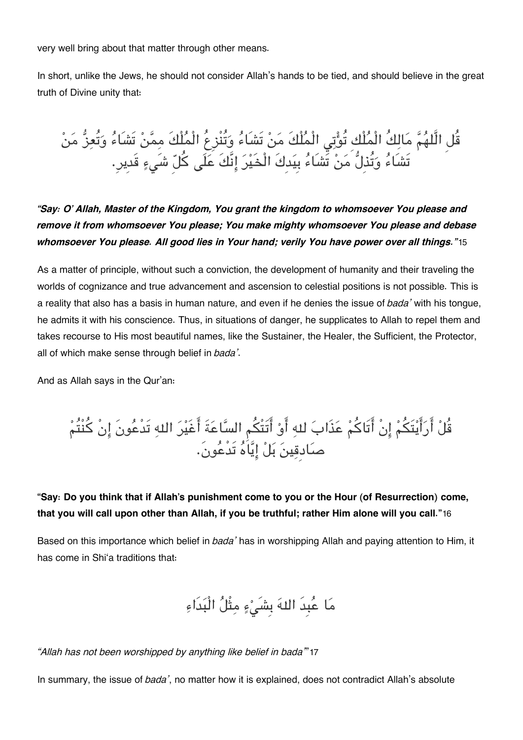very well bring about that matter through other means.

In short, unlike the Jews, he should not consider Allah's hands to be tied, and should believe in the great truth of Divine unity that:

قُل الَّلهُمَّ مَالِكُ الْمُلْكِ تُوْتِي الْمُلْكَ مَنْ تَشَاءُ وَتُنْزِعُ الْمُلْكَ مِمَّنْ تَشَاءُ وَتُعِزُّ مَنْ تَشَاءُ وَتُذِلُّ مَنْ تَشَاءُ بِيَدِكَ الْخَيْرَ إِنَّكَ عَلَى كُلّ شَيءٍ قَديرٍ.

*"Say: O' Allah, Master of the Kingdom, You grant the kingdom to whomsoever You please and remove it from whomsoever You please; You make mighty whomsoever You please and debase whomsoever You please. All good lies in Your hand; verily You have power over all things."*[15](#page--1-0)

As a matter of principle, without such a conviction, the development of humanity and their traveling the worlds of cognizance and true advancement and ascension to celestial positions is not possible. This is a reality that also has a basis in human nature, and even if he denies the issue of *bada'* with his tongue, he admits it with his conscience. Thus, in situations of danger, he supplicates to Allah to repel them and takes recourse to His most beautiful names, like the Sustainer, the Healer, the Sufficient, the Protector, all of which make sense through belief in *bada'*.

And as Allah says in the Qur'an:

قُلْ أَرَأَيْتَكُمْ إِنْ أَتَاكُمْ عَذَابَ للهِ أَوْ أَتَتْكُم السَّاعَةَ أَغَيْرَ اللهِ تَدْعُونَ إِنْ كُنْتُمْ صادِقين بل اياه تَدْعون.َ

**"Say: Do you think that if Allah's punishment come to you or the Hour (of Resurrection) come, that you will call upon other than Allah, if you be truthful; rather Him alone will you call."**[16](#page--1-0)

Based on this importance which belief in *bada'* has in worshipping Allah and paying attention to Him, it has come in Shi'a traditions that:

ما عبِدَ اله بِشَء مثْل الْبدَاء

*"Allah has not been worshipped by anything like belief in bada'*"[17](#page--1-0)

In summary, the issue of *bada'*, no matter how it is explained, does not contradict Allah's absolute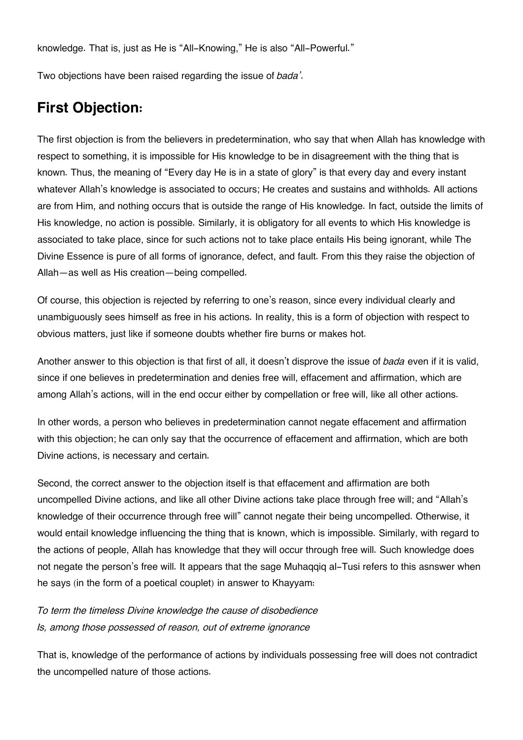knowledge. That is, just as He is "All-Knowing," He is also "All-Powerful."

Two objections have been raised regarding the issue of *bada'*.

## **[First Objection:](#page--1-0)**

The first objection is from the believers in predetermination, who say that when Allah has knowledge with respect to something, it is impossible for His knowledge to be in disagreement with the thing that is known. Thus, the meaning of "Every day He is in a state of glory" is that every day and every instant whatever Allah's knowledge is associated to occurs; He creates and sustains and withholds. All actions are from Him, and nothing occurs that is outside the range of His knowledge. In fact, outside the limits of His knowledge, no action is possible. Similarly, it is obligatory for all events to which His knowledge is associated to take place, since for such actions not to take place entails His being ignorant, while The Divine Essence is pure of all forms of ignorance, defect, and fault. From this they raise the objection of Allah—as well as His creation—being compelled.

Of course, this objection is rejected by referring to one's reason, since every individual clearly and unambiguously sees himself as free in his actions. In reality, this is a form of objection with respect to obvious matters, just like if someone doubts whether fire burns or makes hot.

Another answer to this objection is that first of all, it doesn't disprove the issue of *bada* even if it is valid, since if one believes in predetermination and denies free will, effacement and affirmation, which are among Allah's actions, will in the end occur either by compellation or free will, like all other actions.

In other words, a person who believes in predetermination cannot negate effacement and affirmation with this objection; he can only say that the occurrence of effacement and affirmation, which are both Divine actions, is necessary and certain.

Second, the correct answer to the objection itself is that effacement and affirmation are both uncompelled Divine actions, and like all other Divine actions take place through free will; and "Allah's knowledge of their occurrence through free will" cannot negate their being uncompelled. Otherwise, it would entail knowledge influencing the thing that is known, which is impossible. Similarly, with regard to the actions of people, Allah has knowledge that they will occur through free will. Such knowledge does not negate the person's free will. It appears that the sage Muhaqqiq al-Tusi refers to this asnswer when he says (in the form of a poetical couplet) in answer to Khayyam:

*To term the timeless Divine knowledge the cause of disobedience Is, among those possessed of reason, out of extreme ignorance*

That is, knowledge of the performance of actions by individuals possessing free will does not contradict the uncompelled nature of those actions.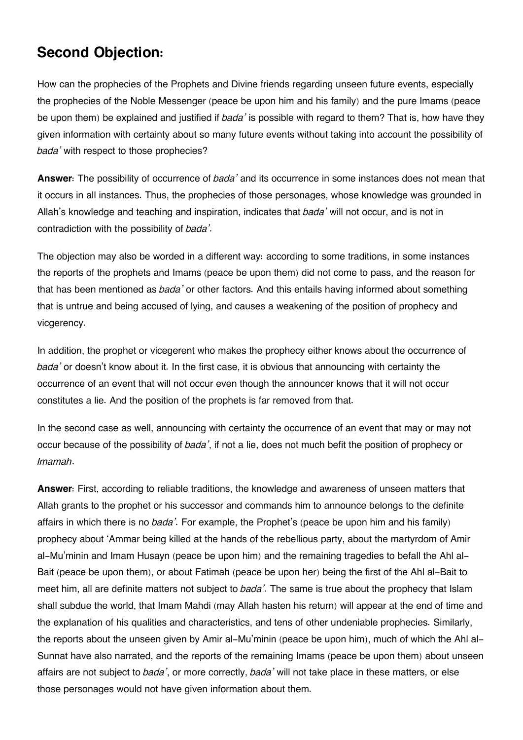## **[Second Objection:](#page--1-0)**

How can the prophecies of the Prophets and Divine friends regarding unseen future events, especially the prophecies of the Noble Messenger (peace be upon him and his family) and the pure Imams (peace be upon them) be explained and justified if *bada'* is possible with regard to them? That is, how have they given information with certainty about so many future events without taking into account the possibility of *bada'* with respect to those prophecies?

**Answer**: The possibility of occurrence of *bada'* and its occurrence in some instances does not mean that it occurs in all instances. Thus, the prophecies of those personages, whose knowledge was grounded in Allah's knowledge and teaching and inspiration, indicates that *bada'* will not occur, and is not in contradiction with the possibility of *bada'*.

The objection may also be worded in a different way: according to some traditions, in some instances the reports of the prophets and Imams (peace be upon them) did not come to pass, and the reason for that has been mentioned as *bada'* or other factors. And this entails having informed about something that is untrue and being accused of lying, and causes a weakening of the position of prophecy and vicaerency.

In addition, the prophet or vicegerent who makes the prophecy either knows about the occurrence of *bada'* or doesn't know about it. In the first case, it is obvious that announcing with certainty the occurrence of an event that will not occur even though the announcer knows that it will not occur constitutes a lie. And the position of the prophets is far removed from that.

In the second case as well, announcing with certainty the occurrence of an event that may or may not occur because of the possibility of *bada'*, if not a lie, does not much befit the position of prophecy or *Imamah*.

**Answer**: First, according to reliable traditions, the knowledge and awareness of unseen matters that Allah grants to the prophet or his successor and commands him to announce belongs to the definite affairs in which there is no *bada'*. For example, the Prophet's (peace be upon him and his family) prophecy about 'Ammar being killed at the hands of the rebellious party, about the martyrdom of Amir al-Mu'minin and Imam Husayn (peace be upon him) and the remaining tragedies to befall the Ahl al-Bait (peace be upon them), or about Fatimah (peace be upon her) being the first of the Ahl al-Bait to meet him, all are definite matters not subject to *bada'*. The same is true about the prophecy that Islam shall subdue the world, that Imam Mahdi (may Allah hasten his return) will appear at the end of time and the explanation of his qualities and characteristics, and tens of other undeniable prophecies. Similarly, the reports about the unseen given by Amir al-Mu'minin (peace be upon him), much of which the Ahl al-Sunnat have also narrated, and the reports of the remaining Imams (peace be upon them) about unseen affairs are not subject to *bada'*, or more correctly, *bada'* will not take place in these matters, or else those personages would not have given information about them.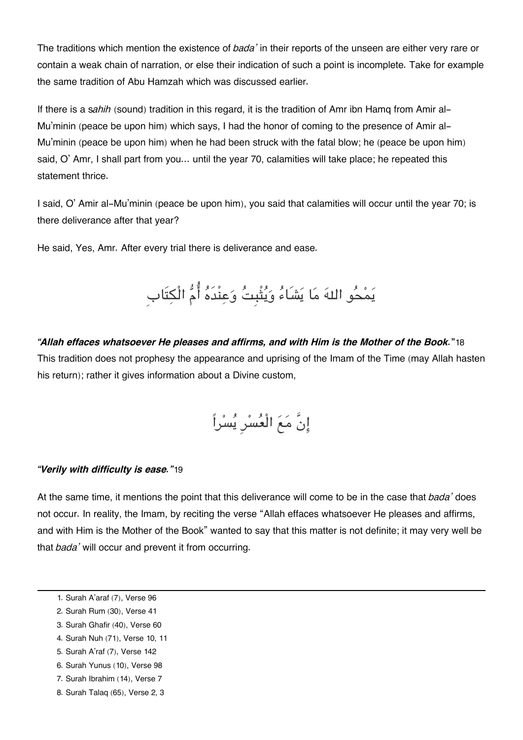The traditions which mention the existence of *bada'* in their reports of the unseen are either very rare or contain a weak chain of narration, or else their indication of such a point is incomplete. Take for example the same tradition of Abu Hamzah which was discussed earlier.

If there is a s*ahih* (sound) tradition in this regard, it is the tradition of Amr ibn Hamq from Amir al-Mu'minin (peace be upon him) which says, I had the honor of coming to the presence of Amir al-Mu'minin (peace be upon him) when he had been struck with the fatal blow; he (peace be upon him) said, O' Amr, I shall part from you… until the year 70, calamities will take place; he repeated this statement thrice.

I said, O' Amir al-Mu'minin (peace be upon him), you said that calamities will occur until the year 70; is there deliverance after that year?

He said, Yes, Amr. After every trial there is deliverance and ease.

# يَمْحُو اللهَ مَا يَشَاءُ وَيُتْبِتُ وَعِنْدَهُ أُمُّ الْكِتَابِ

#### *"Allah effaces whatsoever He pleases and affirms, and with Him is the Mother of the Book.***"**[18](#page--1-0)

This tradition does not prophesy the appearance and uprising of the Imam of the Time (may Allah hasten his return); rather it gives information about a Divine custom,

$$
\begin{bmatrix} 1 & 1 & 1 \\ 1 & 1 & 1 \\ 1 & 1 & 1 \\ 1 & 1 & 1 \\ 1 & 1 & 1 \\ 1 & 1 & 1 \\ 1 & 1 & 1 \\ 1 & 1 & 1 \\ 1 & 1 & 1 \\ 1 & 1 & 1 \\ 1 & 1 & 1 \\ 1 & 1 & 1 \\ 1 & 1 & 1 \\ 1 & 1 & 1 \\ 1 & 1 & 1 \\ 1 & 1 & 1 \\ 1 & 1 & 1 \\ 1 & 1 & 1 \\ 1 & 1 & 1 \\ 1 & 1 & 1 \\ 1 & 1 & 1 \\ 1 & 1 & 1 \\ 1 & 1 & 1 \\ 1 & 1 & 1 \\ 1 & 1 & 1 \\ 1 & 1 & 1 \\ 1 & 1 & 1 \\ 1 & 1 & 1 \\ 1 & 1 & 1 \\ 1 & 1 & 1 \\ 1 & 1 & 1 \\ 1 & 1 & 1 \\ 1 & 1 & 1 \\ 1 & 1 & 1 \\ 1 & 1 & 1 \\ 1 & 1 & 1 \\ 1 & 1 & 1 \\ 1 & 1 & 1 \\ 1 & 1 & 1 \\ 1 & 1 & 1 \\ 1 & 1 & 1 \\ 1 & 1 & 1 \\ 1 & 1 & 1 \\ 1 & 1 & 1 \\ 1 & 1 & 1 \\ 1 & 1 & 1 \\ 1 & 1 & 1 \\ 1 & 1 & 1 \\ 1 & 1 & 1 \\ 1 & 1 & 1 \\ 1 & 1 & 1 \\ 1 & 1 & 1 \\ 1 & 1 & 1 \\ 1 & 1 & 1 \\ 1 & 1 & 1 \\ 1 & 1 & 1 \\ 1 & 1 & 1 \\ 1 & 1 & 1 \\ 1 & 1 & 1 \\ 1 & 1 & 1 \\ 1 & 1 & 1 \\ 1 & 1 & 1 \\ 1 & 1 & 1 \\ 1 & 1 & 1 \\ 1 & 1 & 1 \\ 1 & 1 & 1 \\ 1 & 1 & 1 \\ 1 & 1 & 1 \\ 1 & 1 & 1 \\ 1 & 1 & 1 \\ 1 & 1 & 1 \\ 1 & 1 & 1 \\ 1 & 1 & 1 \\ 1 & 1 & 1 \\ 1 & 1 & 1 \\ 1 & 1 & 1 \\ 1 & 1 & 1 \\ 1 & 1 & 1 \\ 1 & 1 & 1 \\ 1 & 1 & 1 \\ 1 & 1 & 1 \\ 1 & 1 & 1 \\ 1 & 1 & 1 \\ 1 & 1 &
$$

#### *"Verily with difficulty is ease."*[19](#page--1-0)

At the same time, it mentions the point that this deliverance will come to be in the case that *bada'* does not occur. In reality, the Imam, by reciting the verse "Allah effaces whatsoever He pleases and affirms, and with Him is the Mother of the Book" wanted to say that this matter is not definite; it may very well be that *bada'* will occur and prevent it from occurring.

- [6.](#page--1-0) Surah Yunus (10), Verse 98
- [7.](#page--1-0) Surah Ibrahim (14), Verse 7
- [8.](#page--1-0) Surah Talaq (65), Verse 2, 3

[<sup>1.</sup>](#page--1-0) Surah A'araf (7), Verse 96

[<sup>2.</sup>](#page--1-0) Surah Rum (30), Verse 41

[<sup>3.</sup>](#page--1-0) Surah Ghafir (40), Verse 60

[<sup>4.</sup>](#page--1-0) Surah Nuh (71), Verse 10, 11

[<sup>5.</sup>](#page--1-0) Surah A'raf (7), Verse 142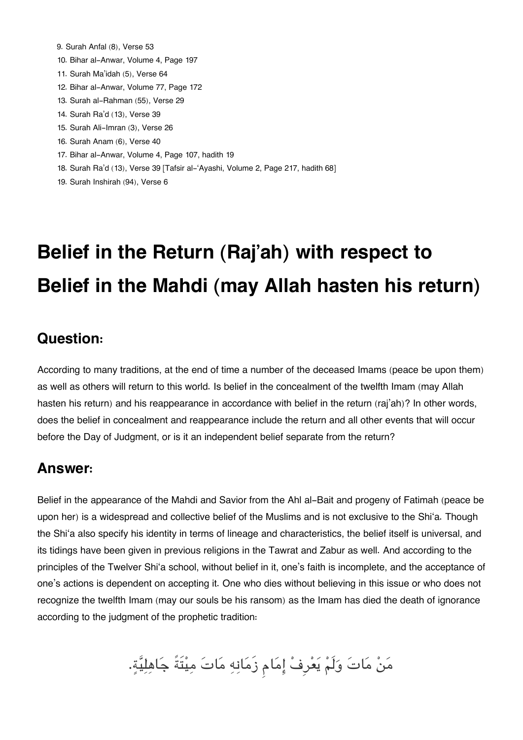- [9.](#page--1-0) Surah Anfal (8), Verse 53
- [10.](#page--1-0) Bihar al-Anwar, Volume 4, Page 197
- [11.](#page--1-0) Surah Ma'idah (5), Verse 64
- [12.](#page--1-0) Bihar al-Anwar, Volume 77, Page 172
- [13.](#page--1-0) Surah al-Rahman (55), Verse 29
- [14.](#page--1-0) Surah Ra'd (13), Verse 39
- [15.](#page--1-0) Surah Ali-Imran (3), Verse 26
- [16.](#page--1-0) Surah Anam (6), Verse 40
- [17.](#page--1-0) Bihar al-Anwar, Volume 4, Page 107, hadith 19
- [18.](#page--1-0) Surah Ra'd (13), Verse 39 [Tafsir al-'Ayashi, Volume 2, Page 217, hadith 68]
- [19.](#page--1-0) Surah Inshirah (94), Verse 6

## **Belief in the Return (Raj'ah) with respect to Belief in the Mahdi (may Allah hasten his return)**

### **[Question:](#page--1-0)**

According to many traditions, at the end of time a number of the deceased Imams (peace be upon them) as well as others will return to this world. Is belief in the concealment of the twelfth Imam (may Allah hasten his return) and his reappearance in accordance with belief in the return (raj'ah)? In other words, does the belief in concealment and reappearance include the return and all other events that will occur before the Day of Judgment, or is it an independent belief separate from the return?

### **[Answer:](#page--1-0)**

Belief in the appearance of the Mahdi and Savior from the Ahl al-Bait and progeny of Fatimah (peace be upon her) is a widespread and collective belief of the Muslims and is not exclusive to the Shi'a. Though the Shi'a also specify his identity in terms of lineage and characteristics, the belief itself is universal, and its tidings have been given in previous religions in the Tawrat and Zabur as well. And according to the principles of the Twelver Shi'a school, without belief in it, one's faith is incomplete, and the acceptance of one's actions is dependent on accepting it. One who dies without believing in this issue or who does not recognize the twelfth Imam (may our souls be his ransom) as the Imam has died the death of ignorance according to the judgment of the prophetic tradition:

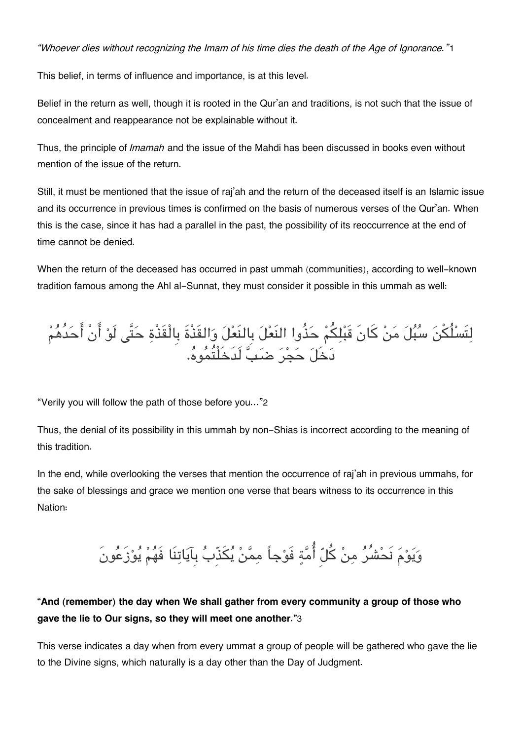*"Whoever dies without recognizing the Imam of his time dies the death of the Age of Ignorance."*[1](#page--1-0)

This belief, in terms of influence and importance, is at this level.

Belief in the return as well, though it is rooted in the Qur'an and traditions, is not such that the issue of concealment and reappearance not be explainable without it.

Thus, the principle of *Imamah* and the issue of the Mahdi has been discussed in books even without mention of the issue of the return.

Still, it must be mentioned that the issue of raj'ah and the return of the deceased itself is an Islamic issue and its occurrence in previous times is confirmed on the basis of numerous verses of the Qur'an. When this is the case, since it has had a parallel in the past, the possibility of its reoccurrence at the end of time cannot be denied.

When the return of the deceased has occurred in past ummah (communities), according to well-known tradition famous among the Ahl al-Sunnat, they must consider it possible in this ummah as well:

لِتَسْلُكْنَ سُبُلَ مَنْ كَانَ قَبْلِكُمْ حَذُوا النَعْلَ بِالنَعْلَ وَالقَذْةَ بِالْقَذْةِ حَتَّى لَوْ أَنْ أَحَدُهُمْ دخَل حجر ضب لَدَخَلْتُموه.

"Verily you will follow the path of those before you…"[2](#page--1-0)

Thus, the denial of its possibility in this ummah by non-Shias is incorrect according to the meaning of this tradition.

In the end, while overlooking the verses that mention the occurrence of raj'ah in previous ummahs, for the sake of blessings and grace we mention one verse that bears witness to its occurrence in this Nation:

وَيَوْمَ نَحْشُرُ مِنْ كُلّ أُمَّةِ فَوْجاً مِمَّنْ يُكَذّبُ بِآيَاتِنَا فَهُمْ يُوْزَعُونَ

### **"And (remember) the day when We shall gather from every community a group of those who gave the lie to Our signs, so they will meet one another."**[3](#page--1-0)

This verse indicates a day when from every ummat a group of people will be gathered who gave the lie to the Divine signs, which naturally is a day other than the Day of Judgment.